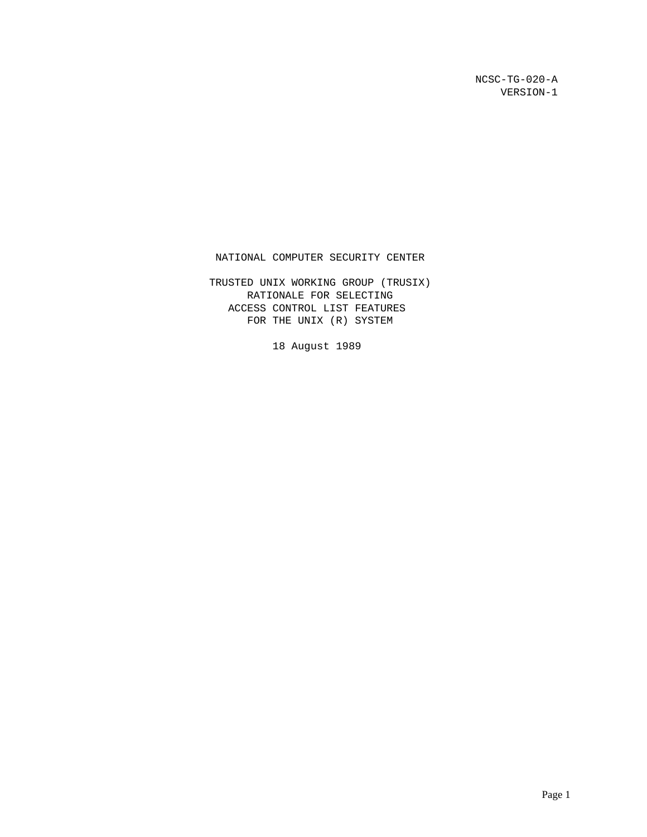NCSC-TG-020-A VERSION-1

NATIONAL COMPUTER SECURITY CENTER

 TRUSTED UNIX WORKING GROUP (TRUSIX) RATIONALE FOR SELECTING ACCESS CONTROL LIST FEATURES FOR THE UNIX (R) SYSTEM

18 August 1989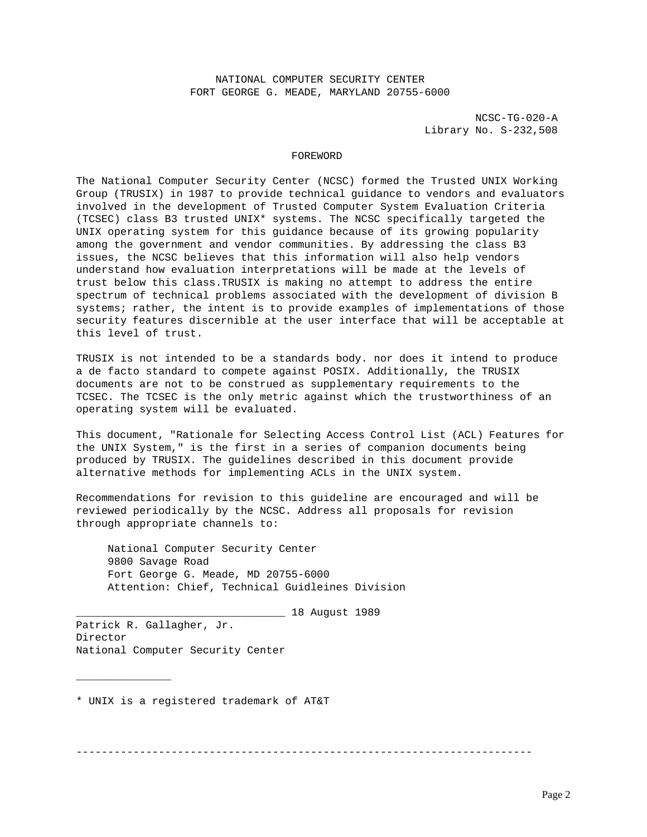NATIONAL COMPUTER SECURITY CENTER FORT GEORGE G. MEADE, MARYLAND 20755-6000

> NCSC-TG-020-A Library No. S-232,508

### FOREWORD

The National Computer Security Center (NCSC) formed the Trusted UNIX Working Group (TRUSIX) in 1987 to provide technical guidance to vendors and evaluators involved in the development of Trusted Computer System Evaluation Criteria (TCSEC) class B3 trusted UNIX\* systems. The NCSC specifically targeted the UNIX operating system for this guidance because of its growing popularity among the government and vendor communities. By addressing the class B3 issues, the NCSC believes that this information will also help vendors understand how evaluation interpretations will be made at the levels of trust below this class.TRUSIX is making no attempt to address the entire spectrum of technical problems associated with the development of division B systems; rather, the intent is to provide examples of implementations of those security features discernible at the user interface that will be acceptable at this level of trust.

TRUSIX is not intended to be a standards body. nor does it intend to produce a de facto standard to compete against POSIX. Additionally, the TRUSIX documents are not to be construed as supplementary requirements to the TCSEC. The TCSEC is the only metric against which the trustworthiness of an operating system will be evaluated.

This document, "Rationale for Selecting Access Control List (ACL) Features for the UNIX System," is the first in a series of companion documents being produced by TRUSIX. The guidelines described in this document provide alternative methods for implementing ACLs in the UNIX system.

Recommendations for revision to this guideline are encouraged and will be reviewed periodically by the NCSC. Address all proposals for revision through appropriate channels to:

 National Computer Security Center 9800 Savage Road Fort George G. Meade, MD 20755-6000 Attention: Chief, Technical Guidleines Division

\_\_\_\_\_\_\_\_\_\_\_\_\_\_\_\_\_\_\_\_\_\_\_\_\_\_\_\_\_\_\_\_\_ 18 August 1989

Patrick R. Gallagher, Jr. Director National Computer Security Center

\_\_\_\_\_\_\_\_\_\_\_\_\_\_\_

\* UNIX is a registered trademark of AT&T

------------------------------------------------------------------------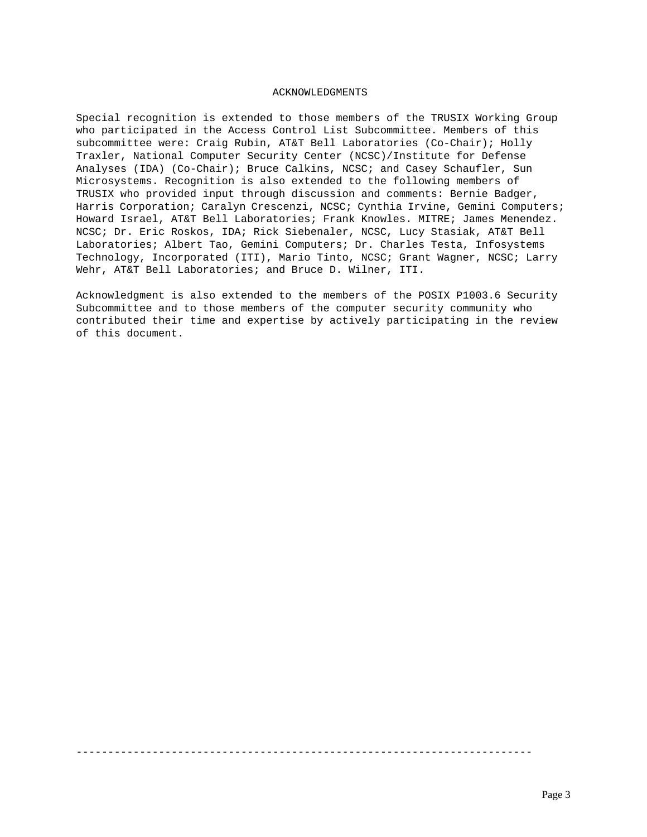## ACKNOWLEDGMENTS

Special recognition is extended to those members of the TRUSIX Working Group who participated in the Access Control List Subcommittee. Members of this subcommittee were: Craig Rubin, AT&T Bell Laboratories (Co-Chair); Holly Traxler, National Computer Security Center (NCSC)/Institute for Defense Analyses (IDA) (Co-Chair); Bruce Calkins, NCSC; and Casey Schaufler, Sun Microsystems. Recognition is also extended to the following members of TRUSIX who provided input through discussion and comments: Bernie Badger, Harris Corporation; Caralyn Crescenzi, NCSC; Cynthia Irvine, Gemini Computers; Howard Israel, AT&T Bell Laboratories; Frank Knowles. MITRE; James Menendez. NCSC; Dr. Eric Roskos, IDA; Rick Siebenaler, NCSC, Lucy Stasiak, AT&T Bell Laboratories; Albert Tao, Gemini Computers; Dr. Charles Testa, Infosystems Technology, Incorporated (ITI), Mario Tinto, NCSC; Grant Wagner, NCSC; Larry Wehr, AT&T Bell Laboratories; and Bruce D. Wilner, ITI.

Acknowledgment is also extended to the members of the POSIX P1003.6 Security Subcommittee and to those members of the computer security community who contributed their time and expertise by actively participating in the review of this document.

------------------------------------------------------------------------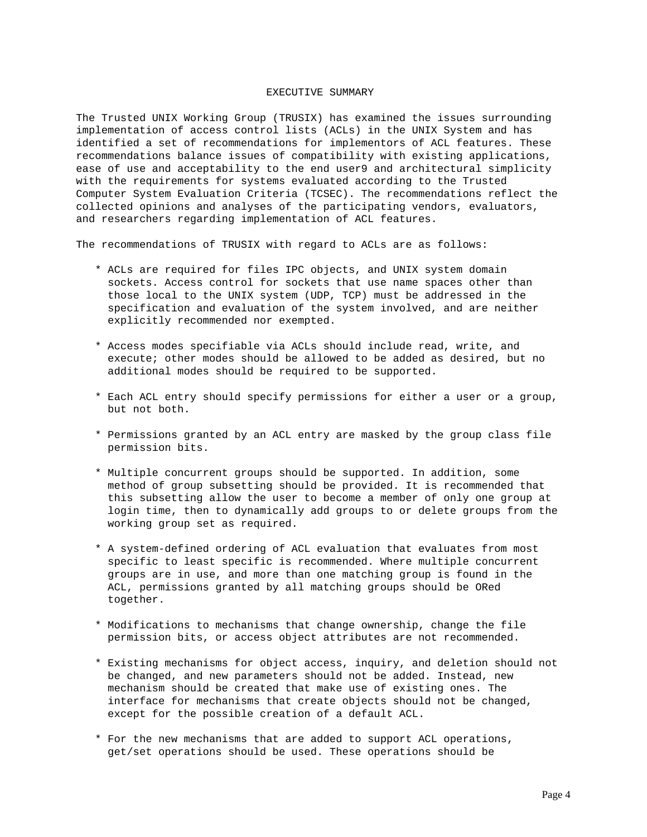# EXECUTIVE SUMMARY

The Trusted UNIX Working Group (TRUSIX) has examined the issues surrounding implementation of access control lists (ACLs) in the UNIX System and has identified a set of recommendations for implementors of ACL features. These recommendations balance issues of compatibility with existing applications, ease of use and acceptability to the end user9 and architectural simplicity with the requirements for systems evaluated according to the Trusted Computer System Evaluation Criteria (TCSEC). The recommendations reflect the collected opinions and analyses of the participating vendors, evaluators, and researchers regarding implementation of ACL features.

The recommendations of TRUSIX with regard to ACLs are as follows:

- \* ACLs are required for files IPC objects, and UNIX system domain sockets. Access control for sockets that use name spaces other than those local to the UNIX system (UDP, TCP) must be addressed in the specification and evaluation of the system involved, and are neither explicitly recommended nor exempted.
- \* Access modes specifiable via ACLs should include read, write, and execute; other modes should be allowed to be added as desired, but no additional modes should be required to be supported.
- \* Each ACL entry should specify permissions for either a user or a group, but not both.
- \* Permissions granted by an ACL entry are masked by the group class file permission bits.
- \* Multiple concurrent groups should be supported. In addition, some method of group subsetting should be provided. It is recommended that this subsetting allow the user to become a member of only one group at login time, then to dynamically add groups to or delete groups from the working group set as required.
- \* A system-defined ordering of ACL evaluation that evaluates from most specific to least specific is recommended. Where multiple concurrent groups are in use, and more than one matching group is found in the ACL, permissions granted by all matching groups should be ORed together.
- \* Modifications to mechanisms that change ownership, change the file permission bits, or access object attributes are not recommended.
- \* Existing mechanisms for object access, inquiry, and deletion should not be changed, and new parameters should not be added. Instead, new mechanism should be created that make use of existing ones. The interface for mechanisms that create objects should not be changed, except for the possible creation of a default ACL.
- \* For the new mechanisms that are added to support ACL operations, get/set operations should be used. These operations should be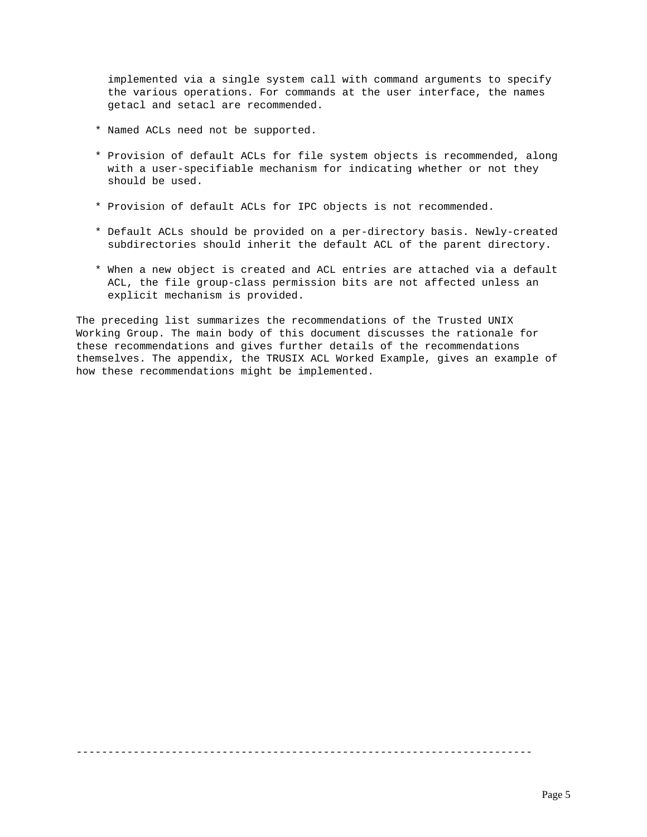implemented via a single system call with command arguments to specify the various operations. For commands at the user interface, the names getacl and setacl are recommended.

- \* Named ACLs need not be supported.
- \* Provision of default ACLs for file system objects is recommended, along with a user-specifiable mechanism for indicating whether or not they should be used.
- \* Provision of default ACLs for IPC objects is not recommended.
- \* Default ACLs should be provided on a per-directory basis. Newly-created subdirectories should inherit the default ACL of the parent directory.
- \* When a new object is created and ACL entries are attached via a default ACL, the file group-class permission bits are not affected unless an explicit mechanism is provided.

The preceding list summarizes the recommendations of the Trusted UNIX Working Group. The main body of this document discusses the rationale for these recommendations and gives further details of the recommendations themselves. The appendix, the TRUSIX ACL Worked Example, gives an example of how these recommendations might be implemented.

------------------------------------------------------------------------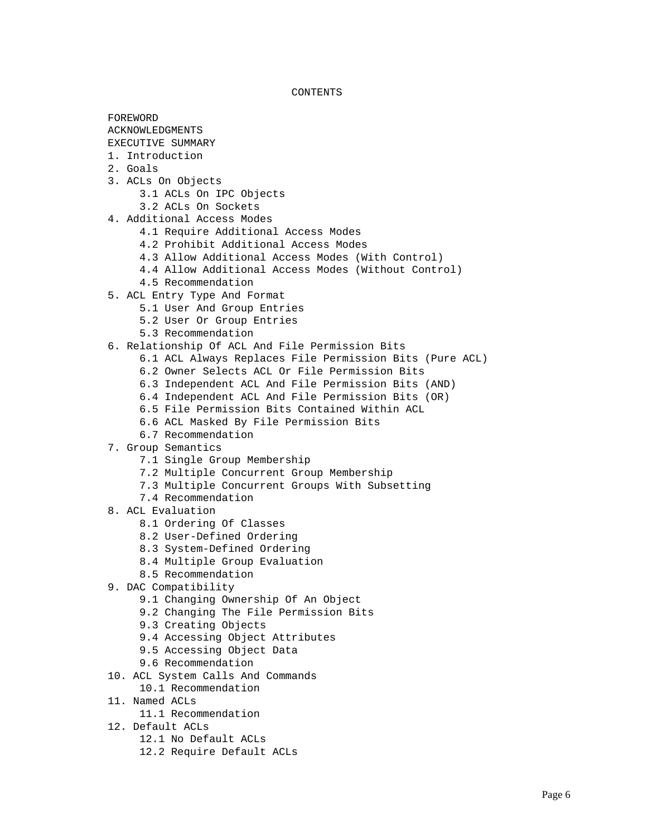CONTENTS

 FOREWORD ACKNOWLEDGMENTS EXECUTIVE SUMMARY 1. Introduction 2. Goals 3. ACLs On Objects 3.1 ACLs On IPC Objects 3.2 ACLs On Sockets 4. Additional Access Modes 4.1 Require Additional Access Modes 4.2 Prohibit Additional Access Modes 4.3 Allow Additional Access Modes (With Control) 4.4 Allow Additional Access Modes (Without Control) 4.5 Recommendation 5. ACL Entry Type And Format 5.1 User And Group Entries 5.2 User Or Group Entries 5.3 Recommendation 6. Relationship Of ACL And File Permission Bits 6.1 ACL Always Replaces File Permission Bits (Pure ACL) 6.2 Owner Selects ACL Or File Permission Bits 6.3 Independent ACL And File Permission Bits (AND) 6.4 Independent ACL And File Permission Bits (OR) 6.5 File Permission Bits Contained Within ACL 6.6 ACL Masked By File Permission Bits 6.7 Recommendation 7. Group Semantics 7.1 Single Group Membership 7.2 Multiple Concurrent Group Membership 7.3 Multiple Concurrent Groups With Subsetting 7.4 Recommendation 8. ACL Evaluation 8.1 Ordering Of Classes 8.2 User-Defined Ordering 8.3 System-Defined Ordering 8.4 Multiple Group Evaluation 8.5 Recommendation 9. DAC Compatibility 9.1 Changing Ownership Of An Object 9.2 Changing The File Permission Bits 9.3 Creating Objects 9.4 Accessing Object Attributes 9.5 Accessing Object Data 9.6 Recommendation 10. ACL System Calls And Commands 10.1 Recommendation 11. Named ACLs 11.1 Recommendation 12. Default ACLs

- 12.1 No Default ACLs
- 12.2 Require Default ACLs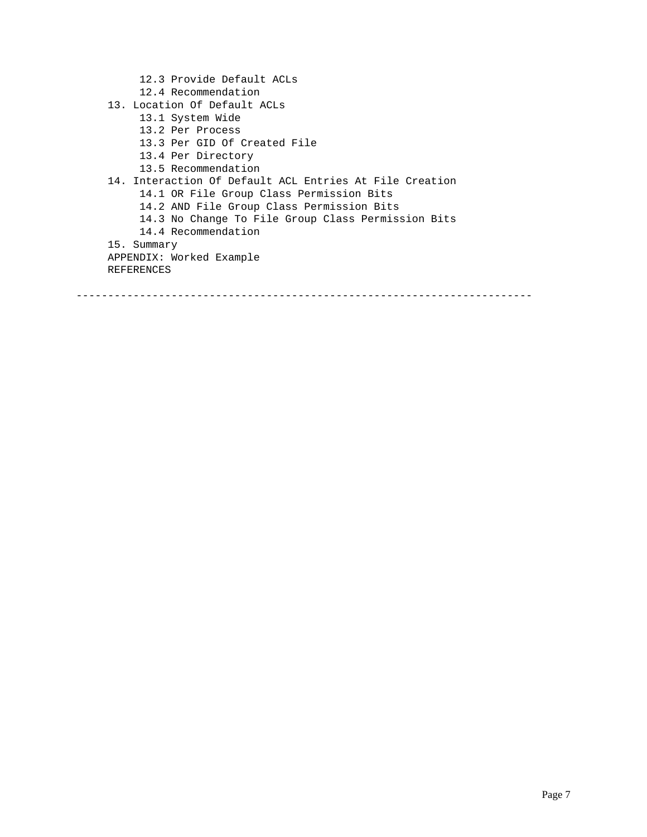12.3 Provide Default ACLs 12.4 Recommendation 13. Location Of Default ACLs 13.1 System Wide 13.2 Per Process 13.3 Per GID Of Created File 13.4 Per Directory 13.5 Recommendation 14. Interaction Of Default ACL Entries At File Creation 14.1 OR File Group Class Permission Bits 14.2 AND File Group Class Permission Bits 14.3 No Change To File Group Class Permission Bits 14.4 Recommendation 15. Summary APPENDIX: Worked Example REFERENCES

------------------------------------------------------------------------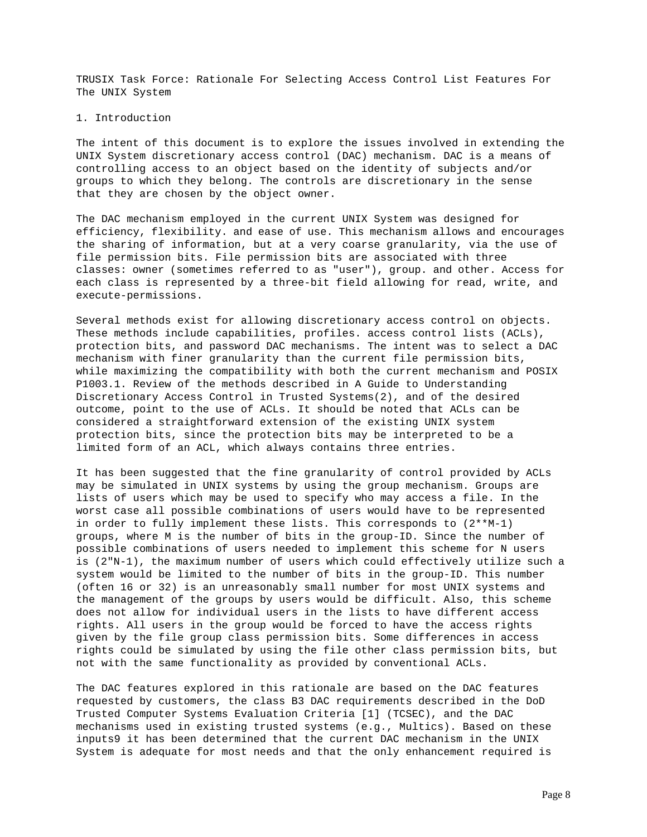TRUSIX Task Force: Rationale For Selecting Access Control List Features For The UNIX System

### 1. Introduction

The intent of this document is to explore the issues involved in extending the UNIX System discretionary access control (DAC) mechanism. DAC is a means of controlling access to an object based on the identity of subjects and/or groups to which they belong. The controls are discretionary in the sense that they are chosen by the object owner.

The DAC mechanism employed in the current UNIX System was designed for efficiency, flexibility. and ease of use. This mechanism allows and encourages the sharing of information, but at a very coarse granularity, via the use of file permission bits. File permission bits are associated with three classes: owner (sometimes referred to as "user"), group. and other. Access for each class is represented by a three-bit field allowing for read, write, and execute-permissions.

Several methods exist for allowing discretionary access control on objects. These methods include capabilities, profiles. access control lists (ACLs), protection bits, and password DAC mechanisms. The intent was to select a DAC mechanism with finer granularity than the current file permission bits, while maximizing the compatibility with both the current mechanism and POSIX P1003.1. Review of the methods described in A Guide to Understanding Discretionary Access Control in Trusted Systems(2), and of the desired outcome, point to the use of ACLs. It should be noted that ACLs can be considered a straightforward extension of the existing UNIX system protection bits, since the protection bits may be interpreted to be a limited form of an ACL, which always contains three entries.

It has been suggested that the fine granularity of control provided by ACLs may be simulated in UNIX systems by using the group mechanism. Groups are lists of users which may be used to specify who may access a file. In the worst case all possible combinations of users would have to be represented in order to fully implement these lists. This corresponds to (2\*\*M-1) groups, where M is the number of bits in the group-ID. Since the number of possible combinations of users needed to implement this scheme for N users is (2"N-1), the maximum number of users which could effectively utilize such a system would be limited to the number of bits in the group-ID. This number (often 16 or 32) is an unreasonably small number for most UNIX systems and the management of the groups by users would be difficult. Also, this scheme does not allow for individual users in the lists to have different access rights. All users in the group would be forced to have the access rights given by the file group class permission bits. Some differences in access rights could be simulated by using the file other class permission bits, but not with the same functionality as provided by conventional ACLs.

The DAC features explored in this rationale are based on the DAC features requested by customers, the class B3 DAC requirements described in the DoD Trusted Computer Systems Evaluation Criteria [1] (TCSEC), and the DAC mechanisms used in existing trusted systems (e.g., Multics). Based on these inputs9 it has been determined that the current DAC mechanism in the UNIX System is adequate for most needs and that the only enhancement required is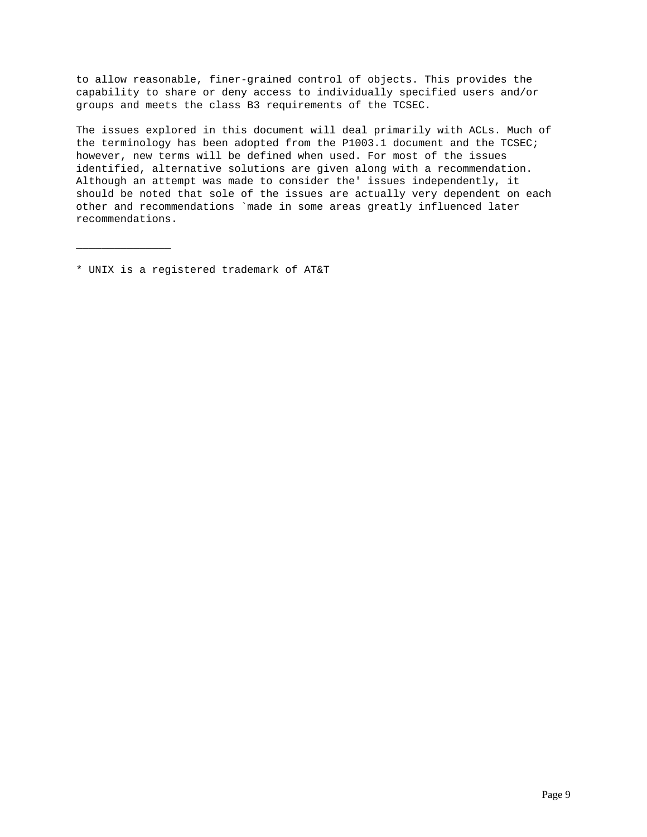to allow reasonable, finer-grained control of objects. This provides the capability to share or deny access to individually specified users and/or groups and meets the class B3 requirements of the TCSEC.

The issues explored in this document will deal primarily with ACLs. Much of the terminology has been adopted from the P1003.1 document and the TCSEC; however, new terms will be defined when used. For most of the issues identified, alternative solutions are given along with a recommendation. Although an attempt was made to consider the' issues independently, it should be noted that sole of the issues are actually very dependent on each other and recommendations `made in some areas greatly influenced later recommendations.

\* UNIX is a registered trademark of AT&T

\_\_\_\_\_\_\_\_\_\_\_\_\_\_\_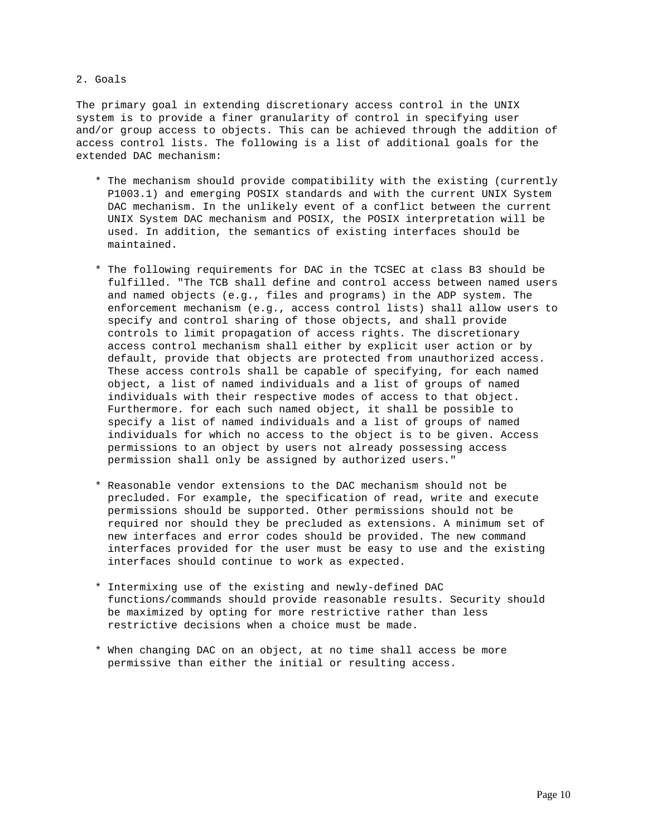## 2. Goals

The primary goal in extending discretionary access control in the UNIX system is to provide a finer granularity of control in specifying user and/or group access to objects. This can be achieved through the addition of access control lists. The following is a list of additional goals for the extended DAC mechanism:

- \* The mechanism should provide compatibility with the existing (currently P1003.1) and emerging POSIX standards and with the current UNIX System DAC mechanism. In the unlikely event of a conflict between the current UNIX System DAC mechanism and POSIX, the POSIX interpretation will be used. In addition, the semantics of existing interfaces should be maintained.
- \* The following requirements for DAC in the TCSEC at class B3 should be fulfilled. "The TCB shall define and control access between named users and named objects (e.g., files and programs) in the ADP system. The enforcement mechanism (e.g., access control lists) shall allow users to specify and control sharing of those objects, and shall provide controls to limit propagation of access rights. The discretionary access control mechanism shall either by explicit user action or by default, provide that objects are protected from unauthorized access. These access controls shall be capable of specifying, for each named object, a list of named individuals and a list of groups of named individuals with their respective modes of access to that object. Furthermore. for each such named object, it shall be possible to specify a list of named individuals and a list of groups of named individuals for which no access to the object is to be given. Access permissions to an object by users not already possessing access permission shall only be assigned by authorized users."
- \* Reasonable vendor extensions to the DAC mechanism should not be precluded. For example, the specification of read, write and execute permissions should be supported. Other permissions should not be required nor should they be precluded as extensions. A minimum set of new interfaces and error codes should be provided. The new command interfaces provided for the user must be easy to use and the existing interfaces should continue to work as expected.
- \* Intermixing use of the existing and newly-defined DAC functions/commands should provide reasonable results. Security should be maximized by opting for more restrictive rather than less restrictive decisions when a choice must be made.
- \* When changing DAC on an object, at no time shall access be more permissive than either the initial or resulting access.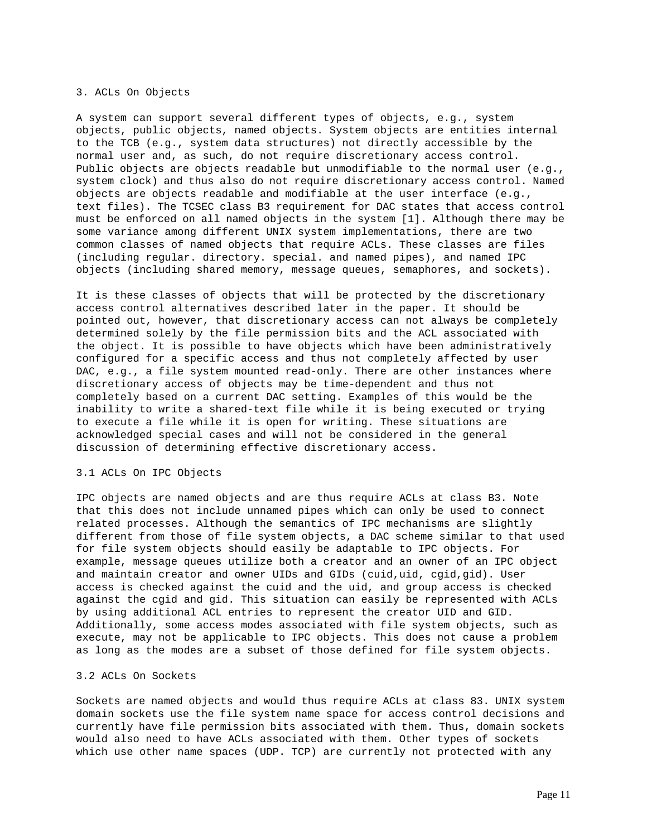## 3. ACLs On Objects

A system can support several different types of objects, e.g., system objects, public objects, named objects. System objects are entities internal to the TCB (e.g., system data structures) not directly accessible by the normal user and, as such, do not require discretionary access control. Public objects are objects readable but unmodifiable to the normal user (e.g., system clock) and thus also do not require discretionary access control. Named objects are objects readable and modifiable at the user interface (e.g., text files). The TCSEC class B3 requirement for DAC states that access control must be enforced on all named objects in the system [1]. Although there may be some variance among different UNIX system implementations, there are two common classes of named objects that require ACLs. These classes are files (including regular. directory. special. and named pipes), and named IPC objects (including shared memory, message queues, semaphores, and sockets).

It is these classes of objects that will be protected by the discretionary access control alternatives described later in the paper. It should be pointed out, however, that discretionary access can not always be completely determined solely by the file permission bits and the ACL associated with the object. It is possible to have objects which have been administratively configured for a specific access and thus not completely affected by user DAC, e.g., a file system mounted read-only. There are other instances where discretionary access of objects may be time-dependent and thus not completely based on a current DAC setting. Examples of this would be the inability to write a shared-text file while it is being executed or trying to execute a file while it is open for writing. These situations are acknowledged special cases and will not be considered in the general discussion of determining effective discretionary access.

#### 3.1 ACLs On IPC Objects

IPC objects are named objects and are thus require ACLs at class B3. Note that this does not include unnamed pipes which can only be used to connect related processes. Although the semantics of IPC mechanisms are slightly different from those of file system objects, a DAC scheme similar to that used for file system objects should easily be adaptable to IPC objects. For example, message queues utilize both a creator and an owner of an IPC object and maintain creator and owner UIDs and GIDs (cuid,uid, cgid,gid). User access is checked against the cuid and the uid, and group access is checked against the cgid and gid. This situation can easily be represented with ACLs by using additional ACL entries to represent the creator UID and GID. Additionally, some access modes associated with file system objects, such as execute, may not be applicable to IPC objects. This does not cause a problem as long as the modes are a subset of those defined for file system objects.

## 3.2 ACLs On Sockets

Sockets are named objects and would thus require ACLs at class 83. UNIX system domain sockets use the file system name space for access control decisions and currently have file permission bits associated with them. Thus, domain sockets would also need to have ACLs associated with them. Other types of sockets which use other name spaces (UDP. TCP) are currently not protected with any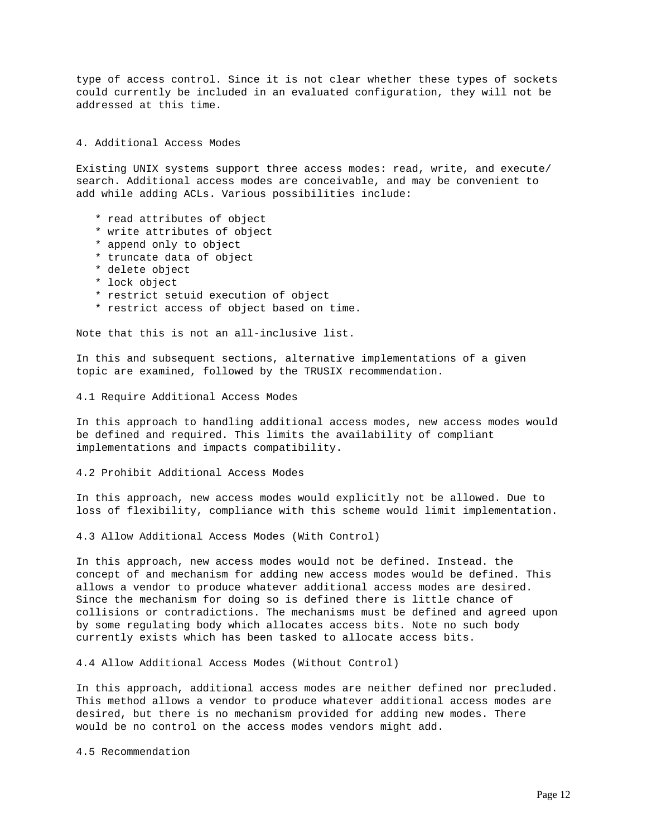type of access control. Since it is not clear whether these types of sockets could currently be included in an evaluated configuration, they will not be addressed at this time.

# 4. Additional Access Modes

Existing UNIX systems support three access modes: read, write, and execute/ search. Additional access modes are conceivable, and may be convenient to add while adding ACLs. Various possibilities include:

- \* read attributes of object
- \* write attributes of object
- \* append only to object
- \* truncate data of object
- \* delete object
- \* lock object
- \* restrict setuid execution of object
- \* restrict access of object based on time.

Note that this is not an all-inclusive list.

In this and subsequent sections, alternative implementations of a given topic are examined, followed by the TRUSIX recommendation.

4.1 Require Additional Access Modes

In this approach to handling additional access modes, new access modes would be defined and required. This limits the availability of compliant implementations and impacts compatibility.

4.2 Prohibit Additional Access Modes

In this approach, new access modes would explicitly not be allowed. Due to loss of flexibility, compliance with this scheme would limit implementation.

4.3 Allow Additional Access Modes (With Control)

In this approach, new access modes would not be defined. Instead. the concept of and mechanism for adding new access modes would be defined. This allows a vendor to produce whatever additional access modes are desired. Since the mechanism for doing so is defined there is little chance of collisions or contradictions. The mechanisms must be defined and agreed upon by some regulating body which allocates access bits. Note no such body currently exists which has been tasked to allocate access bits.

4.4 Allow Additional Access Modes (Without Control)

In this approach, additional access modes are neither defined nor precluded. This method allows a vendor to produce whatever additional access modes are desired, but there is no mechanism provided for adding new modes. There would be no control on the access modes vendors might add.

4.5 Recommendation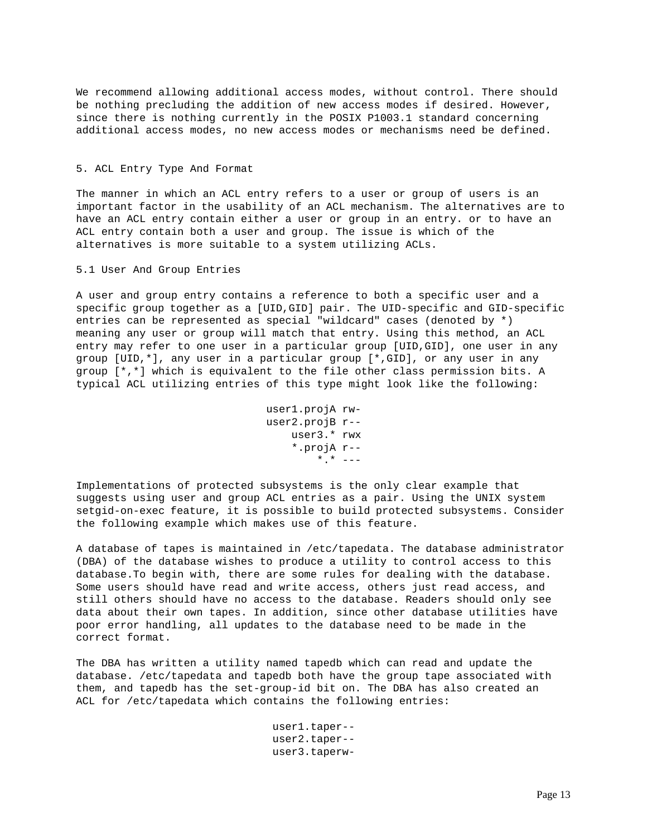We recommend allowing additional access modes, without control. There should be nothing precluding the addition of new access modes if desired. However, since there is nothing currently in the POSIX P1003.1 standard concerning additional access modes, no new access modes or mechanisms need be defined.

# 5. ACL Entry Type And Format

The manner in which an ACL entry refers to a user or group of users is an important factor in the usability of an ACL mechanism. The alternatives are to have an ACL entry contain either a user or group in an entry. or to have an ACL entry contain both a user and group. The issue is which of the alternatives is more suitable to a system utilizing ACLs.

#### 5.1 User And Group Entries

A user and group entry contains a reference to both a specific user and a specific group together as a [UID,GID] pair. The UID-specific and GID-specific entries can be represented as special "wildcard" cases (denoted by \*) meaning any user or group will match that entry. Using this method, an ACL entry may refer to one user in a particular group [UID,GID], one user in any group [UID,\*], any user in a particular group [\*,GID], or any user in any group [\*,\*] which is equivalent to the file other class permission bits. A typical ACL utilizing entries of this type might look like the following:

```
 user1.projA rw-
 user2.projB r--
     user3.* rwx
     *.projA r--
        *.* ---
```
Implementations of protected subsystems is the only clear example that suggests using user and group ACL entries as a pair. Using the UNIX system setgid-on-exec feature, it is possible to build protected subsystems. Consider the following example which makes use of this feature.

A database of tapes is maintained in /etc/tapedata. The database administrator (DBA) of the database wishes to produce a utility to control access to this database.To begin with, there are some rules for dealing with the database. Some users should have read and write access, others just read access, and still others should have no access to the database. Readers should only see data about their own tapes. In addition, since other database utilities have poor error handling, all updates to the database need to be made in the correct format.

The DBA has written a utility named tapedb which can read and update the database. /etc/tapedata and tapedb both have the group tape associated with them, and tapedb has the set-group-id bit on. The DBA has also created an ACL for /etc/tapedata which contains the following entries:

> user1.taper- user2.taper- user3.taperw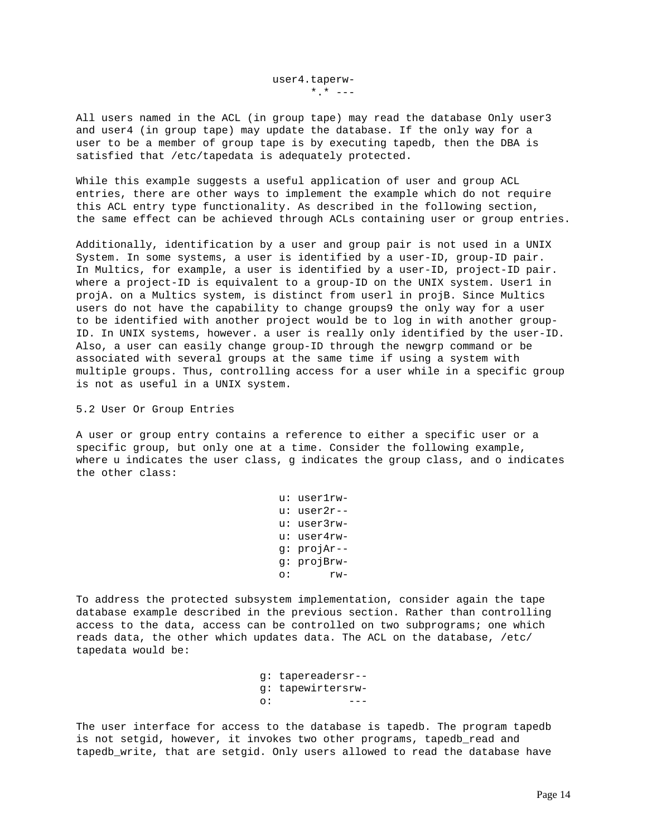All users named in the ACL (in group tape) may read the database Only user3 and user4 (in group tape) may update the database. If the only way for a user to be a member of group tape is by executing tapedb, then the DBA is satisfied that /etc/tapedata is adequately protected.

While this example suggests a useful application of user and group ACL entries, there are other ways to implement the example which do not require this ACL entry type functionality. As described in the following section, the same effect can be achieved through ACLs containing user or group entries.

Additionally, identification by a user and group pair is not used in a UNIX System. In some systems, a user is identified by a user-ID, group-ID pair. In Multics, for example, a user is identified by a user-ID, project-ID pair. where a project-ID is equivalent to a group-ID on the UNIX system. User1 in projA. on a Multics system, is distinct from userl in projB. Since Multics users do not have the capability to change groups9 the only way for a user to be identified with another project would be to log in with another group-ID. In UNIX systems, however. a user is really only identified by the user-ID. Also, a user can easily change group-ID through the newgrp command or be associated with several groups at the same time if using a system with multiple groups. Thus, controlling access for a user while in a specific group is not as useful in a UNIX system.

### 5.2 User Or Group Entries

A user or group entry contains a reference to either a specific user or a specific group, but only one at a time. Consider the following example, where u indicates the user class, g indicates the group class, and o indicates the other class:

 u: user1rw u: user2r- u: user3rw u: user4rw g: projAr- g: projBrw o: rw-

To address the protected subsystem implementation, consider again the tape database example described in the previous section. Rather than controlling access to the data, access can be controlled on two subprograms; one which reads data, the other which updates data. The ACL on the database, /etc/ tapedata would be:

 g: tapereadersr- g: tapewirtersrw-  $\circ$ :  $\qquad \qquad \overline{\phantom{a}}$ 

The user interface for access to the database is tapedb. The program tapedb is not setgid, however, it invokes two other programs, tapedb read and tapedb\_write, that are setgid. Only users allowed to read the database have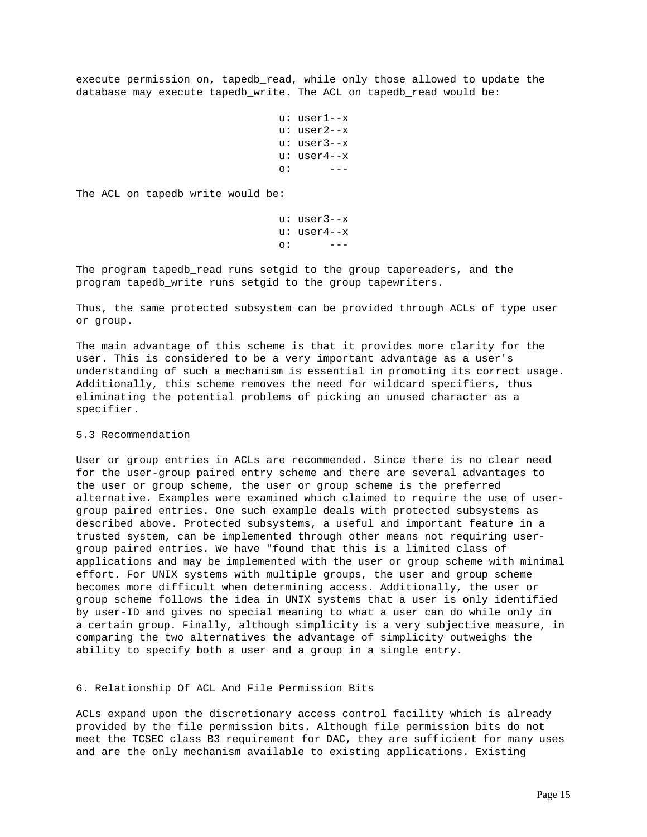execute permission on, tapedb\_read, while only those allowed to update the database may execute tapedb\_write. The ACL on tapedb\_read would be:

```
 u: user1--x
                      u: user2--x
                      u: user3--x
                      u: user4--x
 o: ---
```
The ACL on tapedb\_write would be:

```
 u: user3--x
                 u: user4--x
 o: ---
```
The program tapedb read runs setgid to the group tapereaders, and the program tapedb\_write runs setgid to the group tapewriters.

Thus, the same protected subsystem can be provided through ACLs of type user or group.

The main advantage of this scheme is that it provides more clarity for the user. This is considered to be a very important advantage as a user's understanding of such a mechanism is essential in promoting its correct usage. Additionally, this scheme removes the need for wildcard specifiers, thus eliminating the potential problems of picking an unused character as a specifier.

# 5.3 Recommendation

User or group entries in ACLs are recommended. Since there is no clear need for the user-group paired entry scheme and there are several advantages to the user or group scheme, the user or group scheme is the preferred alternative. Examples were examined which claimed to require the use of usergroup paired entries. One such example deals with protected subsystems as described above. Protected subsystems, a useful and important feature in a trusted system, can be implemented through other means not requiring usergroup paired entries. We have "found that this is a limited class of applications and may be implemented with the user or group scheme with minimal effort. For UNIX systems with multiple groups, the user and group scheme becomes more difficult when determining access. Additionally, the user or group scheme follows the idea in UNIX systems that a user is only identified by user-ID and gives no special meaning to what a user can do while only in a certain group. Finally, although simplicity is a very subjective measure, in comparing the two alternatives the advantage of simplicity outweighs the ability to specify both a user and a group in a single entry.

#### 6. Relationship Of ACL And File Permission Bits

ACLs expand upon the discretionary access control facility which is already provided by the file permission bits. Although file permission bits do not meet the TCSEC class B3 requirement for DAC, they are sufficient for many uses and are the only mechanism available to existing applications. Existing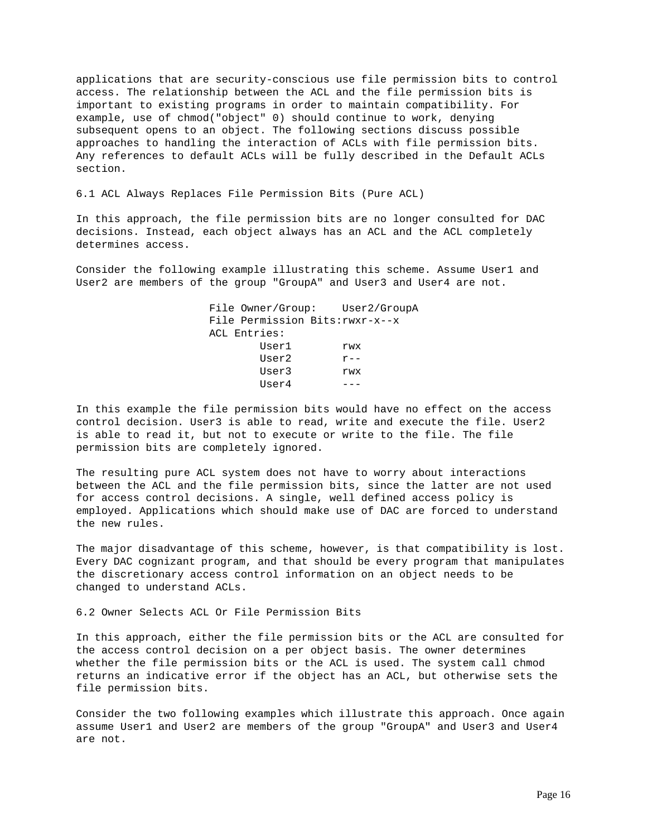applications that are security-conscious use file permission bits to control access. The relationship between the ACL and the file permission bits is important to existing programs in order to maintain compatibility. For example, use of chmod("object" 0) should continue to work, denying subsequent opens to an object. The following sections discuss possible approaches to handling the interaction of ACLs with file permission bits. Any references to default ACLs will be fully described in the Default ACLs section.

6.1 ACL Always Replaces File Permission Bits (Pure ACL)

In this approach, the file permission bits are no longer consulted for DAC decisions. Instead, each object always has an ACL and the ACL completely determines access.

Consider the following example illustrating this scheme. Assume User1 and User2 are members of the group "GroupA" and User3 and User4 are not.

> File Owner/Group: User2/GroupA File Permission Bits:rwxr-x--x ACL Entries: User1 rwx User2  $r--$  User3 rwx  $User4$  ---

In this example the file permission bits would have no effect on the access control decision. User3 is able to read, write and execute the file. User2 is able to read it, but not to execute or write to the file. The file permission bits are completely ignored.

The resulting pure ACL system does not have to worry about interactions between the ACL and the file permission bits, since the latter are not used for access control decisions. A single, well defined access policy is employed. Applications which should make use of DAC are forced to understand the new rules.

The major disadvantage of this scheme, however, is that compatibility is lost. Every DAC cognizant program, and that should be every program that manipulates the discretionary access control information on an object needs to be changed to understand ACLs.

6.2 Owner Selects ACL Or File Permission Bits

In this approach, either the file permission bits or the ACL are consulted for the access control decision on a per object basis. The owner determines whether the file permission bits or the ACL is used. The system call chmod returns an indicative error if the object has an ACL, but otherwise sets the file permission bits.

Consider the two following examples which illustrate this approach. Once again assume User1 and User2 are members of the group "GroupA" and User3 and User4 are not.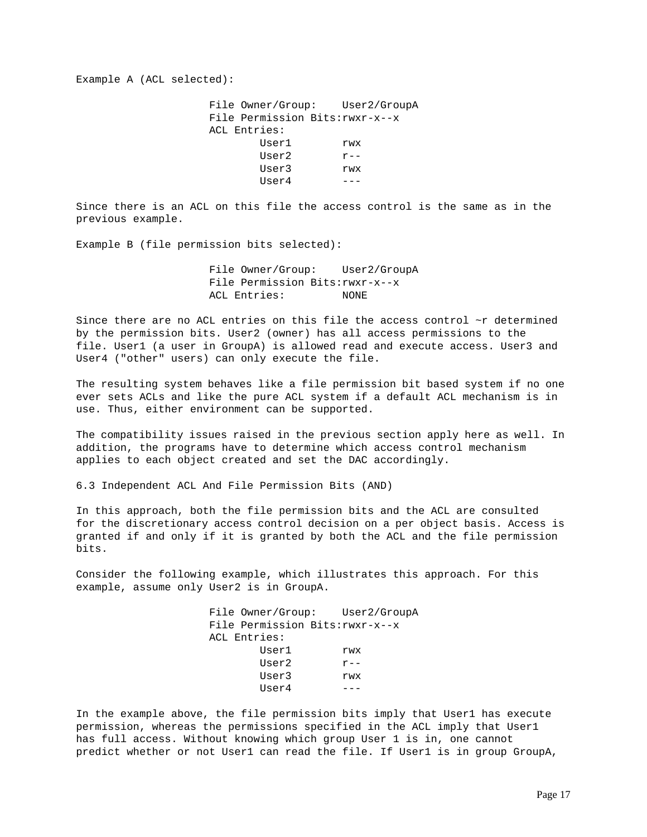Example A (ACL selected):

 File Owner/Group: User2/GroupA File Permission Bits:rwxr-x--x ACL Entries: User1 rwx User $2$   $r--$  User3 rwx  $User4$  ---

Since there is an ACL on this file the access control is the same as in the previous example.

Example B (file permission bits selected):

 File Owner/Group: User2/GroupA File Permission Bits:rwxr-x--x ACL Entries: NONE

Since there are no ACL entries on this file the access control ~r determined by the permission bits. User2 (owner) has all access permissions to the file. User1 (a user in GroupA) is allowed read and execute access. User3 and User4 ("other" users) can only execute the file.

The resulting system behaves like a file permission bit based system if no one ever sets ACLs and like the pure ACL system if a default ACL mechanism is in use. Thus, either environment can be supported.

The compatibility issues raised in the previous section apply here as well. In addition, the programs have to determine which access control mechanism applies to each object created and set the DAC accordingly.

6.3 Independent ACL And File Permission Bits (AND)

In this approach, both the file permission bits and the ACL are consulted for the discretionary access control decision on a per object basis. Access is granted if and only if it is granted by both the ACL and the file permission bits.

Consider the following example, which illustrates this approach. For this example, assume only User2 is in GroupA.

| File Owner/Group: User2/GroupA  |         |
|---------------------------------|---------|
| File Permission Bits: rwxr-x--x |         |
| ACL Entries:                    |         |
| Userl                           | rwx     |
| User2                           | $r - -$ |
| User3                           | rwx     |
| User4                           |         |
|                                 |         |

In the example above, the file permission bits imply that User1 has execute permission, whereas the permissions specified in the ACL imply that User1 has full access. Without knowing which group User 1 is in, one cannot predict whether or not User1 can read the file. If User1 is in group GroupA,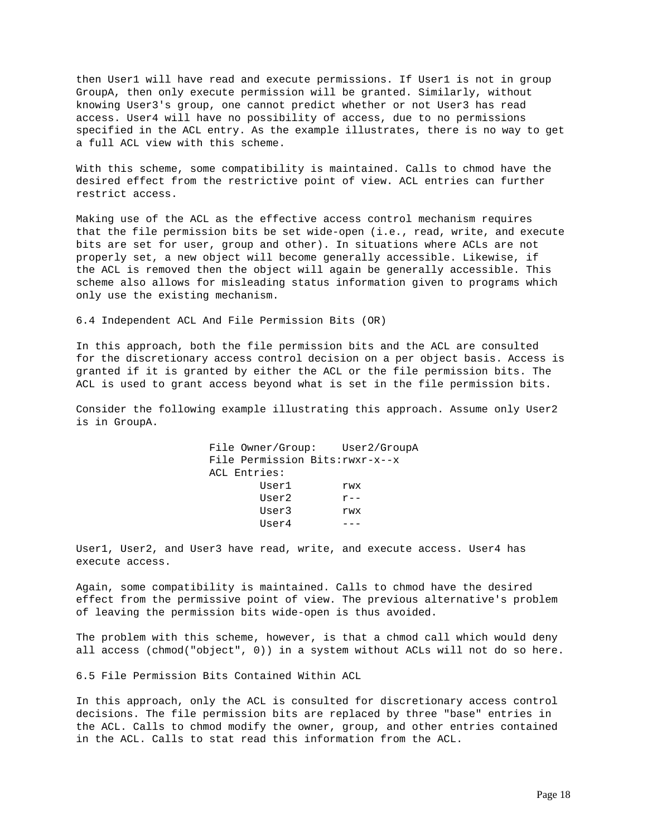then User1 will have read and execute permissions. If User1 is not in group GroupA, then only execute permission will be granted. Similarly, without knowing User3's group, one cannot predict whether or not User3 has read access. User4 will have no possibility of access, due to no permissions specified in the ACL entry. As the example illustrates, there is no way to get a full ACL view with this scheme.

With this scheme, some compatibility is maintained. Calls to chmod have the desired effect from the restrictive point of view. ACL entries can further restrict access.

Making use of the ACL as the effective access control mechanism requires that the file permission bits be set wide-open (i.e., read, write, and execute bits are set for user, group and other). In situations where ACLs are not properly set, a new object will become generally accessible. Likewise, if the ACL is removed then the object will again be generally accessible. This scheme also allows for misleading status information given to programs which only use the existing mechanism.

6.4 Independent ACL And File Permission Bits (OR)

In this approach, both the file permission bits and the ACL are consulted for the discretionary access control decision on a per object basis. Access is granted if it is granted by either the ACL or the file permission bits. The ACL is used to grant access beyond what is set in the file permission bits.

Consider the following example illustrating this approach. Assume only User2 is in GroupA.

> File Owner/Group: User2/GroupA File Permission Bits:rwxr-x--x ACL Entries: User1 rwx User2 r-- User3 rwx  $User4$  ---

User1, User2, and User3 have read, write, and execute access. User4 has execute access.

Again, some compatibility is maintained. Calls to chmod have the desired effect from the permissive point of view. The previous alternative's problem of leaving the permission bits wide-open is thus avoided.

The problem with this scheme, however, is that a chmod call which would deny all access (chmod("object", 0)) in a system without ACLs will not do so here.

6.5 File Permission Bits Contained Within ACL

In this approach, only the ACL is consulted for discretionary access control decisions. The file permission bits are replaced by three "base" entries in the ACL. Calls to chmod modify the owner, group, and other entries contained in the ACL. Calls to stat read this information from the ACL.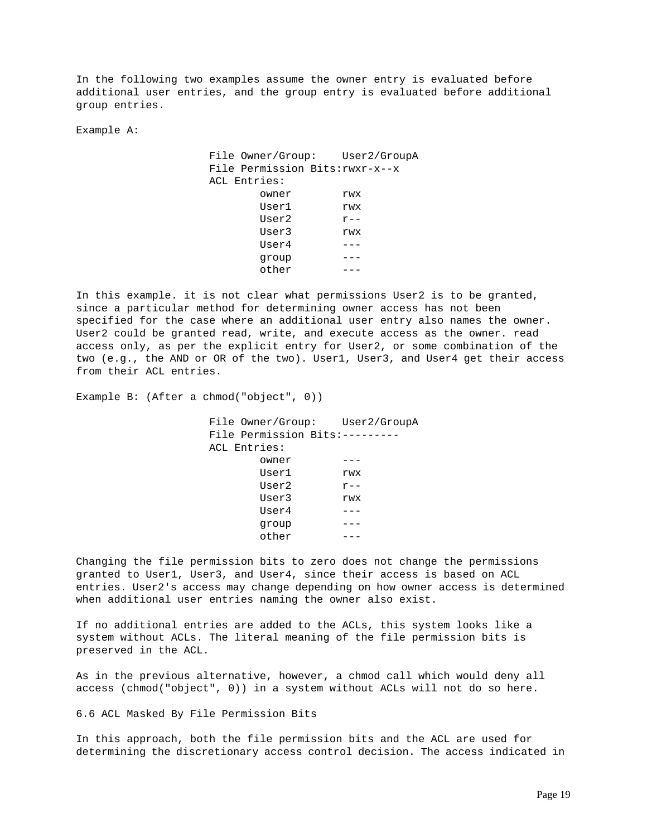In the following two examples assume the owner entry is evaluated before additional user entries, and the group entry is evaluated before additional group entries.

Example A:

 File Owner/Group: User2/GroupA File Permission Bits:rwxr-x--x ACL Entries: owner rwx User1 rwx User2 r-- User3 rwx  $User4$  -- group -- other  $---$ 

In this example. it is not clear what permissions User2 is to be granted, since a particular method for determining owner access has not been specified for the case where an additional user entry also names the owner. User2 could be granted read, write, and execute access as the owner. read access only, as per the explicit entry for User2, or some combination of the two (e.g., the AND or OR of the two). User1, User3, and User4 get their access from their ACL entries.

Example B: (After a chmod("object", 0))

 File Owner/Group: User2/GroupA File Permission Bits:--------- ACL Entries: owner --- User1 rwx User2  $r--$  User3 rwx  $User4$  -- group -- other ---

Changing the file permission bits to zero does not change the permissions granted to User1, User3, and User4, since their access is based on ACL entries. User2's access may change depending on how owner access is determined when additional user entries naming the owner also exist.

If no additional entries are added to the ACLs, this system looks like a system without ACLs. The literal meaning of the file permission bits is preserved in the ACL.

As in the previous alternative, however, a chmod call which would deny all access (chmod("object", 0)) in a system without ACLs will not do so here.

6.6 ACL Masked By File Permission Bits

In this approach, both the file permission bits and the ACL are used for determining the discretionary access control decision. The access indicated in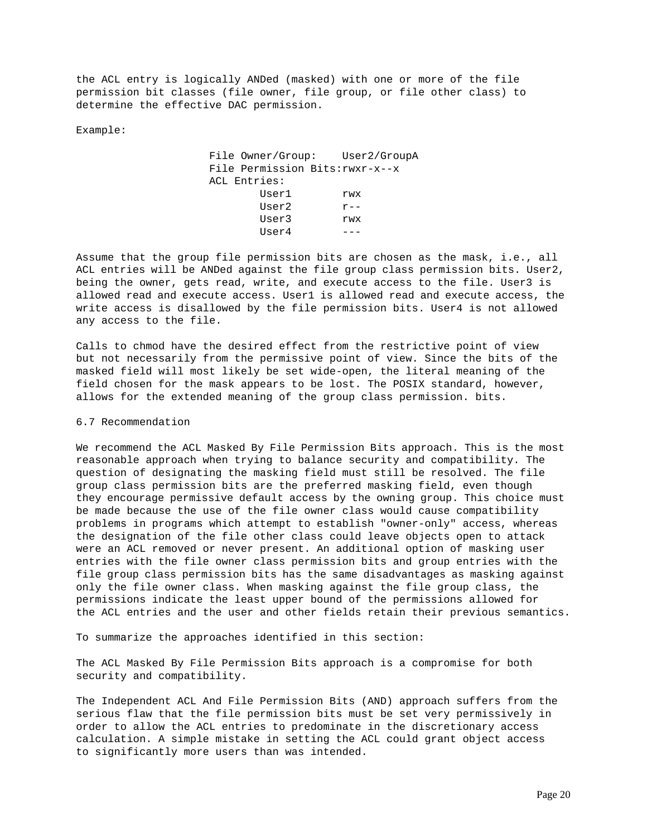the ACL entry is logically ANDed (masked) with one or more of the file permission bit classes (file owner, file group, or file other class) to determine the effective DAC permission.

Example:

 File Owner/Group: User2/GroupA File Permission Bits:rwxr-x--x ACL Entries: User1 rwx User2  $r--$  User3 rwx  $User4$  ---

Assume that the group file permission bits are chosen as the mask, i.e., all ACL entries will be ANDed against the file group class permission bits. User2, being the owner, gets read, write, and execute access to the file. User3 is allowed read and execute access. User1 is allowed read and execute access, the write access is disallowed by the file permission bits. User4 is not allowed any access to the file.

Calls to chmod have the desired effect from the restrictive point of view but not necessarily from the permissive point of view. Since the bits of the masked field will most likely be set wide-open, the literal meaning of the field chosen for the mask appears to be lost. The POSIX standard, however, allows for the extended meaning of the group class permission. bits.

# 6.7 Recommendation

We recommend the ACL Masked By File Permission Bits approach. This is the most reasonable approach when trying to balance security and compatibility. The question of designating the masking field must still be resolved. The file group class permission bits are the preferred masking field, even though they encourage permissive default access by the owning group. This choice must be made because the use of the file owner class would cause compatibility problems in programs which attempt to establish "owner-only" access, whereas the designation of the file other class could leave objects open to attack were an ACL removed or never present. An additional option of masking user entries with the file owner class permission bits and group entries with the file group class permission bits has the same disadvantages as masking against only the file owner class. When masking against the file group class, the permissions indicate the least upper bound of the permissions allowed for the ACL entries and the user and other fields retain their previous semantics.

To summarize the approaches identified in this section:

The ACL Masked By File Permission Bits approach is a compromise for both security and compatibility.

The Independent ACL And File Permission Bits (AND) approach suffers from the serious flaw that the file permission bits must be set very permissively in order to allow the ACL entries to predominate in the discretionary access calculation. A simple mistake in setting the ACL could grant object access to significantly more users than was intended.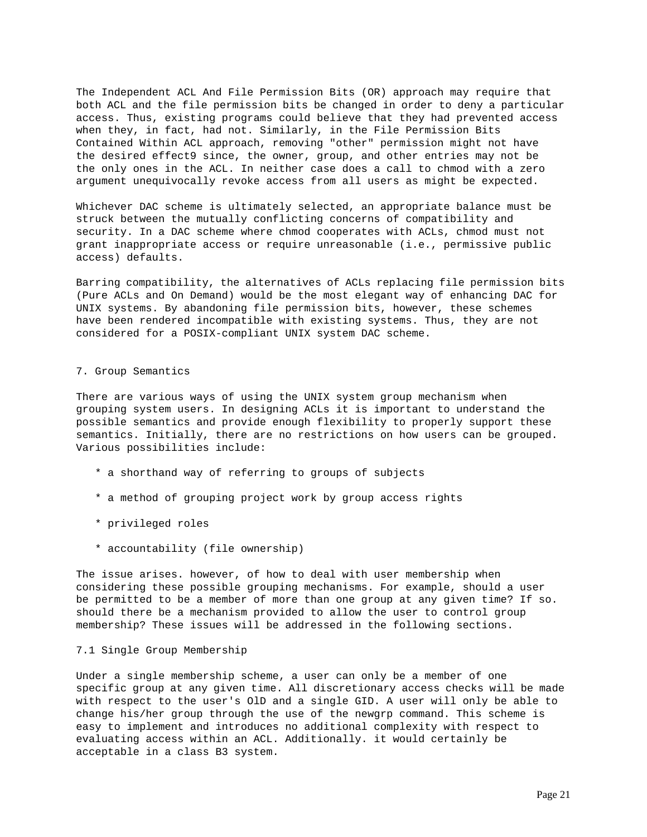The Independent ACL And File Permission Bits (OR) approach may require that both ACL and the file permission bits be changed in order to deny a particular access. Thus, existing programs could believe that they had prevented access when they, in fact, had not. Similarly, in the File Permission Bits Contained Within ACL approach, removing "other" permission might not have the desired effect9 since, the owner, group, and other entries may not be the only ones in the ACL. In neither case does a call to chmod with a zero argument unequivocally revoke access from all users as might be expected.

Whichever DAC scheme is ultimately selected, an appropriate balance must be struck between the mutually conflicting concerns of compatibility and security. In a DAC scheme where chmod cooperates with ACLs, chmod must not grant inappropriate access or require unreasonable (i.e., permissive public access) defaults.

Barring compatibility, the alternatives of ACLs replacing file permission bits (Pure ACLs and On Demand) would be the most elegant way of enhancing DAC for UNIX systems. By abandoning file permission bits, however, these schemes have been rendered incompatible with existing systems. Thus, they are not considered for a POSIX-compliant UNIX system DAC scheme.

### 7. Group Semantics

There are various ways of using the UNIX system group mechanism when grouping system users. In designing ACLs it is important to understand the possible semantics and provide enough flexibility to properly support these semantics. Initially, there are no restrictions on how users can be grouped. Various possibilities include:

- \* a shorthand way of referring to groups of subjects
- \* a method of grouping project work by group access rights
- \* privileged roles
- \* accountability (file ownership)

The issue arises. however, of how to deal with user membership when considering these possible grouping mechanisms. For example, should a user be permitted to be a member of more than one group at any given time? If so. should there be a mechanism provided to allow the user to control group membership? These issues will be addressed in the following sections.

# 7.1 Single Group Membership

Under a single membership scheme, a user can only be a member of one specific group at any given time. All discretionary access checks will be made with respect to the user's OlD and a single GID. A user will only be able to change his/her group through the use of the newgrp command. This scheme is easy to implement and introduces no additional complexity with respect to evaluating access within an ACL. Additionally. it would certainly be acceptable in a class B3 system.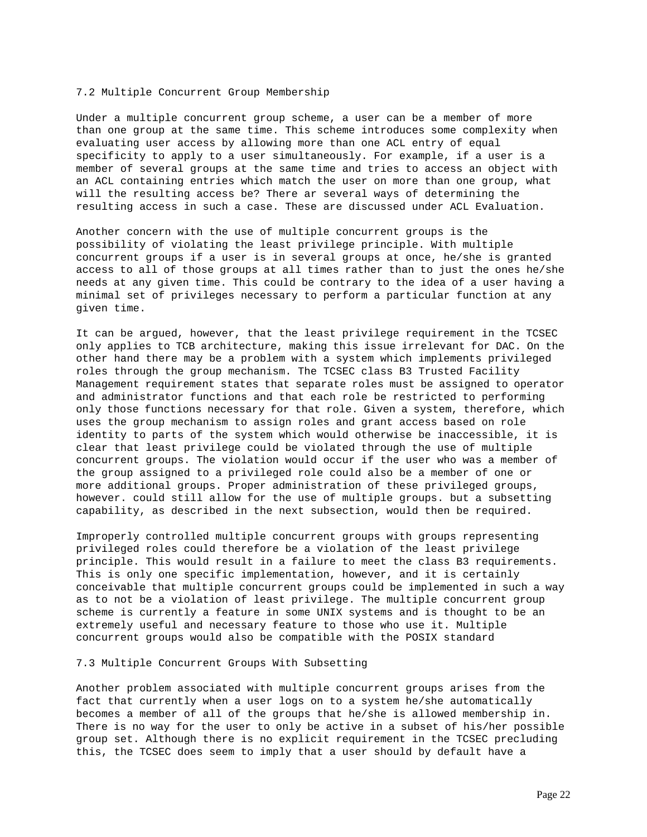### 7.2 Multiple Concurrent Group Membership

Under a multiple concurrent group scheme, a user can be a member of more than one group at the same time. This scheme introduces some complexity when evaluating user access by allowing more than one ACL entry of equal specificity to apply to a user simultaneously. For example, if a user is a member of several groups at the same time and tries to access an object with an ACL containing entries which match the user on more than one group, what will the resulting access be? There ar several ways of determining the resulting access in such a case. These are discussed under ACL Evaluation.

Another concern with the use of multiple concurrent groups is the possibility of violating the least privilege principle. With multiple concurrent groups if a user is in several groups at once, he/she is granted access to all of those groups at all times rather than to just the ones he/she needs at any given time. This could be contrary to the idea of a user having a minimal set of privileges necessary to perform a particular function at any given time.

It can be argued, however, that the least privilege requirement in the TCSEC only applies to TCB architecture, making this issue irrelevant for DAC. On the other hand there may be a problem with a system which implements privileged roles through the group mechanism. The TCSEC class B3 Trusted Facility Management requirement states that separate roles must be assigned to operator and administrator functions and that each role be restricted to performing only those functions necessary for that role. Given a system, therefore, which uses the group mechanism to assign roles and grant access based on role identity to parts of the system which would otherwise be inaccessible, it is clear that least privilege could be violated through the use of multiple concurrent groups. The violation would occur if the user who was a member of the group assigned to a privileged role could also be a member of one or more additional groups. Proper administration of these privileged groups, however. could still allow for the use of multiple groups. but a subsetting capability, as described in the next subsection, would then be required.

Improperly controlled multiple concurrent groups with groups representing privileged roles could therefore be a violation of the least privilege principle. This would result in a failure to meet the class B3 requirements. This is only one specific implementation, however, and it is certainly conceivable that multiple concurrent groups could be implemented in such a way as to not be a violation of least privilege. The multiple concurrent group scheme is currently a feature in some UNIX systems and is thought to be an extremely useful and necessary feature to those who use it. Multiple concurrent groups would also be compatible with the POSIX standard

#### 7.3 Multiple Concurrent Groups With Subsetting

Another problem associated with multiple concurrent groups arises from the fact that currently when a user logs on to a system he/she automatically becomes a member of all of the groups that he/she is allowed membership in. There is no way for the user to only be active in a subset of his/her possible group set. Although there is no explicit requirement in the TCSEC precluding this, the TCSEC does seem to imply that a user should by default have a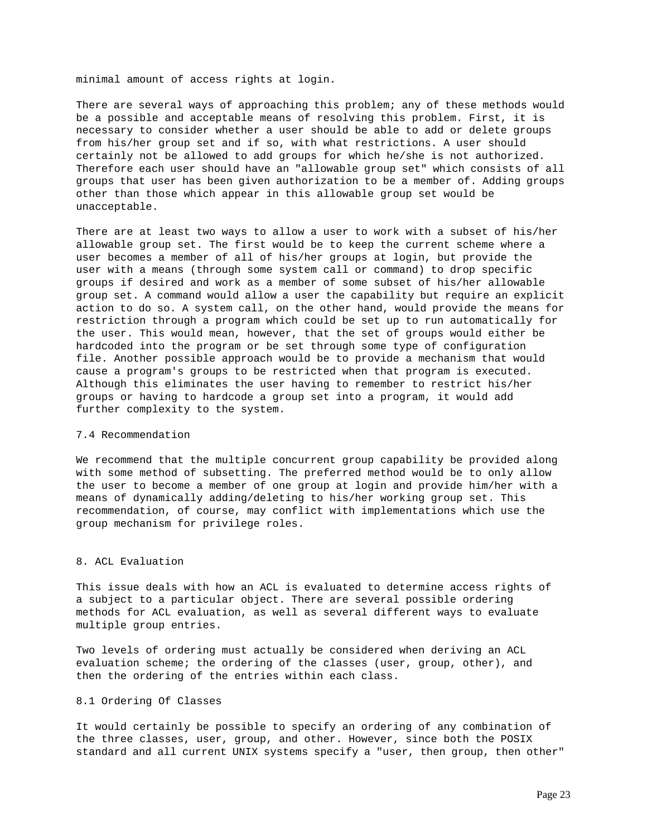minimal amount of access rights at login.

There are several ways of approaching this problem; any of these methods would be a possible and acceptable means of resolving this problem. First, it is necessary to consider whether a user should be able to add or delete groups from his/her group set and if so, with what restrictions. A user should certainly not be allowed to add groups for which he/she is not authorized. Therefore each user should have an "allowable group set" which consists of all groups that user has been given authorization to be a member of. Adding groups other than those which appear in this allowable group set would be unacceptable.

There are at least two ways to allow a user to work with a subset of his/her allowable group set. The first would be to keep the current scheme where a user becomes a member of all of his/her groups at login, but provide the user with a means (through some system call or command) to drop specific groups if desired and work as a member of some subset of his/her allowable group set. A command would allow a user the capability but require an explicit action to do so. A system call, on the other hand, would provide the means for restriction through a program which could be set up to run automatically for the user. This would mean, however, that the set of groups would either be hardcoded into the program or be set through some type of configuration file. Another possible approach would be to provide a mechanism that would cause a program's groups to be restricted when that program is executed. Although this eliminates the user having to remember to restrict his/her groups or having to hardcode a group set into a program, it would add further complexity to the system.

### 7.4 Recommendation

We recommend that the multiple concurrent group capability be provided along with some method of subsetting. The preferred method would be to only allow the user to become a member of one group at login and provide him/her with a means of dynamically adding/deleting to his/her working group set. This recommendation, of course, may conflict with implementations which use the group mechanism for privilege roles.

# 8. ACL Evaluation

This issue deals with how an ACL is evaluated to determine access rights of a subject to a particular object. There are several possible ordering methods for ACL evaluation, as well as several different ways to evaluate multiple group entries.

Two levels of ordering must actually be considered when deriving an ACL evaluation scheme; the ordering of the classes (user, group, other), and then the ordering of the entries within each class.

## 8.1 Ordering Of Classes

It would certainly be possible to specify an ordering of any combination of the three classes, user, group, and other. However, since both the POSIX standard and all current UNIX systems specify a "user, then group, then other"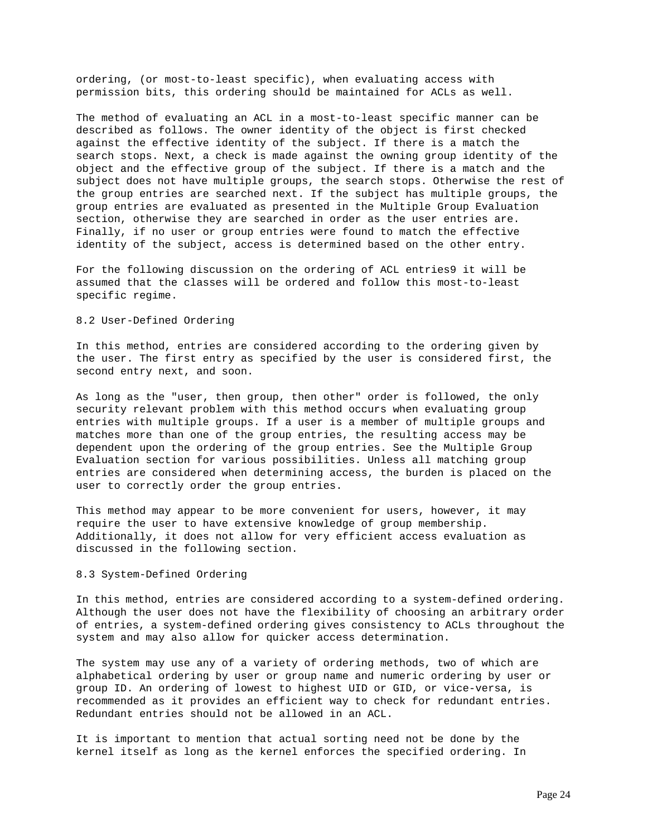ordering, (or most-to-least specific), when evaluating access with permission bits, this ordering should be maintained for ACLs as well.

The method of evaluating an ACL in a most-to-least specific manner can be described as follows. The owner identity of the object is first checked against the effective identity of the subject. If there is a match the search stops. Next, a check is made against the owning group identity of the object and the effective group of the subject. If there is a match and the subject does not have multiple groups, the search stops. Otherwise the rest of the group entries are searched next. If the subject has multiple groups, the group entries are evaluated as presented in the Multiple Group Evaluation section, otherwise they are searched in order as the user entries are. Finally, if no user or group entries were found to match the effective identity of the subject, access is determined based on the other entry.

For the following discussion on the ordering of ACL entries9 it will be assumed that the classes will be ordered and follow this most-to-least specific regime.

# 8.2 User-Defined Ordering

In this method, entries are considered according to the ordering given by the user. The first entry as specified by the user is considered first, the second entry next, and soon.

As long as the "user, then group, then other" order is followed, the only security relevant problem with this method occurs when evaluating group entries with multiple groups. If a user is a member of multiple groups and matches more than one of the group entries, the resulting access may be dependent upon the ordering of the group entries. See the Multiple Group Evaluation section for various possibilities. Unless all matching group entries are considered when determining access, the burden is placed on the user to correctly order the group entries.

This method may appear to be more convenient for users, however, it may require the user to have extensive knowledge of group membership. Additionally, it does not allow for very efficient access evaluation as discussed in the following section.

### 8.3 System-Defined Ordering

In this method, entries are considered according to a system-defined ordering. Although the user does not have the flexibility of choosing an arbitrary order of entries, a system-defined ordering gives consistency to ACLs throughout the system and may also allow for quicker access determination.

The system may use any of a variety of ordering methods, two of which are alphabetical ordering by user or group name and numeric ordering by user or group ID. An ordering of lowest to highest UID or GID, or vice-versa, is recommended as it provides an efficient way to check for redundant entries. Redundant entries should not be allowed in an ACL.

It is important to mention that actual sorting need not be done by the kernel itself as long as the kernel enforces the specified ordering. In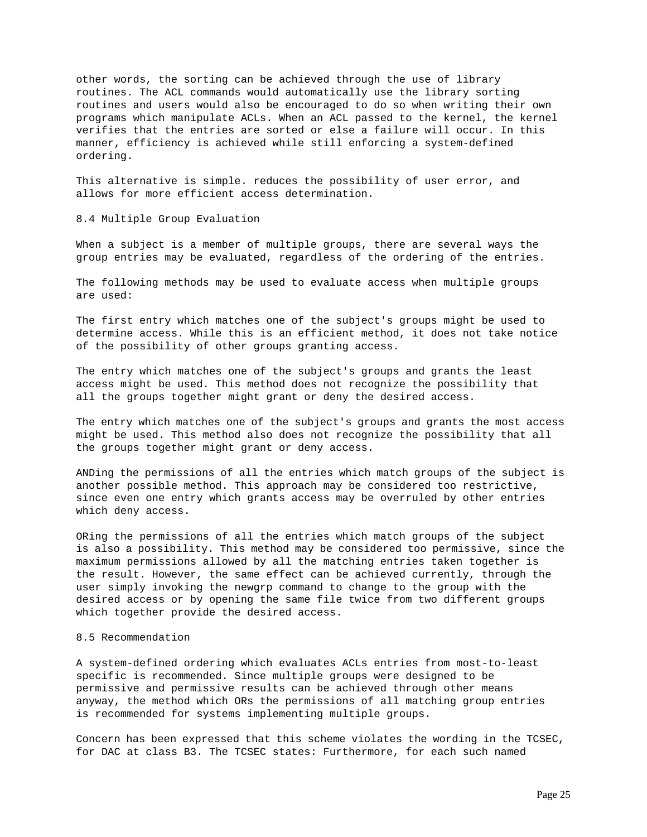other words, the sorting can be achieved through the use of library routines. The ACL commands would automatically use the library sorting routines and users would also be encouraged to do so when writing their own programs which manipulate ACLs. When an ACL passed to the kernel, the kernel verifies that the entries are sorted or else a failure will occur. In this manner, efficiency is achieved while still enforcing a system-defined ordering.

This alternative is simple. reduces the possibility of user error, and allows for more efficient access determination.

8.4 Multiple Group Evaluation

When a subject is a member of multiple groups, there are several ways the group entries may be evaluated, regardless of the ordering of the entries.

The following methods may be used to evaluate access when multiple groups are used:

The first entry which matches one of the subject's groups might be used to determine access. While this is an efficient method, it does not take notice of the possibility of other groups granting access.

The entry which matches one of the subject's groups and grants the least access might be used. This method does not recognize the possibility that all the groups together might grant or deny the desired access.

The entry which matches one of the subject's groups and grants the most access might be used. This method also does not recognize the possibility that all the groups together might grant or deny access.

ANDing the permissions of all the entries which match groups of the subject is another possible method. This approach may be considered too restrictive, since even one entry which grants access may be overruled by other entries which deny access.

ORing the permissions of all the entries which match groups of the subject is also a possibility. This method may be considered too permissive, since the maximum permissions allowed by all the matching entries taken together is the result. However, the same effect can be achieved currently, through the user simply invoking the newgrp command to change to the group with the desired access or by opening the same file twice from two different groups which together provide the desired access.

## 8.5 Recommendation

A system-defined ordering which evaluates ACLs entries from most-to-least specific is recommended. Since multiple groups were designed to be permissive and permissive results can be achieved through other means anyway, the method which ORs the permissions of all matching group entries is recommended for systems implementing multiple groups.

Concern has been expressed that this scheme violates the wording in the TCSEC, for DAC at class B3. The TCSEC states: Furthermore, for each such named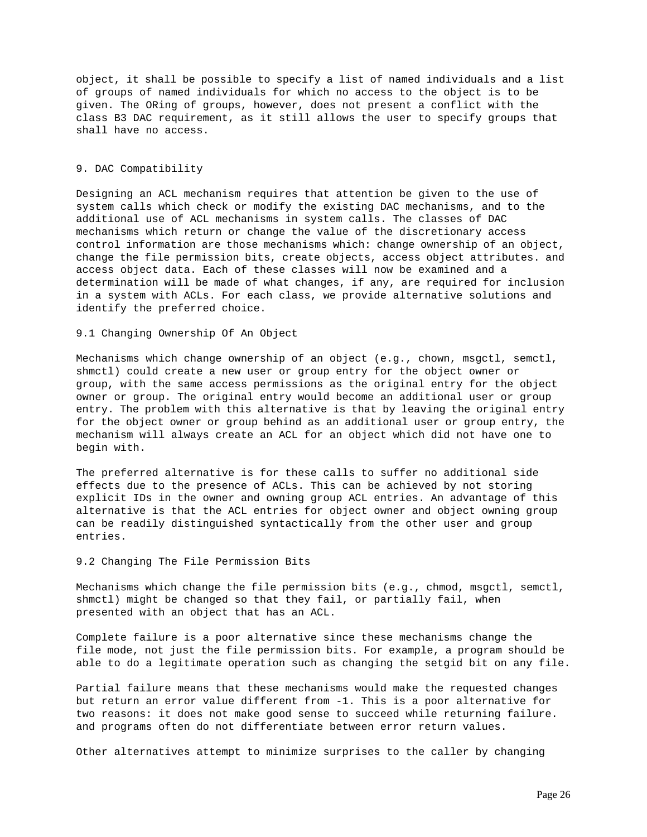object, it shall be possible to specify a list of named individuals and a list of groups of named individuals for which no access to the object is to be given. The ORing of groups, however, does not present a conflict with the class B3 DAC requirement, as it still allows the user to specify groups that shall have no access.

### 9. DAC Compatibility

Designing an ACL mechanism requires that attention be given to the use of system calls which check or modify the existing DAC mechanisms, and to the additional use of ACL mechanisms in system calls. The classes of DAC mechanisms which return or change the value of the discretionary access control information are those mechanisms which: change ownership of an object, change the file permission bits, create objects, access object attributes. and access object data. Each of these classes will now be examined and a determination will be made of what changes, if any, are required for inclusion in a system with ACLs. For each class, we provide alternative solutions and identify the preferred choice.

9.1 Changing Ownership Of An Object

Mechanisms which change ownership of an object (e.g., chown, msgctl, semctl, shmctl) could create a new user or group entry for the object owner or group, with the same access permissions as the original entry for the object owner or group. The original entry would become an additional user or group entry. The problem with this alternative is that by leaving the original entry for the object owner or group behind as an additional user or group entry, the mechanism will always create an ACL for an object which did not have one to begin with.

The preferred alternative is for these calls to suffer no additional side effects due to the presence of ACLs. This can be achieved by not storing explicit IDs in the owner and owning group ACL entries. An advantage of this alternative is that the ACL entries for object owner and object owning group can be readily distinguished syntactically from the other user and group entries.

9.2 Changing The File Permission Bits

Mechanisms which change the file permission bits (e.g., chmod, msgctl, semctl, shmctl) might be changed so that they fail, or partially fail, when presented with an object that has an ACL.

Complete failure is a poor alternative since these mechanisms change the file mode, not just the file permission bits. For example, a program should be able to do a legitimate operation such as changing the setgid bit on any file.

Partial failure means that these mechanisms would make the requested changes but return an error value different from -1. This is a poor alternative for two reasons: it does not make good sense to succeed while returning failure. and programs often do not differentiate between error return values.

Other alternatives attempt to minimize surprises to the caller by changing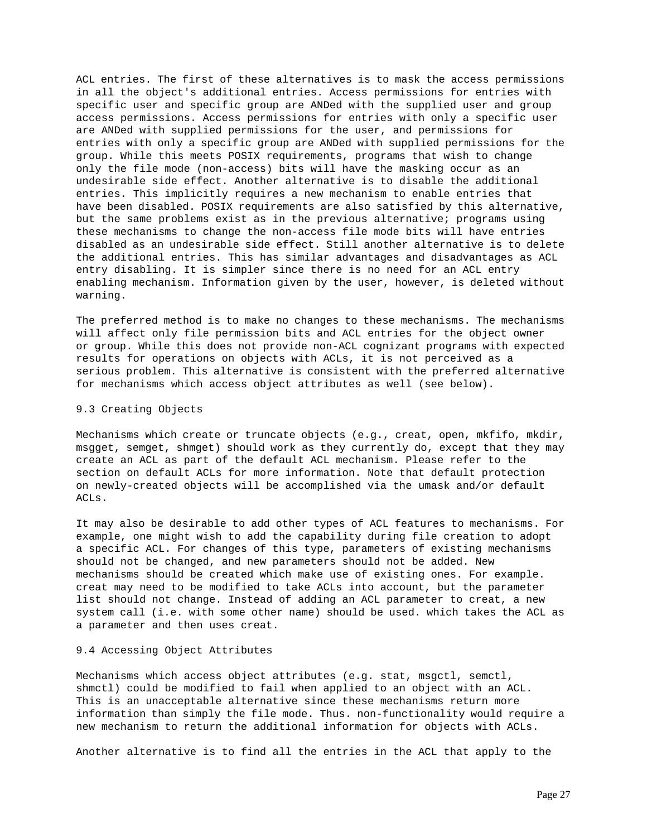ACL entries. The first of these alternatives is to mask the access permissions in all the object's additional entries. Access permissions for entries with specific user and specific group are ANDed with the supplied user and group access permissions. Access permissions for entries with only a specific user are ANDed with supplied permissions for the user, and permissions for entries with only a specific group are ANDed with supplied permissions for the group. While this meets POSIX requirements, programs that wish to change only the file mode (non-access) bits will have the masking occur as an undesirable side effect. Another alternative is to disable the additional entries. This implicitly requires a new mechanism to enable entries that have been disabled. POSIX requirements are also satisfied by this alternative, but the same problems exist as in the previous alternative; programs using these mechanisms to change the non-access file mode bits will have entries disabled as an undesirable side effect. Still another alternative is to delete the additional entries. This has similar advantages and disadvantages as ACL entry disabling. It is simpler since there is no need for an ACL entry enabling mechanism. Information given by the user, however, is deleted without warning.

The preferred method is to make no changes to these mechanisms. The mechanisms will affect only file permission bits and ACL entries for the object owner or group. While this does not provide non-ACL cognizant programs with expected results for operations on objects with ACLs, it is not perceived as a serious problem. This alternative is consistent with the preferred alternative for mechanisms which access object attributes as well (see below).

#### 9.3 Creating Objects

Mechanisms which create or truncate objects (e.g., creat, open, mkfifo, mkdir, msgget, semget, shmget) should work as they currently do, except that they may create an ACL as part of the default ACL mechanism. Please refer to the section on default ACLs for more information. Note that default protection on newly-created objects will be accomplished via the umask and/or default ACLs.

It may also be desirable to add other types of ACL features to mechanisms. For example, one might wish to add the capability during file creation to adopt a specific ACL. For changes of this type, parameters of existing mechanisms should not be changed, and new parameters should not be added. New mechanisms should be created which make use of existing ones. For example. creat may need to be modified to take ACLs into account, but the parameter list should not change. Instead of adding an ACL parameter to creat, a new system call (i.e. with some other name) should be used. which takes the ACL as a parameter and then uses creat.

## 9.4 Accessing Object Attributes

Mechanisms which access object attributes (e.g. stat, msgctl, semctl, shmctl) could be modified to fail when applied to an object with an ACL. This is an unacceptable alternative since these mechanisms return more information than simply the file mode. Thus. non-functionality would require a new mechanism to return the additional information for objects with ACLs.

Another alternative is to find all the entries in the ACL that apply to the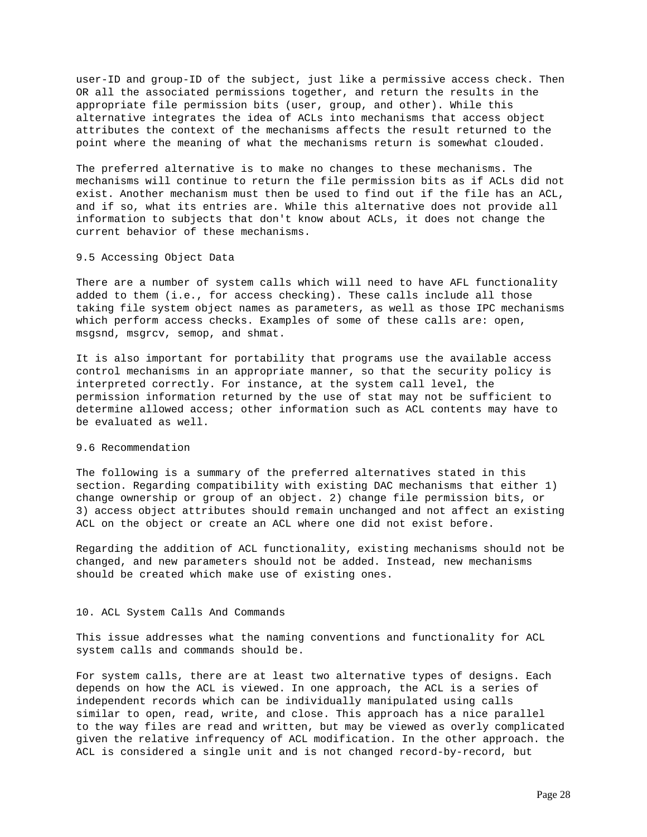user-ID and group-ID of the subject, just like a permissive access check. Then OR all the associated permissions together, and return the results in the appropriate file permission bits (user, group, and other). While this alternative integrates the idea of ACLs into mechanisms that access object attributes the context of the mechanisms affects the result returned to the point where the meaning of what the mechanisms return is somewhat clouded.

The preferred alternative is to make no changes to these mechanisms. The mechanisms will continue to return the file permission bits as if ACLs did not exist. Another mechanism must then be used to find out if the file has an ACL, and if so, what its entries are. While this alternative does not provide all information to subjects that don't know about ACLs, it does not change the current behavior of these mechanisms.

## 9.5 Accessing Object Data

There are a number of system calls which will need to have AFL functionality added to them (i.e., for access checking). These calls include all those taking file system object names as parameters, as well as those IPC mechanisms which perform access checks. Examples of some of these calls are: open, msgsnd, msgrcv, semop, and shmat.

It is also important for portability that programs use the available access control mechanisms in an appropriate manner, so that the security policy is interpreted correctly. For instance, at the system call level, the permission information returned by the use of stat may not be sufficient to determine allowed access; other information such as ACL contents may have to be evaluated as well.

# 9.6 Recommendation

The following is a summary of the preferred alternatives stated in this section. Regarding compatibility with existing DAC mechanisms that either 1) change ownership or group of an object. 2) change file permission bits, or 3) access object attributes should remain unchanged and not affect an existing ACL on the object or create an ACL where one did not exist before.

Regarding the addition of ACL functionality, existing mechanisms should not be changed, and new parameters should not be added. Instead, new mechanisms should be created which make use of existing ones.

#### 10. ACL System Calls And Commands

This issue addresses what the naming conventions and functionality for ACL system calls and commands should be.

For system calls, there are at least two alternative types of designs. Each depends on how the ACL is viewed. In one approach, the ACL is a series of independent records which can be individually manipulated using calls similar to open, read, write, and close. This approach has a nice parallel to the way files are read and written, but may be viewed as overly complicated given the relative infrequency of ACL modification. In the other approach. the ACL is considered a single unit and is not changed record-by-record, but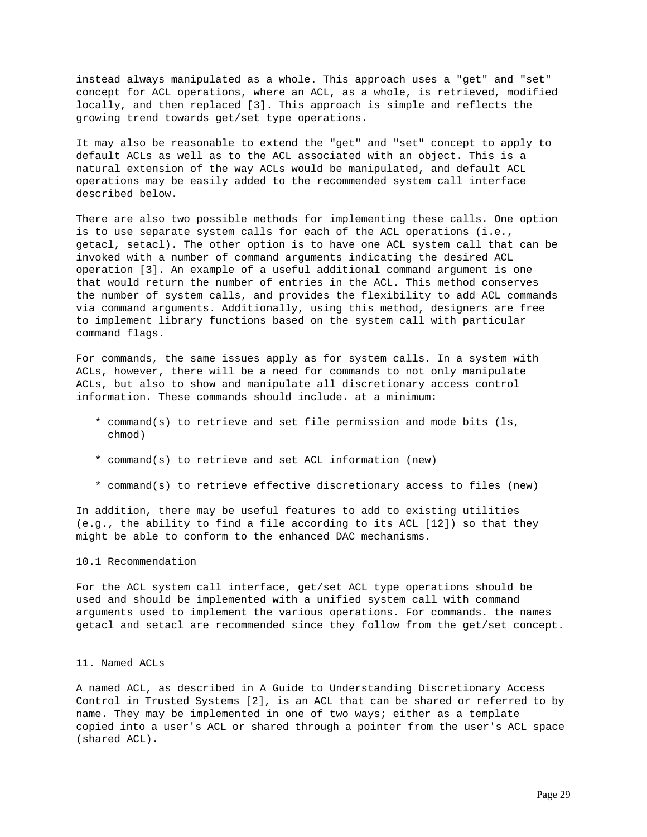instead always manipulated as a whole. This approach uses a "get" and "set" concept for ACL operations, where an ACL, as a whole, is retrieved, modified locally, and then replaced [3]. This approach is simple and reflects the growing trend towards get/set type operations.

It may also be reasonable to extend the "get" and "set" concept to apply to default ACLs as well as to the ACL associated with an object. This is a natural extension of the way ACLs would be manipulated, and default ACL operations may be easily added to the recommended system call interface described below.

There are also two possible methods for implementing these calls. One option is to use separate system calls for each of the ACL operations (i.e., getacl, setacl). The other option is to have one ACL system call that can be invoked with a number of command arguments indicating the desired ACL operation [3]. An example of a useful additional command argument is one that would return the number of entries in the ACL. This method conserves the number of system calls, and provides the flexibility to add ACL commands via command arguments. Additionally, using this method, designers are free to implement library functions based on the system call with particular command flags.

For commands, the same issues apply as for system calls. In a system with ACLs, however, there will be a need for commands to not only manipulate ACLs, but also to show and manipulate all discretionary access control information. These commands should include. at a minimum:

- \* command(s) to retrieve and set file permission and mode bits (ls, chmod)
- \* command(s) to retrieve and set ACL information (new)
- \* command(s) to retrieve effective discretionary access to files (new)

In addition, there may be useful features to add to existing utilities (e.g., the ability to find a file according to its ACL [12]) so that they might be able to conform to the enhanced DAC mechanisms.

# 10.1 Recommendation

For the ACL system call interface, get/set ACL type operations should be used and should be implemented with a unified system call with command arguments used to implement the various operations. For commands. the names getacl and setacl are recommended since they follow from the get/set concept.

### 11. Named ACLs

A named ACL, as described in A Guide to Understanding Discretionary Access Control in Trusted Systems [2], is an ACL that can be shared or referred to by name. They may be implemented in one of two ways; either as a template copied into a user's ACL or shared through a pointer from the user's ACL space (shared ACL).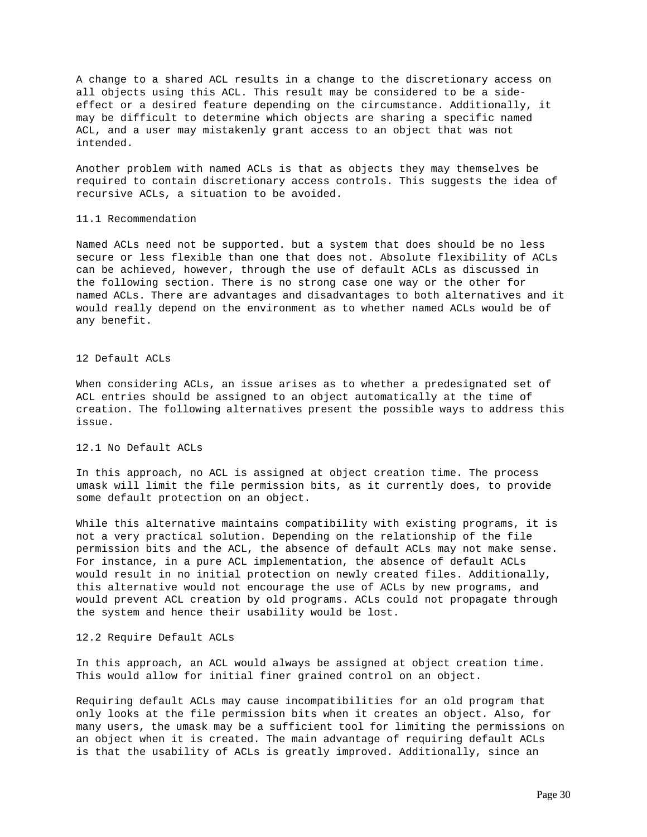A change to a shared ACL results in a change to the discretionary access on all objects using this ACL. This result may be considered to be a sideeffect or a desired feature depending on the circumstance. Additionally, it may be difficult to determine which objects are sharing a specific named ACL, and a user may mistakenly grant access to an object that was not intended.

Another problem with named ACLs is that as objects they may themselves be required to contain discretionary access controls. This suggests the idea of recursive ACLs, a situation to be avoided.

#### 11.1 Recommendation

Named ACLs need not be supported. but a system that does should be no less secure or less flexible than one that does not. Absolute flexibility of ACLs can be achieved, however, through the use of default ACLs as discussed in the following section. There is no strong case one way or the other for named ACLs. There are advantages and disadvantages to both alternatives and it would really depend on the environment as to whether named ACLs would be of any benefit.

### 12 Default ACLs

When considering ACLs, an issue arises as to whether a predesignated set of ACL entries should be assigned to an object automatically at the time of creation. The following alternatives present the possible ways to address this issue.

### 12.1 No Default ACLs

In this approach, no ACL is assigned at object creation time. The process umask will limit the file permission bits, as it currently does, to provide some default protection on an object.

While this alternative maintains compatibility with existing programs, it is not a very practical solution. Depending on the relationship of the file permission bits and the ACL, the absence of default ACLs may not make sense. For instance, in a pure ACL implementation, the absence of default ACLs would result in no initial protection on newly created files. Additionally, this alternative would not encourage the use of ACLs by new programs, and would prevent ACL creation by old programs. ACLs could not propagate through the system and hence their usability would be lost.

### 12.2 Require Default ACLs

In this approach, an ACL would always be assigned at object creation time. This would allow for initial finer grained control on an object.

Requiring default ACLs may cause incompatibilities for an old program that only looks at the file permission bits when it creates an object. Also, for many users, the umask may be a sufficient tool for limiting the permissions on an object when it is created. The main advantage of requiring default ACLs is that the usability of ACLs is greatly improved. Additionally, since an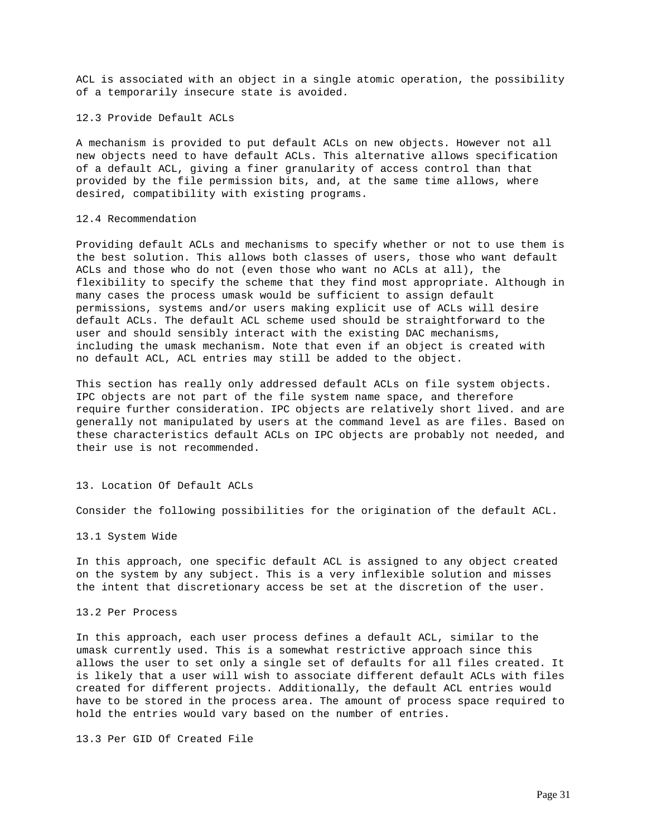ACL is associated with an object in a single atomic operation, the possibility of a temporarily insecure state is avoided.

12.3 Provide Default ACLs

A mechanism is provided to put default ACLs on new objects. However not all new objects need to have default ACLs. This alternative allows specification of a default ACL, giving a finer granularity of access control than that provided by the file permission bits, and, at the same time allows, where desired, compatibility with existing programs.

## 12.4 Recommendation

Providing default ACLs and mechanisms to specify whether or not to use them is the best solution. This allows both classes of users, those who want default ACLs and those who do not (even those who want no ACLs at all), the flexibility to specify the scheme that they find most appropriate. Although in many cases the process umask would be sufficient to assign default permissions, systems and/or users making explicit use of ACLs will desire default ACLs. The default ACL scheme used should be straightforward to the user and should sensibly interact with the existing DAC mechanisms, including the umask mechanism. Note that even if an object is created with no default ACL, ACL entries may still be added to the object.

This section has really only addressed default ACLs on file system objects. IPC objects are not part of the file system name space, and therefore require further consideration. IPC objects are relatively short lived. and are generally not manipulated by users at the command level as are files. Based on these characteristics default ACLs on IPC objects are probably not needed, and their use is not recommended.

# 13. Location Of Default ACLs

Consider the following possibilities for the origination of the default ACL.

13.1 System Wide

In this approach, one specific default ACL is assigned to any object created on the system by any subject. This is a very inflexible solution and misses the intent that discretionary access be set at the discretion of the user.

## 13.2 Per Process

In this approach, each user process defines a default ACL, similar to the umask currently used. This is a somewhat restrictive approach since this allows the user to set only a single set of defaults for all files created. It is likely that a user will wish to associate different default ACLs with files created for different projects. Additionally, the default ACL entries would have to be stored in the process area. The amount of process space required to hold the entries would vary based on the number of entries.

13.3 Per GID Of Created File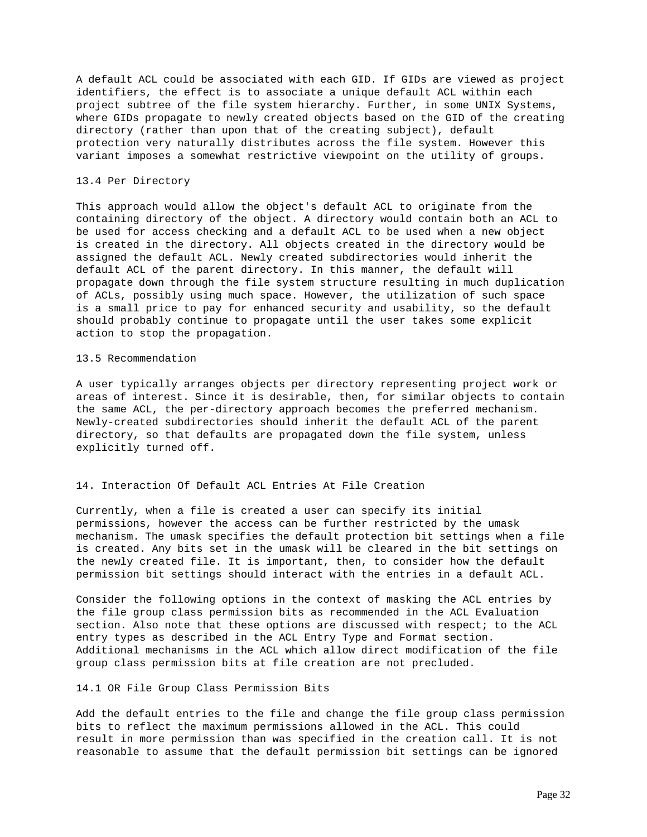A default ACL could be associated with each GID. If GIDs are viewed as project identifiers, the effect is to associate a unique default ACL within each project subtree of the file system hierarchy. Further, in some UNIX Systems, where GIDs propagate to newly created objects based on the GID of the creating directory (rather than upon that of the creating subject), default protection very naturally distributes across the file system. However this variant imposes a somewhat restrictive viewpoint on the utility of groups.

### 13.4 Per Directory

This approach would allow the object's default ACL to originate from the containing directory of the object. A directory would contain both an ACL to be used for access checking and a default ACL to be used when a new object is created in the directory. All objects created in the directory would be assigned the default ACL. Newly created subdirectories would inherit the default ACL of the parent directory. In this manner, the default will propagate down through the file system structure resulting in much duplication of ACLs, possibly using much space. However, the utilization of such space is a small price to pay for enhanced security and usability, so the default should probably continue to propagate until the user takes some explicit action to stop the propagation.

#### 13.5 Recommendation

A user typically arranges objects per directory representing project work or areas of interest. Since it is desirable, then, for similar objects to contain the same ACL, the per-directory approach becomes the preferred mechanism. Newly-created subdirectories should inherit the default ACL of the parent directory, so that defaults are propagated down the file system, unless explicitly turned off.

# 14. Interaction Of Default ACL Entries At File Creation

Currently, when a file is created a user can specify its initial permissions, however the access can be further restricted by the umask mechanism. The umask specifies the default protection bit settings when a file is created. Any bits set in the umask will be cleared in the bit settings on the newly created file. It is important, then, to consider how the default permission bit settings should interact with the entries in a default ACL.

Consider the following options in the context of masking the ACL entries by the file group class permission bits as recommended in the ACL Evaluation section. Also note that these options are discussed with respect; to the ACL entry types as described in the ACL Entry Type and Format section. Additional mechanisms in the ACL which allow direct modification of the file group class permission bits at file creation are not precluded.

#### 14.1 OR File Group Class Permission Bits

Add the default entries to the file and change the file group class permission bits to reflect the maximum permissions allowed in the ACL. This could result in more permission than was specified in the creation call. It is not reasonable to assume that the default permission bit settings can be ignored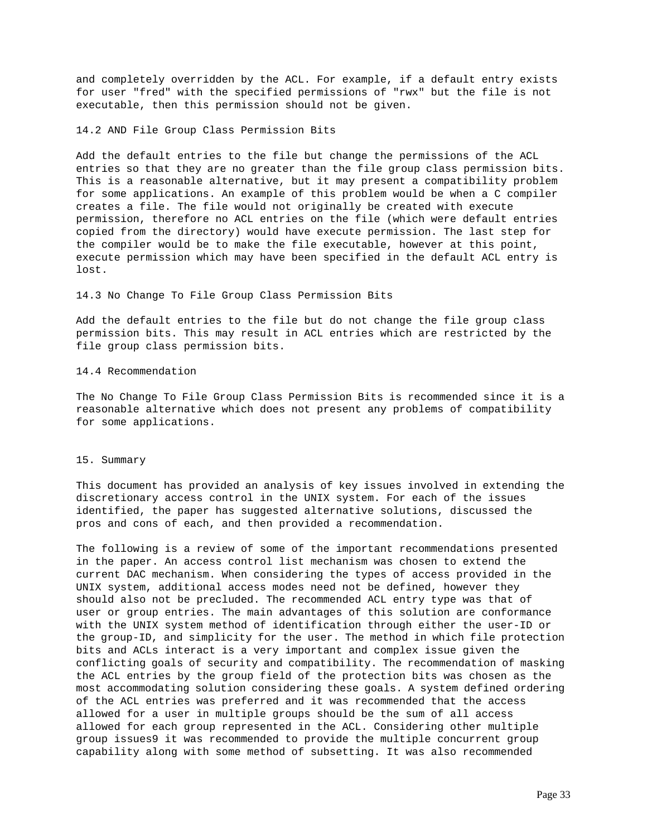and completely overridden by the ACL. For example, if a default entry exists for user "fred" with the specified permissions of "rwx" but the file is not executable, then this permission should not be given.

#### 14.2 AND File Group Class Permission Bits

Add the default entries to the file but change the permissions of the ACL entries so that they are no greater than the file group class permission bits. This is a reasonable alternative, but it may present a compatibility problem for some applications. An example of this problem would be when a C compiler creates a file. The file would not originally be created with execute permission, therefore no ACL entries on the file (which were default entries copied from the directory) would have execute permission. The last step for the compiler would be to make the file executable, however at this point, execute permission which may have been specified in the default ACL entry is lost.

## 14.3 No Change To File Group Class Permission Bits

Add the default entries to the file but do not change the file group class permission bits. This may result in ACL entries which are restricted by the file group class permission bits.

## 14.4 Recommendation

The No Change To File Group Class Permission Bits is recommended since it is a reasonable alternative which does not present any problems of compatibility for some applications.

### 15. Summary

This document has provided an analysis of key issues involved in extending the discretionary access control in the UNIX system. For each of the issues identified, the paper has suggested alternative solutions, discussed the pros and cons of each, and then provided a recommendation.

The following is a review of some of the important recommendations presented in the paper. An access control list mechanism was chosen to extend the current DAC mechanism. When considering the types of access provided in the UNIX system, additional access modes need not be defined, however they should also not be precluded. The recommended ACL entry type was that of user or group entries. The main advantages of this solution are conformance with the UNIX system method of identification through either the user-ID or the group-ID, and simplicity for the user. The method in which file protection bits and ACLs interact is a very important and complex issue given the conflicting goals of security and compatibility. The recommendation of masking the ACL entries by the group field of the protection bits was chosen as the most accommodating solution considering these goals. A system defined ordering of the ACL entries was preferred and it was recommended that the access allowed for a user in multiple groups should be the sum of all access allowed for each group represented in the ACL. Considering other multiple group issues9 it was recommended to provide the multiple concurrent group capability along with some method of subsetting. It was also recommended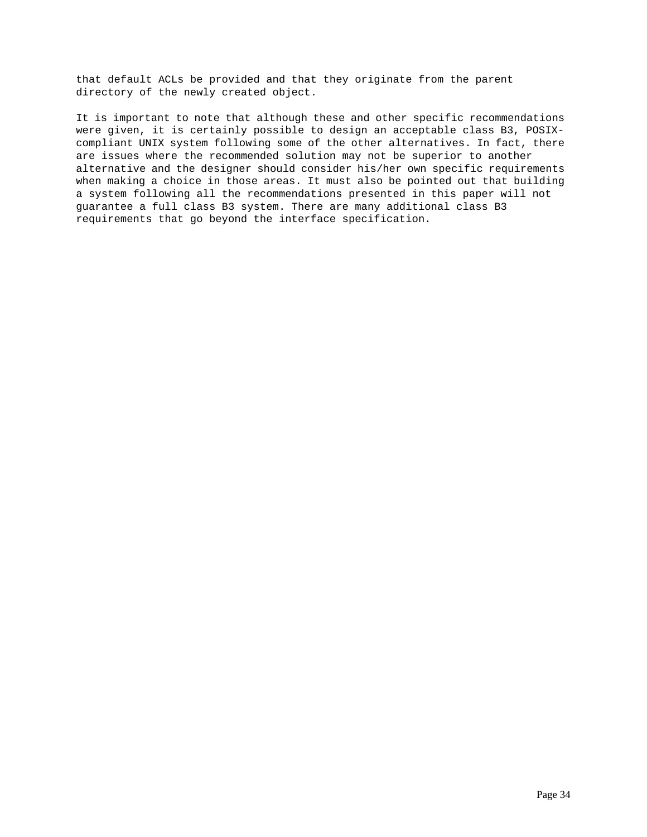that default ACLs be provided and that they originate from the parent directory of the newly created object.

It is important to note that although these and other specific recommendations were given, it is certainly possible to design an acceptable class B3, POSIXcompliant UNIX system following some of the other alternatives. In fact, there are issues where the recommended solution may not be superior to another alternative and the designer should consider his/her own specific requirements when making a choice in those areas. It must also be pointed out that building a system following all the recommendations presented in this paper will not guarantee a full class B3 system. There are many additional class B3 requirements that go beyond the interface specification.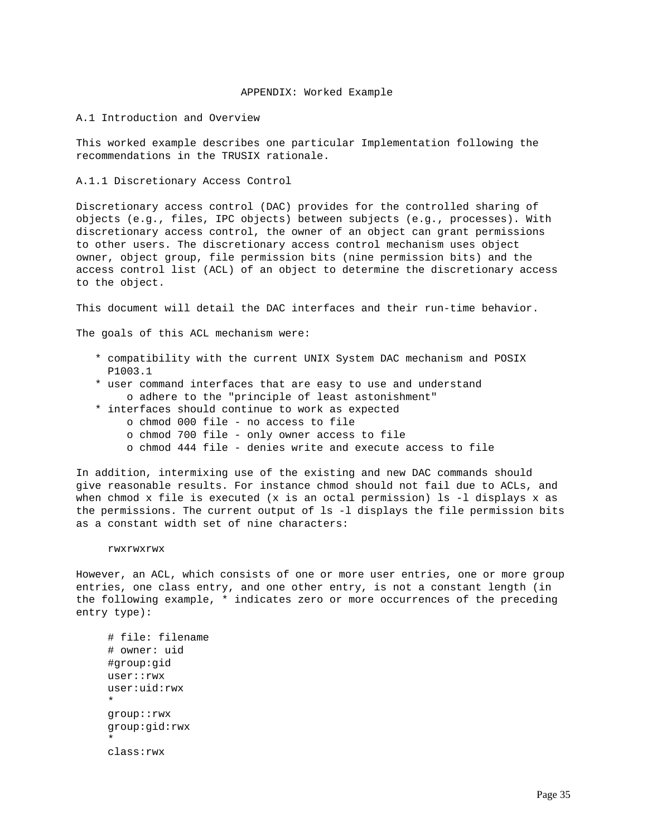### APPENDIX: Worked Example

### A.1 Introduction and Overview

This worked example describes one particular Implementation following the recommendations in the TRUSIX rationale.

A.1.1 Discretionary Access Control

Discretionary access control (DAC) provides for the controlled sharing of objects (e.g., files, IPC objects) between subjects (e.g., processes). With discretionary access control, the owner of an object can grant permissions to other users. The discretionary access control mechanism uses object owner, object group, file permission bits (nine permission bits) and the access control list (ACL) of an object to determine the discretionary access to the object.

This document will detail the DAC interfaces and their run-time behavior.

The goals of this ACL mechanism were:

- \* compatibility with the current UNIX System DAC mechanism and POSIX P1003.1
- \* user command interfaces that are easy to use and understand o adhere to the "principle of least astonishment"
- \* interfaces should continue to work as expected
	- o chmod 000 file no access to file
		- o chmod 700 file only owner access to file
		- o chmod 444 file denies write and execute access to file

In addition, intermixing use of the existing and new DAC commands should give reasonable results. For instance chmod should not fail due to ACLs, and when chmod x file is executed (x is an octal permission) ls -l displays x as the permissions. The current output of ls -l displays the file permission bits as a constant width set of nine characters:

#### rwxrwxrwx

However, an ACL, which consists of one or more user entries, one or more group entries, one class entry, and one other entry, is not a constant length (in the following example, \* indicates zero or more occurrences of the preceding entry type):

 # file: filename # owner: uid #group:gid user::rwx user:uid:rwx \* group::rwx group:gid:rwx \* class:rwx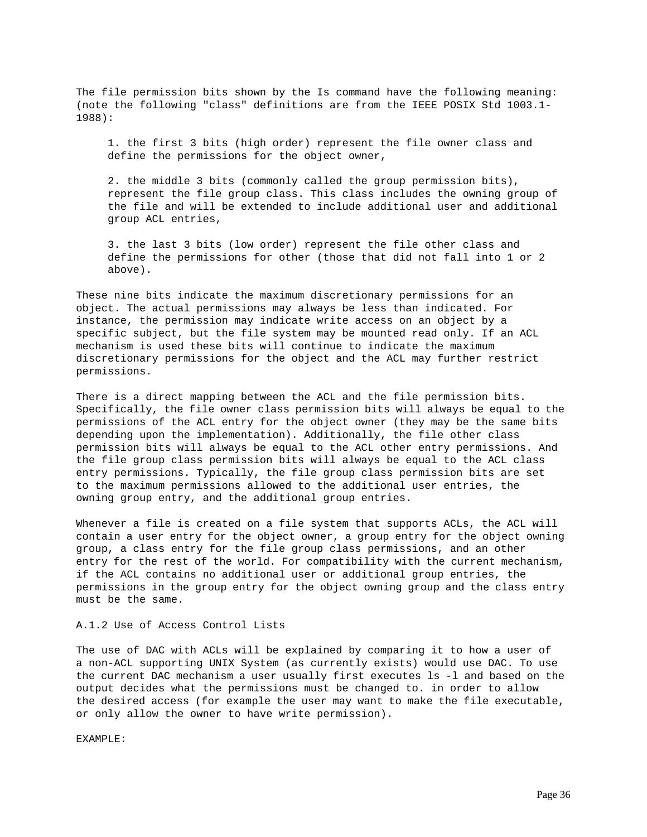The file permission bits shown by the Is command have the following meaning: (note the following "class" definitions are from the IEEE POSIX Std 1003.1- 1988):

 1. the first 3 bits (high order) represent the file owner class and define the permissions for the object owner,

 2. the middle 3 bits (commonly called the group permission bits), represent the file group class. This class includes the owning group of the file and will be extended to include additional user and additional group ACL entries,

 3. the last 3 bits (low order) represent the file other class and define the permissions for other (those that did not fall into 1 or 2 above).

These nine bits indicate the maximum discretionary permissions for an object. The actual permissions may always be less than indicated. For instance, the permission may indicate write access on an object by a specific subject, but the file system may be mounted read only. If an ACL mechanism is used these bits will continue to indicate the maximum discretionary permissions for the object and the ACL may further restrict permissions.

There is a direct mapping between the ACL and the file permission bits. Specifically, the file owner class permission bits will always be equal to the permissions of the ACL entry for the object owner (they may be the same bits depending upon the implementation). Additionally, the file other class permission bits will always be equal to the ACL other entry permissions. And the file group class permission bits will always be equal to the ACL class entry permissions. Typically, the file group class permission bits are set to the maximum permissions allowed to the additional user entries, the owning group entry, and the additional group entries.

Whenever a file is created on a file system that supports ACLs, the ACL will contain a user entry for the object owner, a group entry for the object owning group, a class entry for the file group class permissions, and an other entry for the rest of the world. For compatibility with the current mechanism, if the ACL contains no additional user or additional group entries, the permissions in the group entry for the object owning group and the class entry must be the same.

# A.1.2 Use of Access Control Lists

The use of DAC with ACLs will be explained by comparing it to how a user of a non-ACL supporting UNIX System (as currently exists) would use DAC. To use the current DAC mechanism a user usually first executes ls -l and based on the output decides what the permissions must be changed to. in order to allow the desired access (for example the user may want to make the file executable, or only allow the owner to have write permission).

EXAMPLE: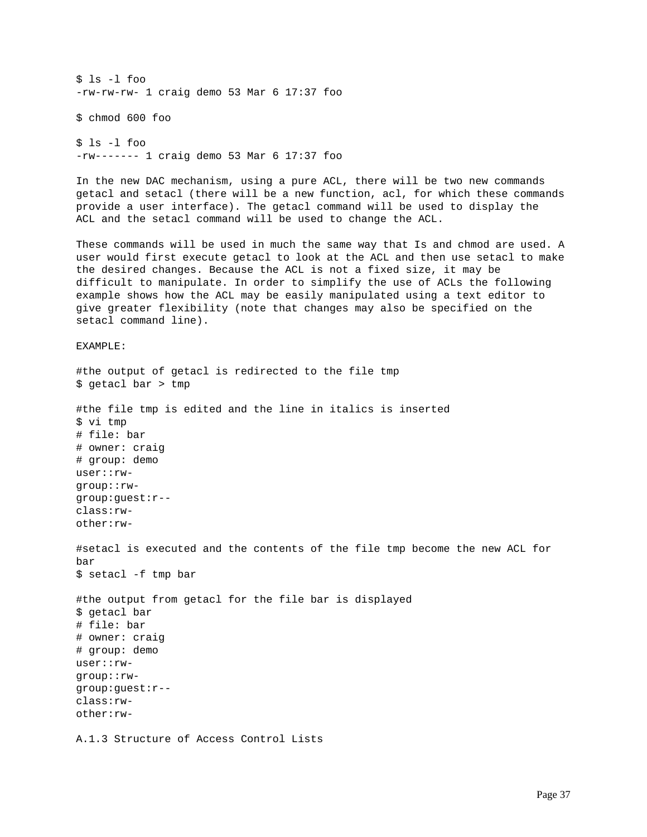\$ ls -l foo -rw-rw-rw- 1 craig demo 53 Mar 6 17:37 foo \$ chmod 600 foo \$ ls -l foo -rw------- 1 craig demo 53 Mar 6 17:37 foo In the new DAC mechanism, using a pure ACL, there will be two new commands getacl and setacl (there will be a new function, acl, for which these commands provide a user interface). The getacl command will be used to display the ACL and the setacl command will be used to change the ACL. These commands will be used in much the same way that Is and chmod are used. A user would first execute getacl to look at the ACL and then use setacl to make the desired changes. Because the ACL is not a fixed size, it may be difficult to manipulate. In order to simplify the use of ACLs the following example shows how the ACL may be easily manipulated using a text editor to give greater flexibility (note that changes may also be specified on the setacl command line). EXAMPLE: #the output of getacl is redirected to the file tmp \$ getacl bar > tmp #the file tmp is edited and the line in italics is inserted \$ vi tmp # file: bar # owner: craig # group: demo user::rwgroup::rwgroup:guest:r- class:rwother:rw- #setacl is executed and the contents of the file tmp become the new ACL for bar \$ setacl -f tmp bar #the output from getacl for the file bar is displayed \$ getacl bar # file: bar # owner: craig # group: demo user::rwgroup::rwgroup:guest:r- class:rwother:rw-A.1.3 Structure of Access Control Lists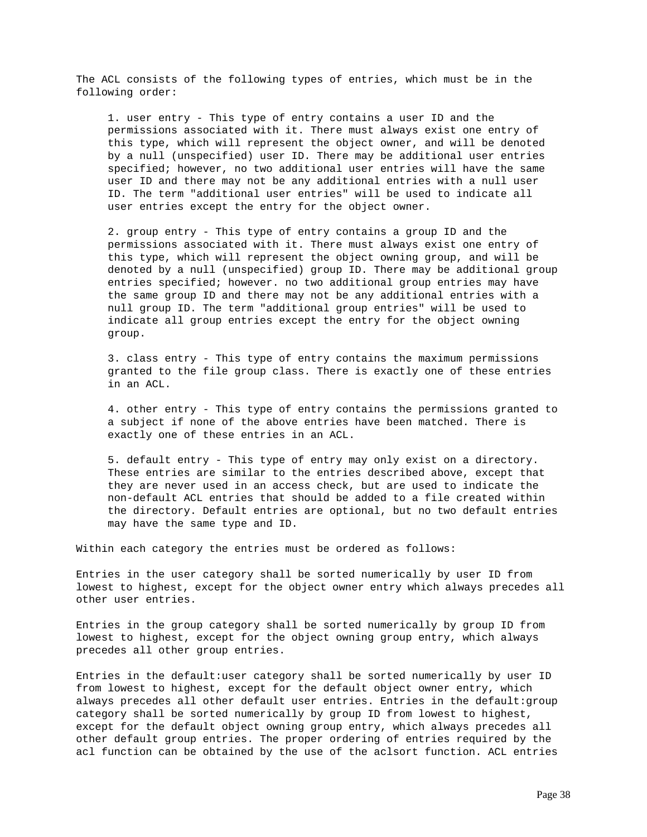The ACL consists of the following types of entries, which must be in the following order:

 1. user entry - This type of entry contains a user ID and the permissions associated with it. There must always exist one entry of this type, which will represent the object owner, and will be denoted by a null (unspecified) user ID. There may be additional user entries specified; however, no two additional user entries will have the same user ID and there may not be any additional entries with a null user ID. The term "additional user entries" will be used to indicate all user entries except the entry for the object owner.

 2. group entry - This type of entry contains a group ID and the permissions associated with it. There must always exist one entry of this type, which will represent the object owning group, and will be denoted by a null (unspecified) group ID. There may be additional group entries specified; however. no two additional group entries may have the same group ID and there may not be any additional entries with a null group ID. The term "additional group entries" will be used to indicate all group entries except the entry for the object owning group.

 3. class entry - This type of entry contains the maximum permissions granted to the file group class. There is exactly one of these entries in an ACL.

 4. other entry - This type of entry contains the permissions granted to a subject if none of the above entries have been matched. There is exactly one of these entries in an ACL.

 5. default entry - This type of entry may only exist on a directory. These entries are similar to the entries described above, except that they are never used in an access check, but are used to indicate the non-default ACL entries that should be added to a file created within the directory. Default entries are optional, but no two default entries may have the same type and ID.

Within each category the entries must be ordered as follows:

Entries in the user category shall be sorted numerically by user ID from lowest to highest, except for the object owner entry which always precedes all other user entries.

Entries in the group category shall be sorted numerically by group ID from lowest to highest, except for the object owning group entry, which always precedes all other group entries.

Entries in the default:user category shall be sorted numerically by user ID from lowest to highest, except for the default object owner entry, which always precedes all other default user entries. Entries in the default:group category shall be sorted numerically by group ID from lowest to highest, except for the default object owning group entry, which always precedes all other default group entries. The proper ordering of entries required by the acl function can be obtained by the use of the aclsort function. ACL entries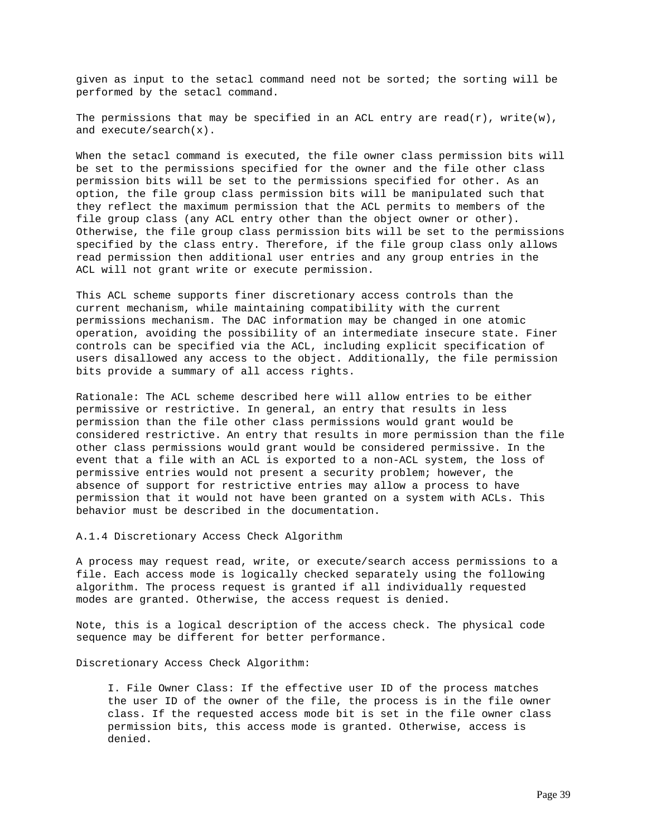given as input to the setacl command need not be sorted; the sorting will be performed by the setacl command.

The permissions that may be specified in an ACL entry are read(r), write(w), and execute/search(x).

When the setacl command is executed, the file owner class permission bits will be set to the permissions specified for the owner and the file other class permission bits will be set to the permissions specified for other. As an option, the file group class permission bits will be manipulated such that they reflect the maximum permission that the ACL permits to members of the file group class (any ACL entry other than the object owner or other). Otherwise, the file group class permission bits will be set to the permissions specified by the class entry. Therefore, if the file group class only allows read permission then additional user entries and any group entries in the ACL will not grant write or execute permission.

This ACL scheme supports finer discretionary access controls than the current mechanism, while maintaining compatibility with the current permissions mechanism. The DAC information may be changed in one atomic operation, avoiding the possibility of an intermediate insecure state. Finer controls can be specified via the ACL, including explicit specification of users disallowed any access to the object. Additionally, the file permission bits provide a summary of all access rights.

Rationale: The ACL scheme described here will allow entries to be either permissive or restrictive. In general, an entry that results in less permission than the file other class permissions would grant would be considered restrictive. An entry that results in more permission than the file other class permissions would grant would be considered permissive. In the event that a file with an ACL is exported to a non-ACL system, the loss of permissive entries would not present a security problem; however, the absence of support for restrictive entries may allow a process to have permission that it would not have been granted on a system with ACLs. This behavior must be described in the documentation.

A.1.4 Discretionary Access Check Algorithm

A process may request read, write, or execute/search access permissions to a file. Each access mode is logically checked separately using the following algorithm. The process request is granted if all individually requested modes are granted. Otherwise, the access request is denied.

Note, this is a logical description of the access check. The physical code sequence may be different for better performance.

Discretionary Access Check Algorithm:

 I. File Owner Class: If the effective user ID of the process matches the user ID of the owner of the file, the process is in the file owner class. If the requested access mode bit is set in the file owner class permission bits, this access mode is granted. Otherwise, access is denied.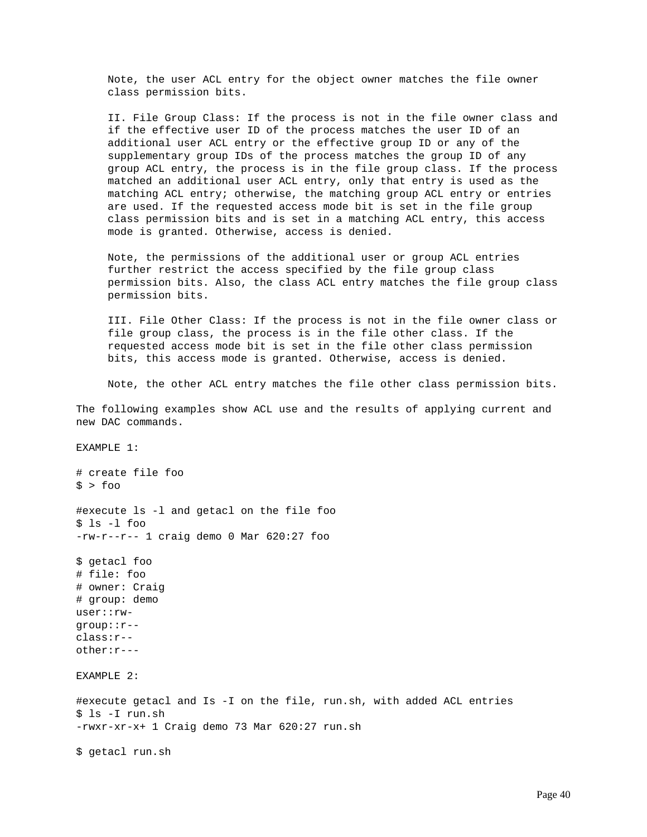Note, the user ACL entry for the object owner matches the file owner class permission bits.

 II. File Group Class: If the process is not in the file owner class and if the effective user ID of the process matches the user ID of an additional user ACL entry or the effective group ID or any of the supplementary group IDs of the process matches the group ID of any group ACL entry, the process is in the file group class. If the process matched an additional user ACL entry, only that entry is used as the matching ACL entry; otherwise, the matching group ACL entry or entries are used. If the requested access mode bit is set in the file group class permission bits and is set in a matching ACL entry, this access mode is granted. Otherwise, access is denied.

 Note, the permissions of the additional user or group ACL entries further restrict the access specified by the file group class permission bits. Also, the class ACL entry matches the file group class permission bits.

 III. File Other Class: If the process is not in the file owner class or file group class, the process is in the file other class. If the requested access mode bit is set in the file other class permission bits, this access mode is granted. Otherwise, access is denied.

Note, the other ACL entry matches the file other class permission bits.

The following examples show ACL use and the results of applying current and new DAC commands.

EXAMPLE 1:

# create file foo  $$ >$  foo #execute ls -l and getacl on the file foo  $$ 1s -1$  foo -rw-r--r-- 1 craig demo 0 Mar 620:27 foo

\$ getacl foo # file: foo # owner: Craig # group: demo user::rwgroup::r- class:r- other:r---

EXAMPLE 2:

#execute getacl and Is -I on the file, run.sh, with added ACL entries \$ ls -I run.sh -rwxr-xr-x+ 1 Craig demo 73 Mar 620:27 run.sh

\$ getacl run.sh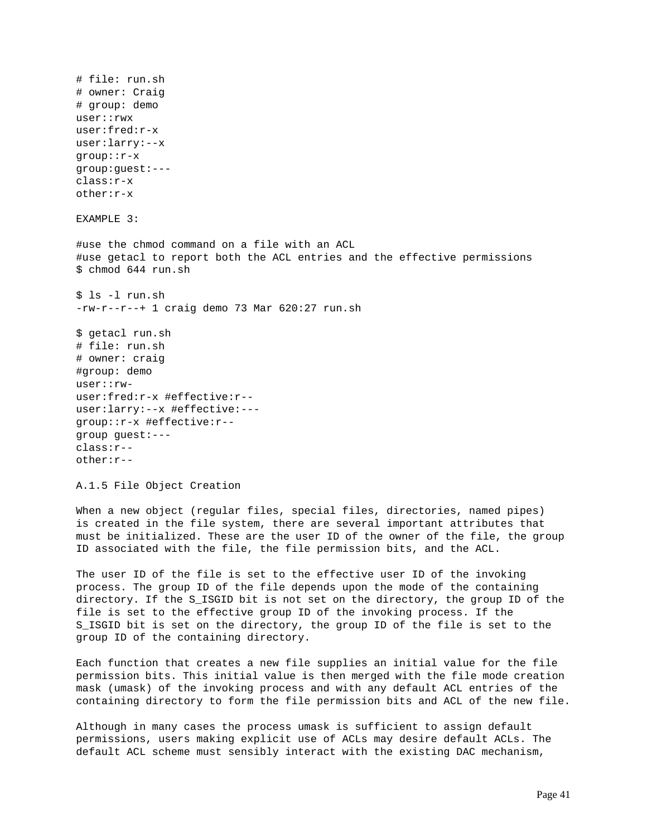# file: run.sh # owner: Craig # group: demo user::rwx user:fred:r-x user:larry:--x group::r-x group:guest:-- class:r-x other:r-x EXAMPLE 3: #use the chmod command on a file with an ACL #use getacl to report both the ACL entries and the effective permissions \$ chmod 644 run.sh \$ ls -l run.sh -rw-r--r--+ 1 craig demo 73 Mar 620:27 run.sh \$ getacl run.sh # file: run.sh # owner: craig #group: demo user::rwuser:fred:r-x #effective:r- user:larry:--x #effective:-- group::r-x #effective:r- group guest:-- class:r- other:r-- A.1.5 File Object Creation When a new object (regular files, special files, directories, named pipes) is created in the file system, there are several important attributes that

The user ID of the file is set to the effective user ID of the invoking process. The group ID of the file depends upon the mode of the containing directory. If the S\_ISGID bit is not set on the directory, the group ID of the file is set to the effective group ID of the invoking process. If the S\_ISGID bit is set on the directory, the group ID of the file is set to the group ID of the containing directory.

must be initialized. These are the user ID of the owner of the file, the group

ID associated with the file, the file permission bits, and the ACL.

Each function that creates a new file supplies an initial value for the file permission bits. This initial value is then merged with the file mode creation mask (umask) of the invoking process and with any default ACL entries of the containing directory to form the file permission bits and ACL of the new file.

Although in many cases the process umask is sufficient to assign default permissions, users making explicit use of ACLs may desire default ACLs. The default ACL scheme must sensibly interact with the existing DAC mechanism,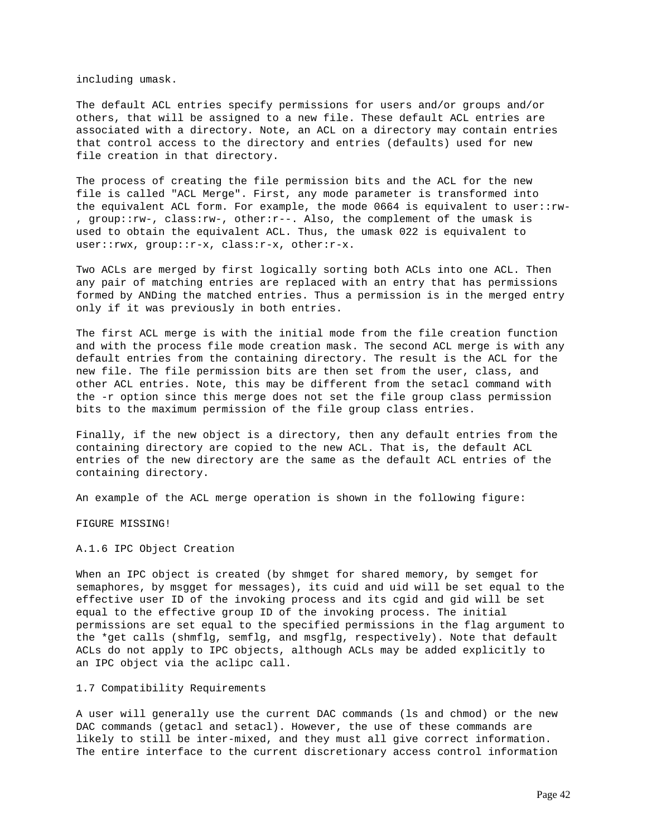including umask.

The default ACL entries specify permissions for users and/or groups and/or others, that will be assigned to a new file. These default ACL entries are associated with a directory. Note, an ACL on a directory may contain entries that control access to the directory and entries (defaults) used for new file creation in that directory.

The process of creating the file permission bits and the ACL for the new file is called "ACL Merge". First, any mode parameter is transformed into the equivalent ACL form. For example, the mode 0664 is equivalent to user::rw- , group::rw-, class:rw-, other:r--. Also, the complement of the umask is used to obtain the equivalent ACL. Thus, the umask 022 is equivalent to user::rwx, group::r-x, class:r-x, other:r-x.

Two ACLs are merged by first logically sorting both ACLs into one ACL. Then any pair of matching entries are replaced with an entry that has permissions formed by ANDing the matched entries. Thus a permission is in the merged entry only if it was previously in both entries.

The first ACL merge is with the initial mode from the file creation function and with the process file mode creation mask. The second ACL merge is with any default entries from the containing directory. The result is the ACL for the new file. The file permission bits are then set from the user, class, and other ACL entries. Note, this may be different from the setacl command with the -r option since this merge does not set the file group class permission bits to the maximum permission of the file group class entries.

Finally, if the new object is a directory, then any default entries from the containing directory are copied to the new ACL. That is, the default ACL entries of the new directory are the same as the default ACL entries of the containing directory.

An example of the ACL merge operation is shown in the following figure:

FIGURE MISSING!

A.1.6 IPC Object Creation

When an IPC object is created (by shmget for shared memory, by semget for semaphores, by msgget for messages), its cuid and uid will be set equal to the effective user ID of the invoking process and its cgid and gid will be set equal to the effective group ID of the invoking process. The initial permissions are set equal to the specified permissions in the flag argument to the \*get calls (shmflg, semflg, and msgflg, respectively). Note that default ACLs do not apply to IPC objects, although ACLs may be added explicitly to an IPC object via the aclipc call.

1.7 Compatibility Requirements

A user will generally use the current DAC commands (ls and chmod) or the new DAC commands (getacl and setacl). However, the use of these commands are likely to still be inter-mixed, and they must all give correct information. The entire interface to the current discretionary access control information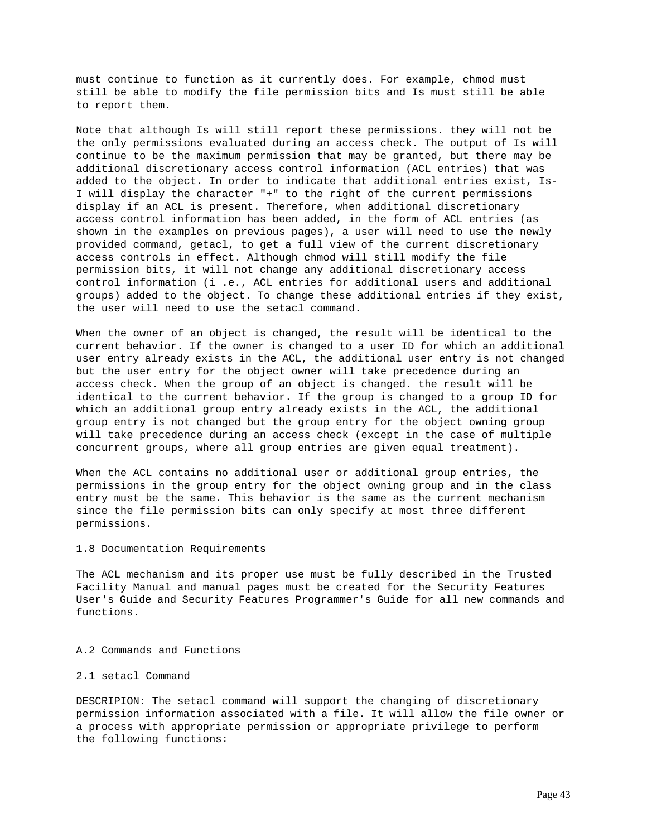must continue to function as it currently does. For example, chmod must still be able to modify the file permission bits and Is must still be able to report them.

Note that although Is will still report these permissions. they will not be the only permissions evaluated during an access check. The output of Is will continue to be the maximum permission that may be granted, but there may be additional discretionary access control information (ACL entries) that was added to the object. In order to indicate that additional entries exist, Is-I will display the character "+" to the right of the current permissions display if an ACL is present. Therefore, when additional discretionary access control information has been added, in the form of ACL entries (as shown in the examples on previous pages), a user will need to use the newly provided command, getacl, to get a full view of the current discretionary access controls in effect. Although chmod will still modify the file permission bits, it will not change any additional discretionary access control information (i .e., ACL entries for additional users and additional groups) added to the object. To change these additional entries if they exist, the user will need to use the setacl command.

When the owner of an object is changed, the result will be identical to the current behavior. If the owner is changed to a user ID for which an additional user entry already exists in the ACL, the additional user entry is not changed but the user entry for the object owner will take precedence during an access check. When the group of an object is changed. the result will be identical to the current behavior. If the group is changed to a group ID for which an additional group entry already exists in the ACL, the additional group entry is not changed but the group entry for the object owning group will take precedence during an access check (except in the case of multiple concurrent groups, where all group entries are given equal treatment).

When the ACL contains no additional user or additional group entries, the permissions in the group entry for the object owning group and in the class entry must be the same. This behavior is the same as the current mechanism since the file permission bits can only specify at most three different permissions.

### 1.8 Documentation Requirements

The ACL mechanism and its proper use must be fully described in the Trusted Facility Manual and manual pages must be created for the Security Features User's Guide and Security Features Programmer's Guide for all new commands and functions.

### A.2 Commands and Functions

## 2.1 setacl Command

DESCRIPION: The setacl command will support the changing of discretionary permission information associated with a file. It will allow the file owner or a process with appropriate permission or appropriate privilege to perform the following functions: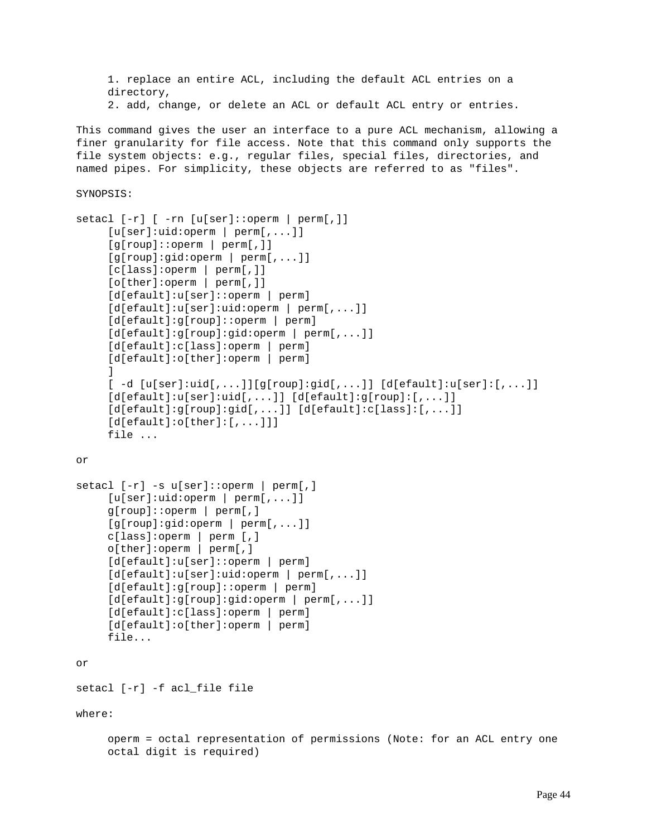```
 1. replace an entire ACL, including the default ACL entries on a
      directory,
      2. add, change, or delete an ACL or default ACL entry or entries.
This command gives the user an interface to a pure ACL mechanism, allowing a
finer granularity for file access. Note that this command only supports the
file system objects: e.g., regular files, special files, directories, and
named pipes. For simplicity, these objects are referred to as "files".
SYNOPSIS:
setacl [-r] [ -rn [u[ser]::operm | perm[,]]
      [u[ser]:uid:operm | perm[,...]]
      [g[roup]::operm | perm[,]]
      [g[roup]:gid:operm | perm[,...]]
      [c[lass]:operm | perm[,]]
      [o[ther]:operm | perm[,]]
      [d[efault]:u[ser]::operm | perm]
      [d[efault]:u[ser]:uid:operm | perm[,...]]
      [d[efault]:g[roup]::operm | perm]
      [d[efault]:g[roup]:gid:operm | perm[,...]]
      [d[efault]:c[lass]:operm | perm]
      [d[efault]:o[ther]:operm | perm]
      ]
      [ -d [u[ser]:uid[,...]][g[roup]:gid[,...]] [d[efault]:u[ser]:[,...]]
     [d[efault]:u[ser]:uid[,...]] [d[efault]:g[roup]:[,...]]
      [d[efault]:g[roup]:gid[,...]] [d[efault]:c[lass]:[,...]]
     [d[efault]:o[ther]:[,...]]] file ...
or
setacl [-r] -s u[ser]::operm | perm[,]
      [u[ser]:uid:operm | perm[,...]]
      g[roup]::operm | perm[,]
      [g[roup]:gid:operm | perm[,...]]
      c[lass]:operm | perm [,]
      o[ther]:operm | perm[,]
      [d[efault]:u[ser]::operm | perm]
      [d[efault]:u[ser]:uid:operm | perm[,...]]
      [d[efault]:g[roup]::operm | perm]
      [d[efault]:g[roup]:gid:operm | perm[,...]]
      [d[efault]:c[lass]:operm | perm]
      [d[efault]:o[ther]:operm | perm]
      file...
or
setacl [-r] -f acl_file file
where:
      operm = octal representation of permissions (Note: for an ACL entry one
```
octal digit is required)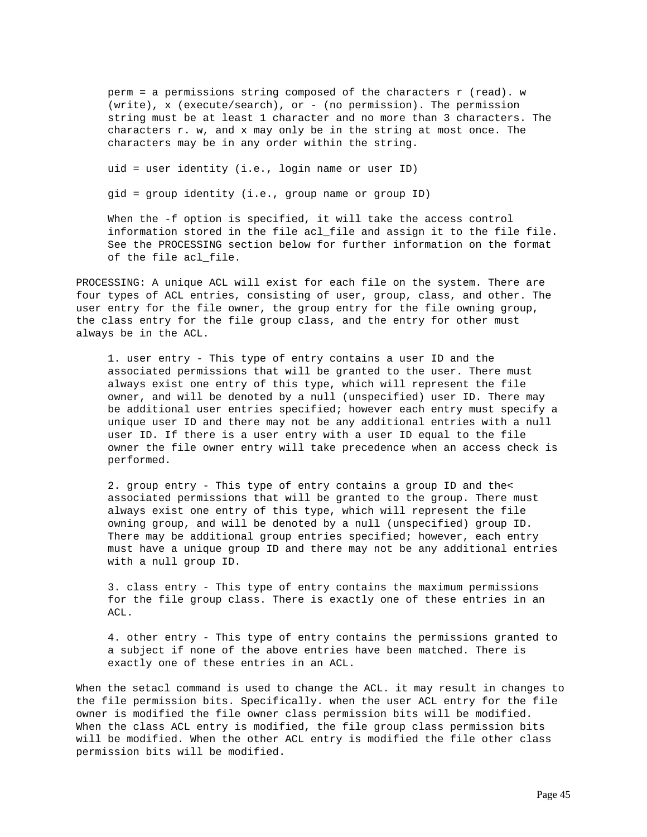perm = a permissions string composed of the characters r (read). w (write), x (execute/search), or - (no permission). The permission string must be at least 1 character and no more than 3 characters. The characters r. w, and x may only be in the string at most once. The characters may be in any order within the string.

uid = user identity (i.e., login name or user ID)

gid = group identity (i.e., group name or group ID)

 When the -f option is specified, it will take the access control information stored in the file acl\_file and assign it to the file file. See the PROCESSING section below for further information on the format of the file acl\_file.

PROCESSING: A unique ACL will exist for each file on the system. There are four types of ACL entries, consisting of user, group, class, and other. The user entry for the file owner, the group entry for the file owning group, the class entry for the file group class, and the entry for other must always be in the ACL.

 1. user entry - This type of entry contains a user ID and the associated permissions that will be granted to the user. There must always exist one entry of this type, which will represent the file owner, and will be denoted by a null (unspecified) user ID. There may be additional user entries specified; however each entry must specify a unique user ID and there may not be any additional entries with a null user ID. If there is a user entry with a user ID equal to the file owner the file owner entry will take precedence when an access check is performed.

 2. group entry - This type of entry contains a group ID and the< associated permissions that will be granted to the group. There must always exist one entry of this type, which will represent the file owning group, and will be denoted by a null (unspecified) group ID. There may be additional group entries specified; however, each entry must have a unique group ID and there may not be any additional entries with a null group ID.

 3. class entry - This type of entry contains the maximum permissions for the file group class. There is exactly one of these entries in an ACL.

 4. other entry - This type of entry contains the permissions granted to a subject if none of the above entries have been matched. There is exactly one of these entries in an ACL.

When the setacl command is used to change the ACL. it may result in changes to the file permission bits. Specifically. when the user ACL entry for the file owner is modified the file owner class permission bits will be modified. When the class ACL entry is modified, the file group class permission bits will be modified. When the other ACL entry is modified the file other class permission bits will be modified.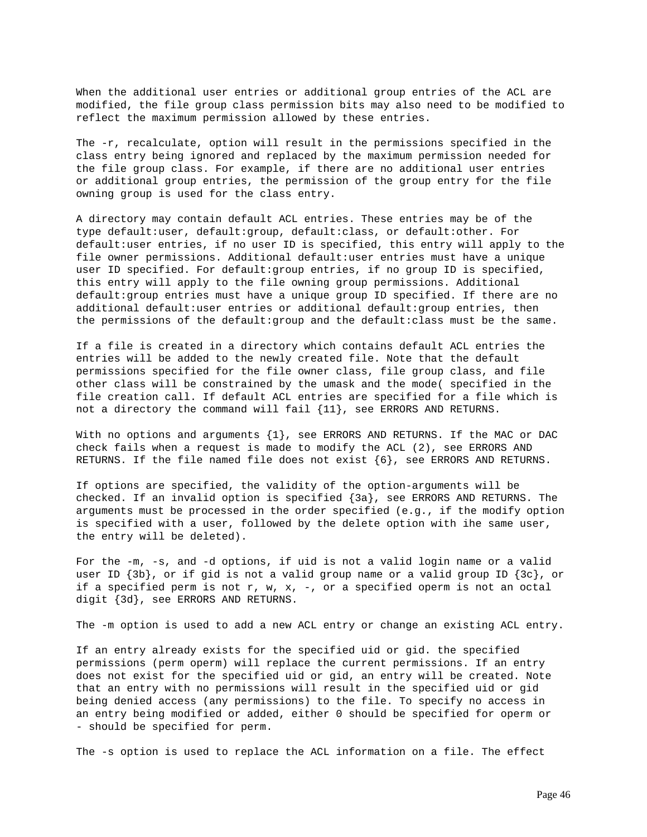When the additional user entries or additional group entries of the ACL are modified, the file group class permission bits may also need to be modified to reflect the maximum permission allowed by these entries.

The -r, recalculate, option will result in the permissions specified in the class entry being ignored and replaced by the maximum permission needed for the file group class. For example, if there are no additional user entries or additional group entries, the permission of the group entry for the file owning group is used for the class entry.

A directory may contain default ACL entries. These entries may be of the type default:user, default:group, default:class, or default:other. For default:user entries, if no user ID is specified, this entry will apply to the file owner permissions. Additional default:user entries must have a unique user ID specified. For default:group entries, if no group ID is specified, this entry will apply to the file owning group permissions. Additional default:group entries must have a unique group ID specified. If there are no additional default:user entries or additional default:group entries, then the permissions of the default:group and the default:class must be the same.

If a file is created in a directory which contains default ACL entries the entries will be added to the newly created file. Note that the default permissions specified for the file owner class, file group class, and file other class will be constrained by the umask and the mode( specified in the file creation call. If default ACL entries are specified for a file which is not a directory the command will fail  $\{11\}$ , see ERRORS AND RETURNS.

With no options and arguments {1}, see ERRORS AND RETURNS. If the MAC or DAC check fails when a request is made to modify the ACL (2), see ERRORS AND RETURNS. If the file named file does not exist  $\{6\}$ , see ERRORS AND RETURNS.

If options are specified, the validity of the option-arguments will be checked. If an invalid option is specified {3a}, see ERRORS AND RETURNS. The arguments must be processed in the order specified (e.g., if the modify option is specified with a user, followed by the delete option with ihe same user, the entry will be deleted).

For the -m, -s, and -d options, if uid is not a valid login name or a valid user ID {3b}, or if gid is not a valid group name or a valid group ID {3c}, or if a specified perm is not r, w, x, -, or a specified operm is not an octal digit {3d}, see ERRORS AND RETURNS.

The -m option is used to add a new ACL entry or change an existing ACL entry.

If an entry already exists for the specified uid or gid. the specified permissions (perm operm) will replace the current permissions. If an entry does not exist for the specified uid or gid, an entry will be created. Note that an entry with no permissions will result in the specified uid or gid being denied access (any permissions) to the file. To specify no access in an entry being modified or added, either 0 should be specified for operm or - should be specified for perm.

The -s option is used to replace the ACL information on a file. The effect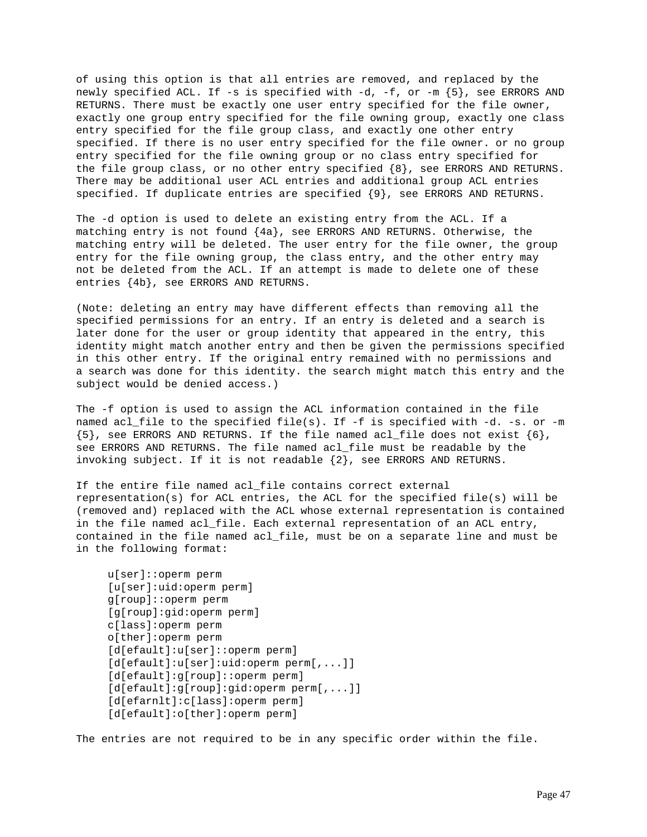of using this option is that all entries are removed, and replaced by the newly specified ACL. If -s is specified with -d, -f, or -m {5}, see ERRORS AND RETURNS. There must be exactly one user entry specified for the file owner, exactly one group entry specified for the file owning group, exactly one class entry specified for the file group class, and exactly one other entry specified. If there is no user entry specified for the file owner. or no group entry specified for the file owning group or no class entry specified for the file group class, or no other entry specified {8}, see ERRORS AND RETURNS. There may be additional user ACL entries and additional group ACL entries specified. If duplicate entries are specified {9}, see ERRORS AND RETURNS.

The -d option is used to delete an existing entry from the ACL. If a matching entry is not found {4a}, see ERRORS AND RETURNS. Otherwise, the matching entry will be deleted. The user entry for the file owner, the group entry for the file owning group, the class entry, and the other entry may not be deleted from the ACL. If an attempt is made to delete one of these entries {4b}, see ERRORS AND RETURNS.

(Note: deleting an entry may have different effects than removing all the specified permissions for an entry. If an entry is deleted and a search is later done for the user or group identity that appeared in the entry, this identity might match another entry and then be given the permissions specified in this other entry. If the original entry remained with no permissions and a search was done for this identity. the search might match this entry and the subject would be denied access.)

The -f option is used to assign the ACL information contained in the file named acl\_file to the specified file(s). If -f is specified with -d. -s. or -m  ${5}$ , see ERRORS AND RETURNS. If the file named acl\_file does not exist  ${6}$ , see ERRORS AND RETURNS. The file named acl\_file must be readable by the invoking subject. If it is not readable {2}, see ERRORS AND RETURNS.

If the entire file named acl\_file contains correct external representation(s) for ACL entries, the ACL for the specified file(s) will be (removed and) replaced with the ACL whose external representation is contained in the file named acl\_file. Each external representation of an ACL entry, contained in the file named acl\_file, must be on a separate line and must be in the following format:

```
 u[ser]::operm perm
 [u[ser]:uid:operm perm]
 g[roup]::operm perm
 [g[roup]:gid:operm perm]
 c[lass]:operm perm
 o[ther]:operm perm
 [d[efault]:u[ser]::operm perm]
 [d[efault]:u[ser]:uid:operm perm[,...]]
 [d[efault]:g[roup]::operm perm]
 [d[efault]:g[roup]:gid:operm perm[,...]]
 [d[efarnlt]:c[lass]:operm perm]
 [d[efault]:o[ther]:operm perm]
```
The entries are not required to be in any specific order within the file.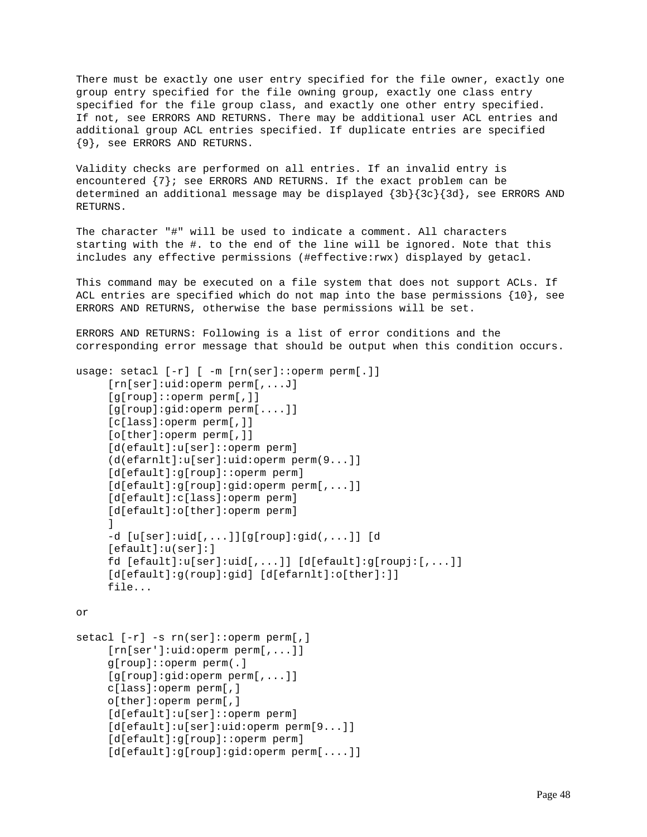There must be exactly one user entry specified for the file owner, exactly one group entry specified for the file owning group, exactly one class entry specified for the file group class, and exactly one other entry specified. If not, see ERRORS AND RETURNS. There may be additional user ACL entries and additional group ACL entries specified. If duplicate entries are specified {9}, see ERRORS AND RETURNS.

Validity checks are performed on all entries. If an invalid entry is encountered  $\{7\}$ ; see ERRORS AND RETURNS. If the exact problem can be determined an additional message may be displayed {3b}{3c}{3d}, see ERRORS AND RETURNS.

The character "#" will be used to indicate a comment. All characters starting with the #. to the end of the line will be ignored. Note that this includes any effective permissions (#effective:rwx) displayed by getacl.

This command may be executed on a file system that does not support ACLs. If ACL entries are specified which do not map into the base permissions {10}, see ERRORS AND RETURNS, otherwise the base permissions will be set.

ERRORS AND RETURNS: Following is a list of error conditions and the corresponding error message that should be output when this condition occurs.

```
usage: setacl [-r] [ -m [rn(ser]::operm perm[.]]
      [rn[ser]:uid:operm perm[,...J]
      [g[roup]::operm perm[,]]
      [g[roup]:gid:operm perm[....]]
      [c[lass]:operm perm[,]]
      [o[ther]:operm perm[,]]
      [d(efault]:u[ser]::operm perm]
      (d(efarnlt]:u[ser]:uid:operm perm(9...]]
      [d[efault]:g[roup]::operm perm]
     [d[efault]:g[roup]:gid:operm perm[,...]]
      [d[efault]:c[lass]:operm perm]
      [d[efault]:o[ther]:operm perm]
      ]
      -d [u[ser]:uid[,...]][g[roup]:gid(,...]] [d
      [efault]:u(ser]:]
      fd [efault]:u[ser]:uid[,...]] [d[efault]:g[roupj:[,...]]
      [d[efault]:g(roup]:gid] [d[efarnlt]:o[ther]:]]
      file...
```

```
or
```

```
setacl [-r] -s rn(ser]::operm perm[,]
      [rn[ser']:uid:operm perm[,...]]
      g[roup]::operm perm(.]
      [g[roup]:gid:operm perm[,...]]
      c[lass]:operm perm[,]
      o[ther]:operm perm[,]
      [d[efault]:u[ser]::operm perm]
      [d[efault]:u[ser]:uid:operm perm[9...]]
      [d[efault]:g[roup]::operm perm]
      [d[efault]:g[roup]:gid:operm perm[....]]
```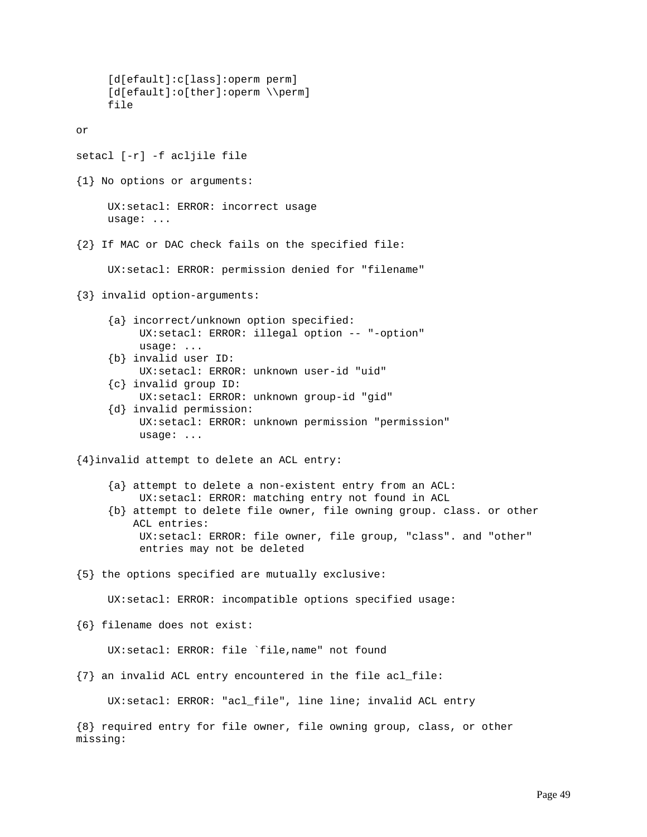```
 [d[efault]:c[lass]:operm perm]
      [d[efault]:o[ther]:operm \\perm]
      file
or
setacl [-r] -f acljile file
{1} No options or arguments:
      UX:setacl: ERROR: incorrect usage
      usage: ...
{2} If MAC or DAC check fails on the specified file:
      UX:setacl: ERROR: permission denied for "filename"
{3} invalid option-arguments:
      {a} incorrect/unknown option specified:
           UX:setacl: ERROR: illegal option -- "-option"
           usage: ...
      {b} invalid user ID:
           UX:setacl: ERROR: unknown user-id "uid"
      {c} invalid group ID:
           UX:setacl: ERROR: unknown group-id "gid"
      {d} invalid permission:
           UX:setacl: ERROR: unknown permission "permission"
           usage: ...
{4}invalid attempt to delete an ACL entry:
      {a} attempt to delete a non-existent entry from an ACL:
           UX:setacl: ERROR: matching entry not found in ACL
      {b} attempt to delete file owner, file owning group. class. or other
          ACL entries:
           UX:setacl: ERROR: file owner, file group, "class". and "other"
           entries may not be deleted
{5} the options specified are mutually exclusive:
      UX:setacl: ERROR: incompatible options specified usage:
{6} filename does not exist:
      UX:setacl: ERROR: file `file,name" not found
{7} an invalid ACL entry encountered in the file acl_file:
      UX:setacl: ERROR: "acl_file", line line; invalid ACL entry
{8} required entry for file owner, file owning group, class, or other
missing:
```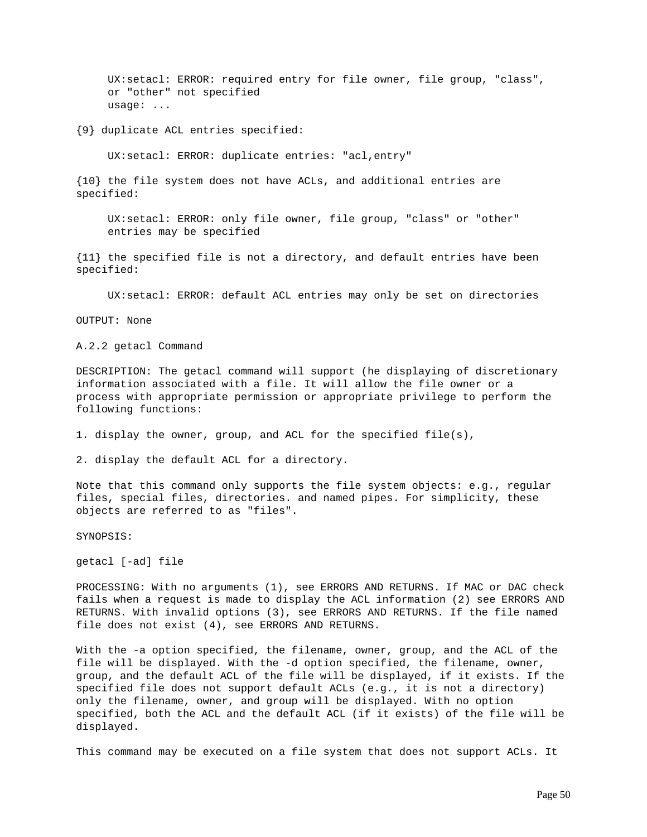UX:setacl: ERROR: required entry for file owner, file group, "class", or "other" not specified usage: ...

{9} duplicate ACL entries specified:

UX:setacl: ERROR: duplicate entries: "acl,entry"

{10} the file system does not have ACLs, and additional entries are specified:

 UX:setacl: ERROR: only file owner, file group, "class" or "other" entries may be specified

{11} the specified file is not a directory, and default entries have been specified:

UX:setacl: ERROR: default ACL entries may only be set on directories

OUTPUT: None

A.2.2 getacl Command

DESCRIPTION: The getacl command will support (he displaying of discretionary information associated with a file. It will allow the file owner or a process with appropriate permission or appropriate privilege to perform the following functions:

1. display the owner, group, and ACL for the specified file(s),

2. display the default ACL for a directory.

Note that this command only supports the file system objects: e.g., regular files, special files, directories. and named pipes. For simplicity, these objects are referred to as "files".

SYNOPSIS:

getacl [-ad] file

PROCESSING: With no arguments (1), see ERRORS AND RETURNS. If MAC or DAC check fails when a request is made to display the ACL information (2) see ERRORS AND RETURNS. With invalid options (3), see ERRORS AND RETURNS. If the file named file does not exist (4), see ERRORS AND RETURNS.

With the -a option specified, the filename, owner, group, and the ACL of the file will be displayed. With the -d option specified, the filename, owner, group, and the default ACL of the file will be displayed, if it exists. If the specified file does not support default ACLs (e.g., it is not a directory) only the filename, owner, and group will be displayed. With no option specified, both the ACL and the default ACL (if it exists) of the file will be displayed.

This command may be executed on a file system that does not support ACLs. It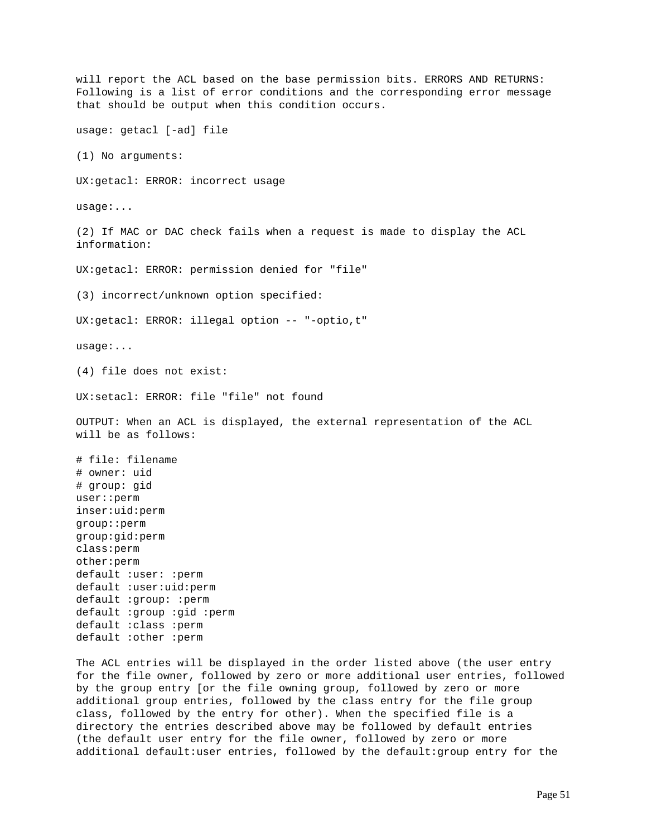will report the ACL based on the base permission bits. ERRORS AND RETURNS: Following is a list of error conditions and the corresponding error message that should be output when this condition occurs. usage: getacl [-ad] file (1) No arguments: UX:getacl: ERROR: incorrect usage usage:... (2) If MAC or DAC check fails when a request is made to display the ACL information: UX:getacl: ERROR: permission denied for "file" (3) incorrect/unknown option specified: UX:getacl: ERROR: illegal option -- "-optio,t" usage:... (4) file does not exist: UX:setacl: ERROR: file "file" not found OUTPUT: When an ACL is displayed, the external representation of the ACL will be as follows: # file: filename # owner: uid # group: gid user::perm inser:uid:perm group::perm group:gid:perm class:perm other:perm default :user: :perm default :user:uid:perm default :group: :perm default :group :gid :perm default :class :perm default :other :perm

The ACL entries will be displayed in the order listed above (the user entry for the file owner, followed by zero or more additional user entries, followed by the group entry [or the file owning group, followed by zero or more additional group entries, followed by the class entry for the file group class, followed by the entry for other). When the specified file is a directory the entries described above may be followed by default entries (the default user entry for the file owner, followed by zero or more additional default:user entries, followed by the default:group entry for the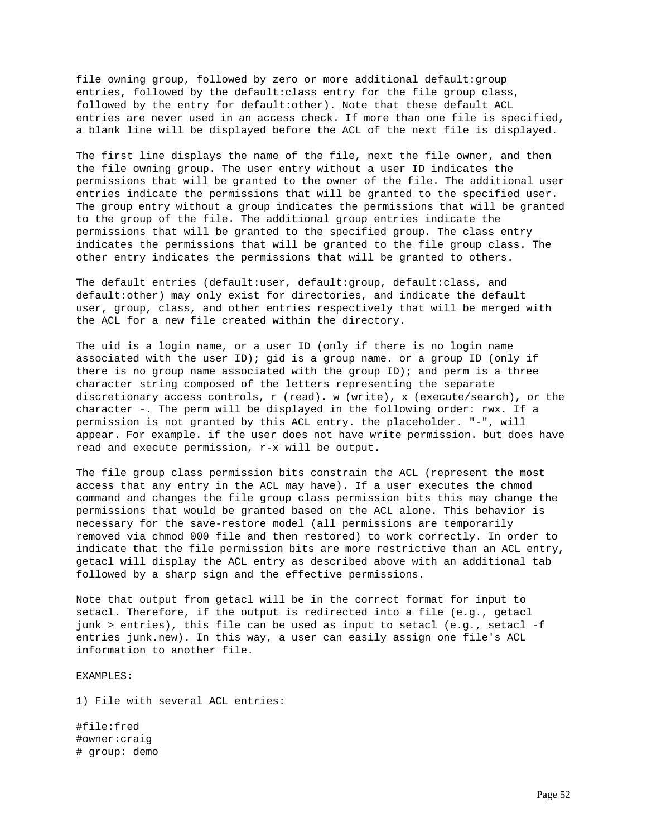file owning group, followed by zero or more additional default:group entries, followed by the default:class entry for the file group class, followed by the entry for default:other). Note that these default ACL entries are never used in an access check. If more than one file is specified, a blank line will be displayed before the ACL of the next file is displayed.

The first line displays the name of the file, next the file owner, and then the file owning group. The user entry without a user ID indicates the permissions that will be granted to the owner of the file. The additional user entries indicate the permissions that will be granted to the specified user. The group entry without a group indicates the permissions that will be granted to the group of the file. The additional group entries indicate the permissions that will be granted to the specified group. The class entry indicates the permissions that will be granted to the file group class. The other entry indicates the permissions that will be granted to others.

The default entries (default:user, default:group, default:class, and default:other) may only exist for directories, and indicate the default user, group, class, and other entries respectively that will be merged with the ACL for a new file created within the directory.

The uid is a login name, or a user ID (only if there is no login name associated with the user ID); gid is a group name. or a group ID (only if there is no group name associated with the group  $ID$ ); and perm is a three character string composed of the letters representing the separate discretionary access controls, r (read). w (write), x (execute/search), or the character -. The perm will be displayed in the following order: rwx. If a permission is not granted by this ACL entry. the placeholder. "-", will appear. For example. if the user does not have write permission. but does have read and execute permission, r-x will be output.

The file group class permission bits constrain the ACL (represent the most access that any entry in the ACL may have). If a user executes the chmod command and changes the file group class permission bits this may change the permissions that would be granted based on the ACL alone. This behavior is necessary for the save-restore model (all permissions are temporarily removed via chmod 000 file and then restored) to work correctly. In order to indicate that the file permission bits are more restrictive than an ACL entry, getacl will display the ACL entry as described above with an additional tab followed by a sharp sign and the effective permissions.

Note that output from getacl will be in the correct format for input to setacl. Therefore, if the output is redirected into a file (e.g., getacl junk > entries), this file can be used as input to setacl (e.g., setacl -f entries junk.new). In this way, a user can easily assign one file's ACL information to another file.

EXAMPLES:

1) File with several ACL entries:

#file:fred #owner:craig # group: demo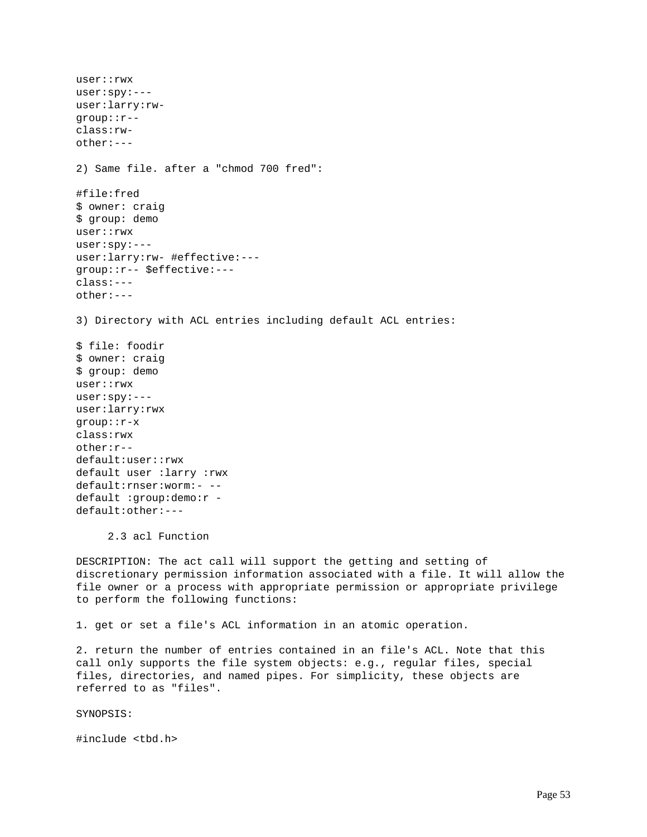user::rwx user:spy:-- user:larry:rwgroup::r- class:rwother:--- 2) Same file. after a "chmod 700 fred": #file:fred \$ owner: craig \$ group: demo user::rwx user:spy:-- user:larry:rw- #effective:-- group::r-- \$effective:-- class:-- other:--- 3) Directory with ACL entries including default ACL entries: \$ file: foodir \$ owner: craig \$ group: demo user::rwx user:spy:-- user:larry:rwx group::r-x class:rwx other:r- default:user::rwx default user :larry :rwx default:rnser:worm:- - default :group:demo:r default:other:--- 2.3 acl Function DESCRIPTION: The act call will support the getting and setting of

discretionary permission information associated with a file. It will allow the file owner or a process with appropriate permission or appropriate privilege to perform the following functions:

1. get or set a file's ACL information in an atomic operation.

2. return the number of entries contained in an file's ACL. Note that this call only supports the file system objects: e.g., regular files, special files, directories, and named pipes. For simplicity, these objects are referred to as "files".

SYNOPSIS:

#include <tbd.h>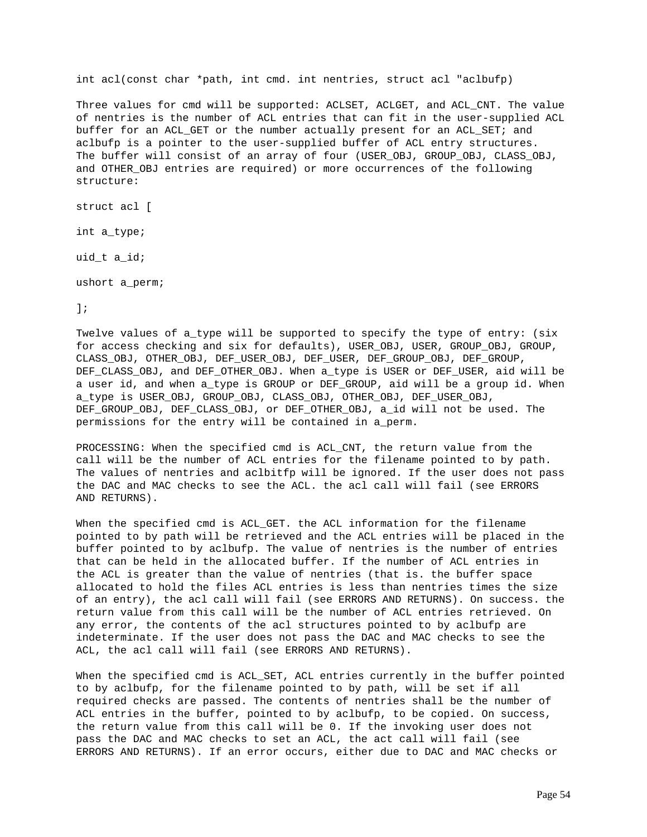int acl(const char \*path, int cmd. int nentries, struct acl "aclbufp)

Three values for cmd will be supported: ACLSET, ACLGET, and ACL\_CNT. The value of nentries is the number of ACL entries that can fit in the user-supplied ACL buffer for an ACL GET or the number actually present for an ACL SET; and aclbufp is a pointer to the user-supplied buffer of ACL entry structures. The buffer will consist of an array of four (USER\_OBJ, GROUP\_OBJ, CLASS\_OBJ, and OTHER\_OBJ entries are required) or more occurrences of the following structure:

struct acl [

int a\_type;

uid\_t a\_id;

ushort a\_perm;

];

Twelve values of a\_type will be supported to specify the type of entry: (six for access checking and six for defaults), USER\_OBJ, USER, GROUP\_OBJ, GROUP, CLASS\_OBJ, OTHER\_OBJ, DEF\_USER\_OBJ, DEF\_USER, DEF\_GROUP\_OBJ, DEF\_GROUP, DEF\_CLASS\_OBJ, and DEF\_OTHER\_OBJ. When a\_type is USER or DEF\_USER, aid will be a user id, and when a\_type is GROUP or DEF\_GROUP, aid will be a group id. When a\_type is USER\_OBJ, GROUP\_OBJ, CLASS\_OBJ, OTHER\_OBJ, DEF\_USER\_OBJ, DEF GROUP OBJ, DEF CLASS OBJ, or DEF OTHER OBJ, a id will not be used. The permissions for the entry will be contained in a\_perm.

PROCESSING: When the specified cmd is ACL\_CNT, the return value from the call will be the number of ACL entries for the filename pointed to by path. The values of nentries and aclbitfp will be ignored. If the user does not pass the DAC and MAC checks to see the ACL. the acl call will fail (see ERRORS AND RETURNS).

When the specified cmd is ACL\_GET. the ACL information for the filename pointed to by path will be retrieved and the ACL entries will be placed in the buffer pointed to by aclbufp. The value of nentries is the number of entries that can be held in the allocated buffer. If the number of ACL entries in the ACL is greater than the value of nentries (that is. the buffer space allocated to hold the files ACL entries is less than nentries times the size of an entry), the acl call will fail (see ERRORS AND RETURNS). On success. the return value from this call will be the number of ACL entries retrieved. On any error, the contents of the acl structures pointed to by aclbufp are indeterminate. If the user does not pass the DAC and MAC checks to see the ACL, the acl call will fail (see ERRORS AND RETURNS).

When the specified cmd is ACL\_SET, ACL entries currently in the buffer pointed to by aclbufp, for the filename pointed to by path, will be set if all required checks are passed. The contents of nentries shall be the number of ACL entries in the buffer, pointed to by aclbufp, to be copied. On success, the return value from this call will be 0. If the invoking user does not pass the DAC and MAC checks to set an ACL, the act call will fail (see ERRORS AND RETURNS). If an error occurs, either due to DAC and MAC checks or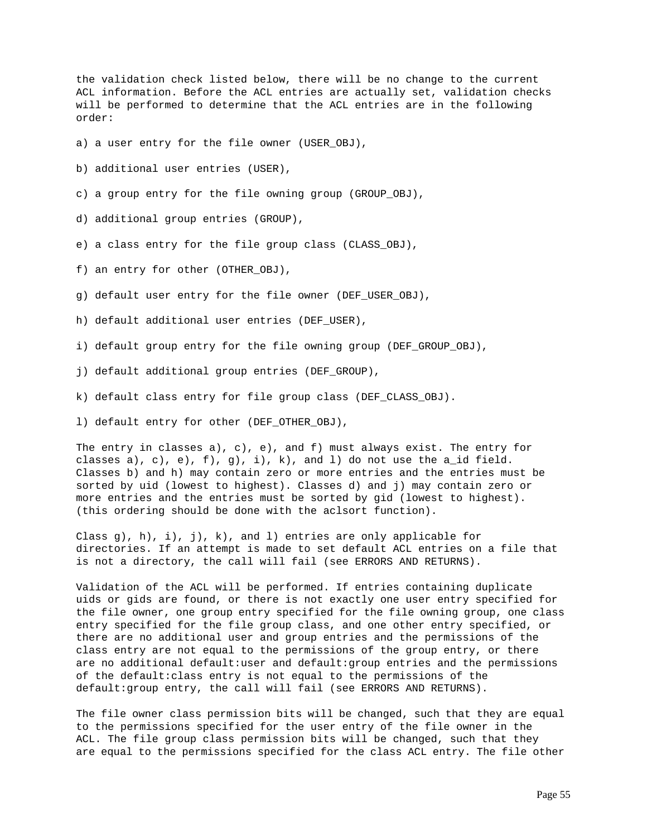the validation check listed below, there will be no change to the current ACL information. Before the ACL entries are actually set, validation checks will be performed to determine that the ACL entries are in the following order:

a) a user entry for the file owner (USER\_OBJ),

b) additional user entries (USER),

- c) a group entry for the file owning group (GROUP\_OBJ),
- d) additional group entries (GROUP),
- e) a class entry for the file group class (CLASS\_OBJ),
- f) an entry for other (OTHER\_OBJ),
- g) default user entry for the file owner (DEF\_USER\_OBJ),
- h) default additional user entries (DEF USER),
- i) default group entry for the file owning group (DEF\_GROUP\_OBJ),
- j) default additional group entries (DEF\_GROUP),
- k) default class entry for file group class (DEF\_CLASS\_OBJ).
- l) default entry for other (DEF\_OTHER\_OBJ),

The entry in classes a), c), e), and  $f$ ) must always exist. The entry for classes a), c), e),  $f$ ,  $g$ ,  $i$ ,  $k$ , and  $l$ ) do not use the  $a_id$  field. Classes b) and h) may contain zero or more entries and the entries must be sorted by uid (lowest to highest). Classes d) and j) may contain zero or more entries and the entries must be sorted by gid (lowest to highest). (this ordering should be done with the aclsort function).

Class g), h),  $i$ ),  $j$ ),  $k$ ), and 1) entries are only applicable for directories. If an attempt is made to set default ACL entries on a file that is not a directory, the call will fail (see ERRORS AND RETURNS).

Validation of the ACL will be performed. If entries containing duplicate uids or gids are found, or there is not exactly one user entry specified for the file owner, one group entry specified for the file owning group, one class entry specified for the file group class, and one other entry specified, or there are no additional user and group entries and the permissions of the class entry are not equal to the permissions of the group entry, or there are no additional default:user and default:group entries and the permissions of the default:class entry is not equal to the permissions of the default:group entry, the call will fail (see ERRORS AND RETURNS).

The file owner class permission bits will be changed, such that they are equal to the permissions specified for the user entry of the file owner in the ACL. The file group class permission bits will be changed, such that they are equal to the permissions specified for the class ACL entry. The file other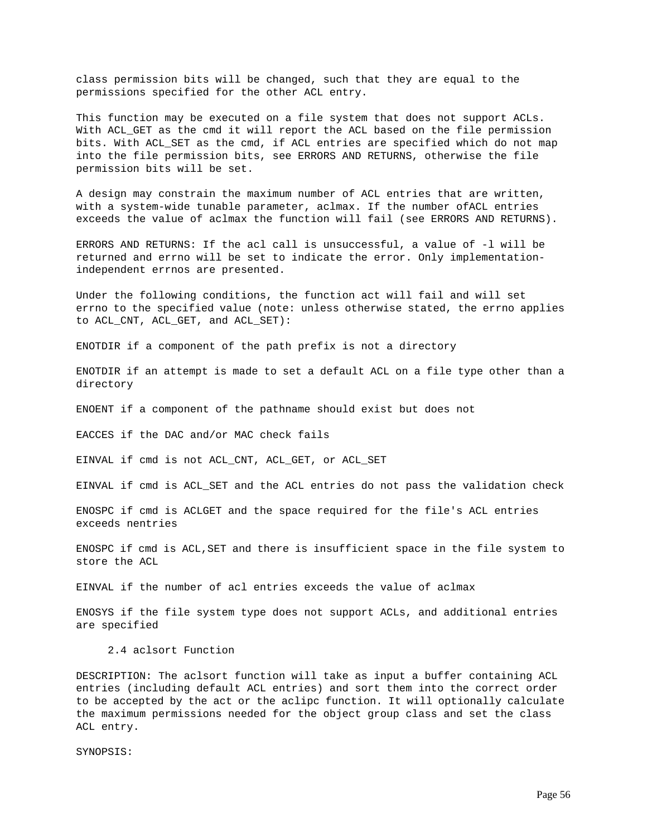class permission bits will be changed, such that they are equal to the permissions specified for the other ACL entry.

This function may be executed on a file system that does not support ACLs. With ACL GET as the cmd it will report the ACL based on the file permission bits. With ACL\_SET as the cmd, if ACL entries are specified which do not map into the file permission bits, see ERRORS AND RETURNS, otherwise the file permission bits will be set.

A design may constrain the maximum number of ACL entries that are written, with a system-wide tunable parameter, aclmax. If the number ofACL entries exceeds the value of aclmax the function will fail (see ERRORS AND RETURNS).

ERRORS AND RETURNS: If the acl call is unsuccessful, a value of -l will be returned and errno will be set to indicate the error. Only implementationindependent errnos are presented.

Under the following conditions, the function act will fail and will set errno to the specified value (note: unless otherwise stated, the errno applies to ACL\_CNT, ACL\_GET, and ACL\_SET):

ENOTDIR if a component of the path prefix is not a directory

ENOTDIR if an attempt is made to set a default ACL on a file type other than a directory

ENOENT if a component of the pathname should exist but does not

EACCES if the DAC and/or MAC check fails

EINVAL if cmd is not ACL\_CNT, ACL\_GET, or ACL\_SET

EINVAL if cmd is ACL\_SET and the ACL entries do not pass the validation check

ENOSPC if cmd is ACLGET and the space required for the file's ACL entries exceeds nentries

ENOSPC if cmd is ACL,SET and there is insufficient space in the file system to store the ACL

EINVAL if the number of acl entries exceeds the value of aclmax

ENOSYS if the file system type does not support ACLs, and additional entries are specified

2.4 aclsort Function

DESCRIPTION: The aclsort function will take as input a buffer containing ACL entries (including default ACL entries) and sort them into the correct order to be accepted by the act or the aclipc function. It will optionally calculate the maximum permissions needed for the object group class and set the class ACL entry.

SYNOPSIS: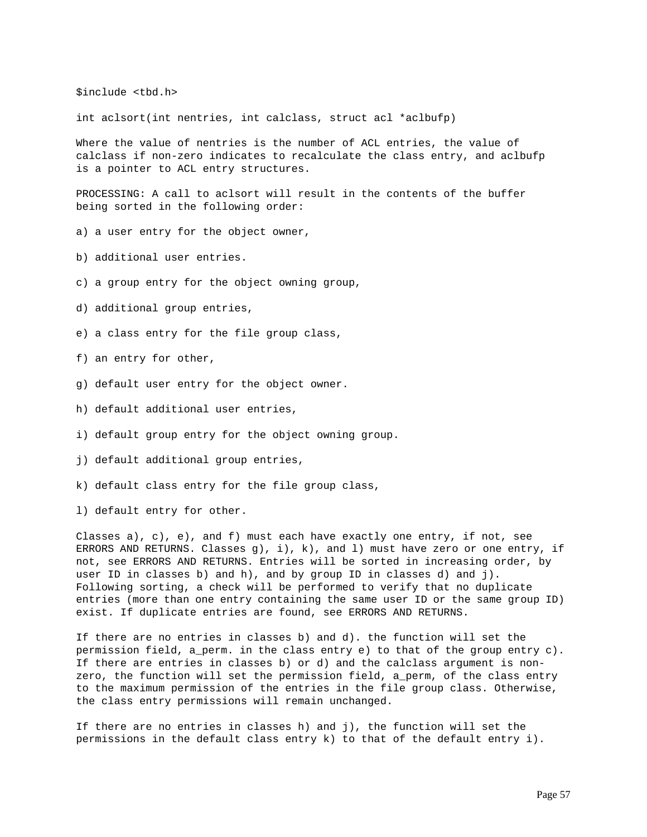\$include <tbd.h>

int aclsort(int nentries, int calclass, struct acl \*aclbufp)

Where the value of nentries is the number of ACL entries, the value of calclass if non-zero indicates to recalculate the class entry, and aclbufp is a pointer to ACL entry structures.

PROCESSING: A call to aclsort will result in the contents of the buffer being sorted in the following order:

- a) a user entry for the object owner,
- b) additional user entries.
- c) a group entry for the object owning group,
- d) additional group entries,
- e) a class entry for the file group class,
- f) an entry for other,
- g) default user entry for the object owner.
- h) default additional user entries,
- i) default group entry for the object owning group.
- j) default additional group entries,
- k) default class entry for the file group class,
- l) default entry for other.

Classes a), c), e), and f) must each have exactly one entry, if not, see ERRORS AND RETURNS. Classes q), i), k), and 1) must have zero or one entry, if not, see ERRORS AND RETURNS. Entries will be sorted in increasing order, by user ID in classes b) and h), and by group ID in classes d) and j). Following sorting, a check will be performed to verify that no duplicate entries (more than one entry containing the same user ID or the same group ID) exist. If duplicate entries are found, see ERRORS AND RETURNS.

If there are no entries in classes b) and d). the function will set the permission field, a\_perm. in the class entry e) to that of the group entry c). If there are entries in classes b) or d) and the calclass argument is nonzero, the function will set the permission field, a\_perm, of the class entry to the maximum permission of the entries in the file group class. Otherwise, the class entry permissions will remain unchanged.

If there are no entries in classes h) and j), the function will set the permissions in the default class entry k) to that of the default entry i).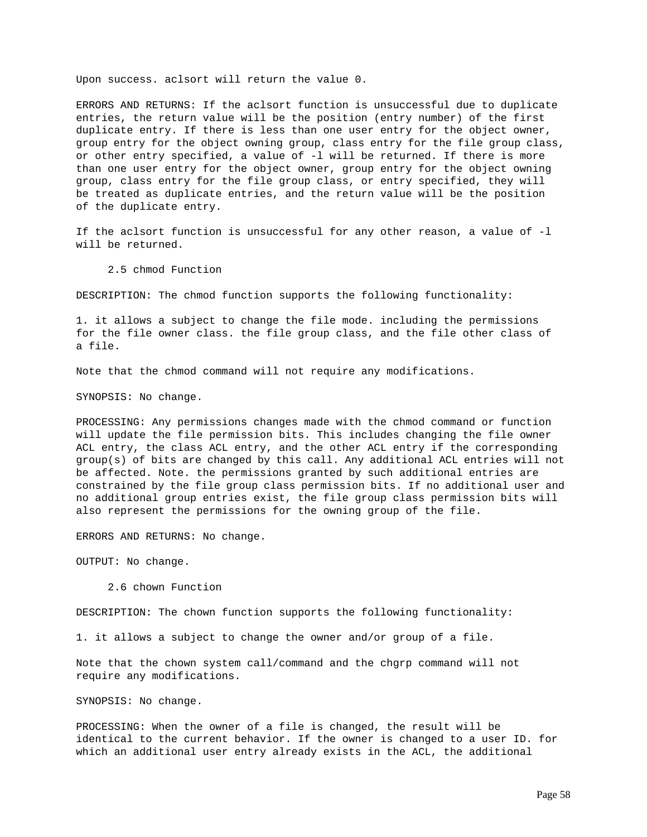Upon success. aclsort will return the value 0.

ERRORS AND RETURNS: If the aclsort function is unsuccessful due to duplicate entries, the return value will be the position (entry number) of the first duplicate entry. If there is less than one user entry for the object owner, group entry for the object owning group, class entry for the file group class, or other entry specified, a value of -l will be returned. If there is more than one user entry for the object owner, group entry for the object owning group, class entry for the file group class, or entry specified, they will be treated as duplicate entries, and the return value will be the position of the duplicate entry.

If the aclsort function is unsuccessful for any other reason, a value of -l will be returned.

2.5 chmod Function

DESCRIPTION: The chmod function supports the following functionality:

1. it allows a subject to change the file mode. including the permissions for the file owner class. the file group class, and the file other class of a file.

Note that the chmod command will not require any modifications.

SYNOPSIS: No change.

PROCESSING: Any permissions changes made with the chmod command or function will update the file permission bits. This includes changing the file owner ACL entry, the class ACL entry, and the other ACL entry if the corresponding group(s) of bits are changed by this call. Any additional ACL entries will not be affected. Note. the permissions granted by such additional entries are constrained by the file group class permission bits. If no additional user and no additional group entries exist, the file group class permission bits will also represent the permissions for the owning group of the file.

ERRORS AND RETURNS: No change.

OUTPUT: No change.

2.6 chown Function

DESCRIPTION: The chown function supports the following functionality:

1. it allows a subject to change the owner and/or group of a file.

Note that the chown system call/command and the chgrp command will not require any modifications.

SYNOPSIS: No change.

PROCESSING: When the owner of a file is changed, the result will be identical to the current behavior. If the owner is changed to a user ID. for which an additional user entry already exists in the ACL, the additional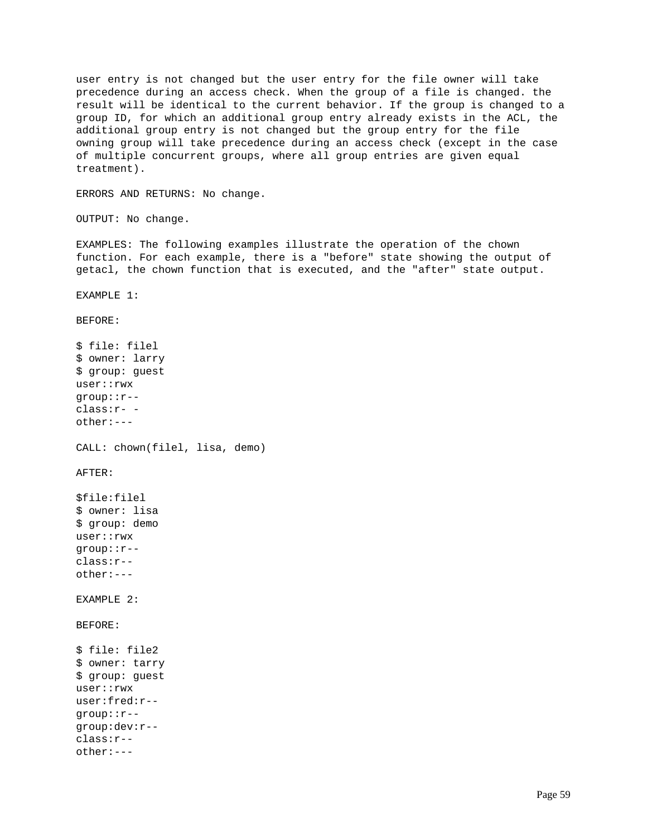user entry is not changed but the user entry for the file owner will take precedence during an access check. When the group of a file is changed. the result will be identical to the current behavior. If the group is changed to a group ID, for which an additional group entry already exists in the ACL, the additional group entry is not changed but the group entry for the file owning group will take precedence during an access check (except in the case of multiple concurrent groups, where all group entries are given equal treatment).

ERRORS AND RETURNS: No change.

OUTPUT: No change.

EXAMPLES: The following examples illustrate the operation of the chown function. For each example, there is a "before" state showing the output of getacl, the chown function that is executed, and the "after" state output.

EXAMPLE 1:

BEFORE:

\$ file: filel \$ owner: larry \$ group: guest user::rwx group::r- class:r- other:--- CALL: chown(filel, lisa, demo) AFTER: \$file:filel \$ owner: lisa \$ group: demo user::rwx group::r- class:r- other:--- EXAMPLE 2: BEFORE: \$ file: file2 \$ owner: tarry \$ group: guest user::rwx user:fred:r- group::r- group:dev:r- class:r- other:---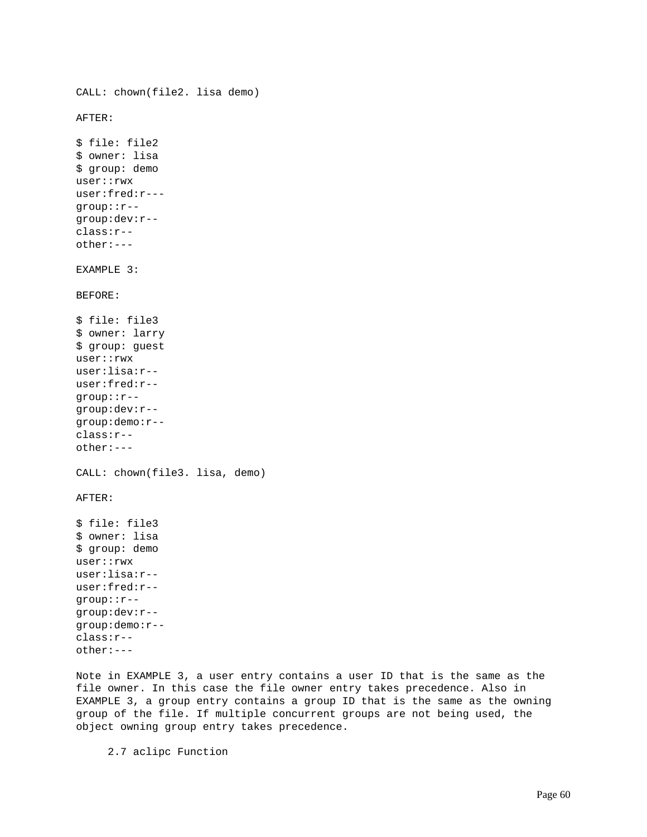```
CALL: chown(file2. lisa demo)
AFTER:
$ file: file2
$ owner: lisa
$ group: demo
user::rwx
user:fred:r---
group::r--
group:dev:r--
class:r--
other:---
EXAMPLE 3:
BEFORE:
$ file: file3
$ owner: larry
$ group: guest
user::rwx
user:lisa:r--
user:fred:r--
group::r--
group:dev:r--
group:demo:r--
class:r--
other:---
CALL: chown(file3. lisa, demo)
AFTER:
$ file: file3
$ owner: lisa
$ group: demo
user::rwx
user:lisa:r--
user:fred:r--
group::r--
group:dev:r--
group:demo:r--
class:r--
other:---
```
Note in EXAMPLE 3, a user entry contains a user ID that is the same as the file owner. In this case the file owner entry takes precedence. Also in EXAMPLE 3, a group entry contains a group ID that is the same as the owning group of the file. If multiple concurrent groups are not being used, the object owning group entry takes precedence.

2.7 aclipc Function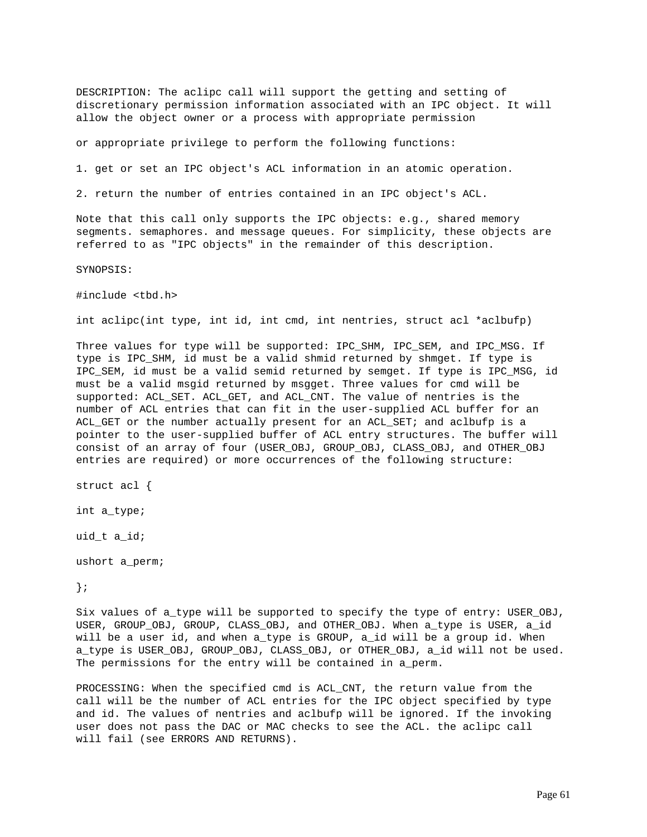DESCRIPTION: The aclipc call will support the getting and setting of discretionary permission information associated with an IPC object. It will allow the object owner or a process with appropriate permission

or appropriate privilege to perform the following functions:

1. get or set an IPC object's ACL information in an atomic operation.

2. return the number of entries contained in an IPC object's ACL.

Note that this call only supports the IPC objects: e.g., shared memory segments. semaphores. and message queues. For simplicity, these objects are referred to as "IPC objects" in the remainder of this description.

SYNOPSIS:

#include <tbd.h>

int aclipc(int type, int id, int cmd, int nentries, struct acl \*aclbufp)

Three values for type will be supported: IPC\_SHM, IPC\_SEM, and IPC\_MSG. If type is IPC\_SHM, id must be a valid shmid returned by shmget. If type is IPC\_SEM, id must be a valid semid returned by semget. If type is IPC\_MSG, id must be a valid msgid returned by msgget. Three values for cmd will be supported: ACL\_SET. ACL\_GET, and ACL\_CNT. The value of nentries is the number of ACL entries that can fit in the user-supplied ACL buffer for an ACL\_GET or the number actually present for an ACL\_SET; and aclbufp is a pointer to the user-supplied buffer of ACL entry structures. The buffer will consist of an array of four (USER\_OBJ, GROUP\_OBJ, CLASS\_OBJ, and OTHER\_OBJ entries are required) or more occurrences of the following structure:

struct acl {

int a\_type;

uid\_t a\_id;

ushort a\_perm;

};

Six values of a\_type will be supported to specify the type of entry: USER\_OBJ, USER, GROUP\_OBJ, GROUP, CLASS\_OBJ, and OTHER\_OBJ. When a\_type is USER, a\_id will be a user id, and when a\_type is GROUP, a\_id will be a group id. When a\_type is USER\_OBJ, GROUP\_OBJ, CLASS\_OBJ, or OTHER\_OBJ, a\_id will not be used. The permissions for the entry will be contained in a\_perm.

PROCESSING: When the specified cmd is ACL\_CNT, the return value from the call will be the number of ACL entries for the IPC object specified by type and id. The values of nentries and aclbufp will be ignored. If the invoking user does not pass the DAC or MAC checks to see the ACL. the aclipc call will fail (see ERRORS AND RETURNS).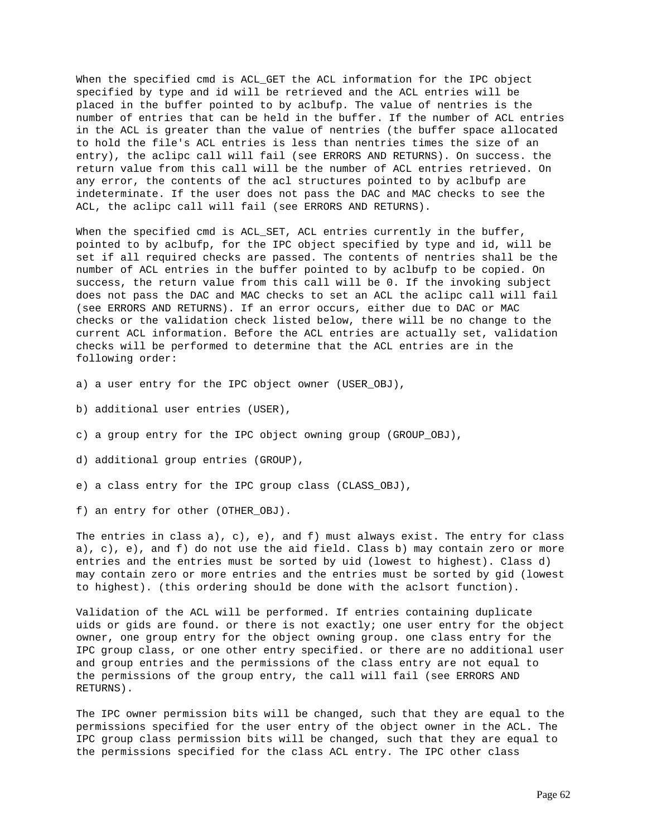When the specified cmd is ACL\_GET the ACL information for the IPC object specified by type and id will be retrieved and the ACL entries will be placed in the buffer pointed to by aclbufp. The value of nentries is the number of entries that can be held in the buffer. If the number of ACL entries in the ACL is greater than the value of nentries (the buffer space allocated to hold the file's ACL entries is less than nentries times the size of an entry), the aclipc call will fail (see ERRORS AND RETURNS). On success. the return value from this call will be the number of ACL entries retrieved. On any error, the contents of the acl structures pointed to by aclbufp are indeterminate. If the user does not pass the DAC and MAC checks to see the ACL, the aclipc call will fail (see ERRORS AND RETURNS).

When the specified cmd is ACL\_SET, ACL entries currently in the buffer, pointed to by aclbufp, for the IPC object specified by type and id, will be set if all required checks are passed. The contents of nentries shall be the number of ACL entries in the buffer pointed to by aclbufp to be copied. On success, the return value from this call will be 0. If the invoking subject does not pass the DAC and MAC checks to set an ACL the aclipc call will fail (see ERRORS AND RETURNS). If an error occurs, either due to DAC or MAC checks or the validation check listed below, there will be no change to the current ACL information. Before the ACL entries are actually set, validation checks will be performed to determine that the ACL entries are in the following order:

- a) a user entry for the IPC object owner (USER\_OBJ),
- b) additional user entries (USER),
- c) a group entry for the IPC object owning group (GROUP\_OBJ),
- d) additional group entries (GROUP),
- e) a class entry for the IPC group class (CLASS\_OBJ),
- f) an entry for other (OTHER\_OBJ).

The entries in class  $a)$ ,  $c)$ ,  $e)$ , and  $f)$  must always exist. The entry for class a), c), e), and f) do not use the aid field. Class b) may contain zero or more entries and the entries must be sorted by uid (lowest to highest). Class d) may contain zero or more entries and the entries must be sorted by gid (lowest to highest). (this ordering should be done with the aclsort function).

Validation of the ACL will be performed. If entries containing duplicate uids or gids are found. or there is not exactly; one user entry for the object owner, one group entry for the object owning group. one class entry for the IPC group class, or one other entry specified. or there are no additional user and group entries and the permissions of the class entry are not equal to the permissions of the group entry, the call will fail (see ERRORS AND RETURNS).

The IPC owner permission bits will be changed, such that they are equal to the permissions specified for the user entry of the object owner in the ACL. The IPC group class permission bits will be changed, such that they are equal to the permissions specified for the class ACL entry. The IPC other class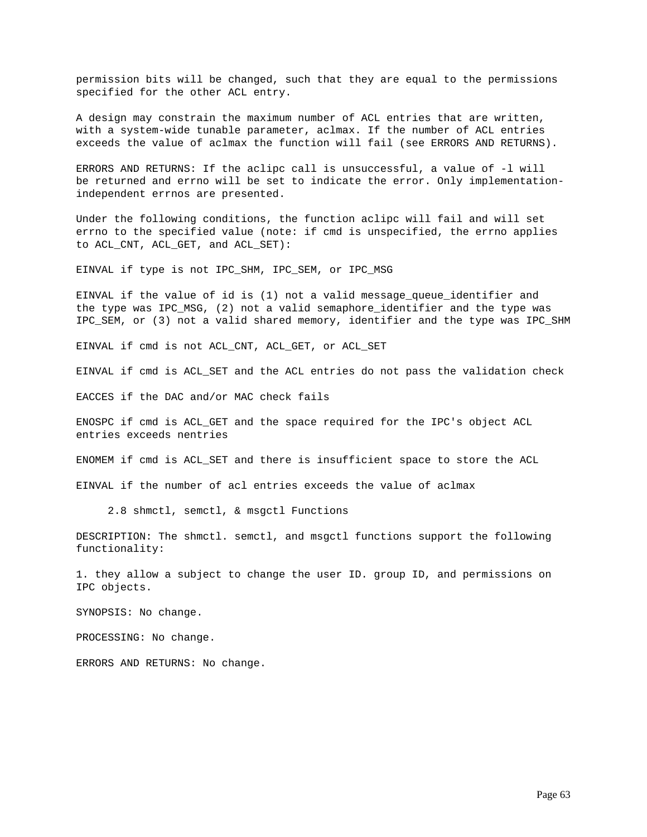permission bits will be changed, such that they are equal to the permissions specified for the other ACL entry.

A design may constrain the maximum number of ACL entries that are written, with a system-wide tunable parameter, aclmax. If the number of ACL entries exceeds the value of aclmax the function will fail (see ERRORS AND RETURNS).

ERRORS AND RETURNS: If the aclipc call is unsuccessful, a value of -l will be returned and errno will be set to indicate the error. Only implementationindependent errnos are presented.

Under the following conditions, the function aclipc will fail and will set errno to the specified value (note: if cmd is unspecified, the errno applies to ACL\_CNT, ACL\_GET, and ACL\_SET):

EINVAL if type is not IPC\_SHM, IPC\_SEM, or IPC\_MSG

EINVAL if the value of id is  $(1)$  not a valid message queue identifier and the type was IPC\_MSG, (2) not a valid semaphore\_identifier and the type was IPC\_SEM, or (3) not a valid shared memory, identifier and the type was IPC\_SHM

EINVAL if cmd is not ACL\_CNT, ACL\_GET, or ACL\_SET

EINVAL if cmd is ACL\_SET and the ACL entries do not pass the validation check

EACCES if the DAC and/or MAC check fails

ENOSPC if cmd is ACL\_GET and the space required for the IPC's object ACL entries exceeds nentries

ENOMEM if cmd is ACL\_SET and there is insufficient space to store the ACL

EINVAL if the number of acl entries exceeds the value of aclmax

2.8 shmctl, semctl, & msgctl Functions

DESCRIPTION: The shmctl. semctl, and msgctl functions support the following functionality:

1. they allow a subject to change the user ID. group ID, and permissions on IPC objects.

SYNOPSIS: No change.

PROCESSING: No change.

ERRORS AND RETURNS: No change.